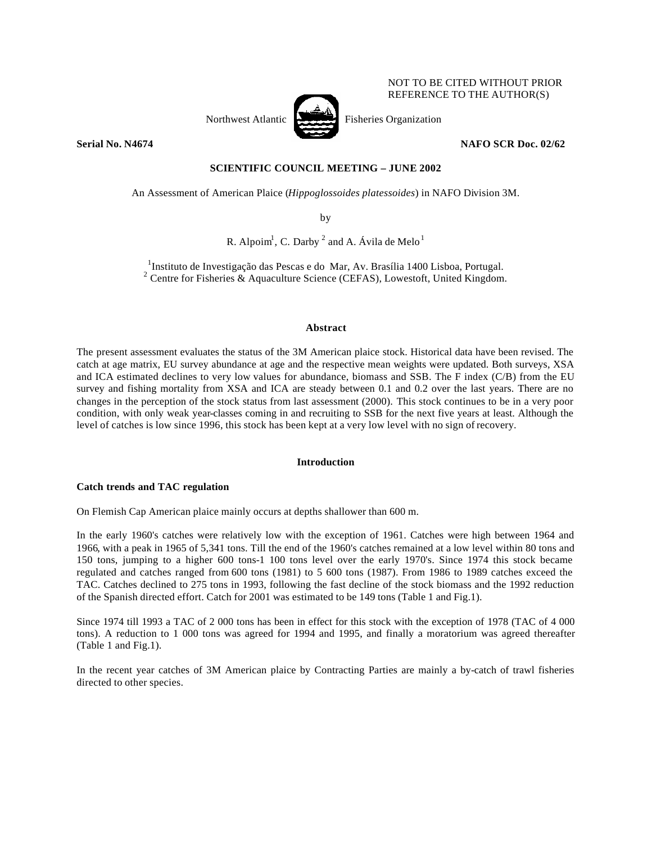

NOT TO BE CITED WITHOUT PRIOR REFERENCE TO THE AUTHOR(S)

## **Serial No. N4674 NAFO SCR Doc. 02/62**

# **SCIENTIFIC COUNCIL MEETING – JUNE 2002**

An Assessment of American Plaice (*Hippoglossoides platessoides*) in NAFO Division 3M.

by

R. Alpoim<sup>1</sup>, C. Darby <sup>2</sup> and A. Ávila de Melo<sup>1</sup>

<sup>1</sup>Instituto de Investigação das Pescas e do Mar, Av. Brasília 1400 Lisboa, Portugal. <sup>2</sup> Centre for Fisheries & Aquaculture Science (CEFAS), Lowestoft, United Kingdom.

## **Abstract**

The present assessment evaluates the status of the 3M American plaice stock. Historical data have been revised. The catch at age matrix, EU survey abundance at age and the respective mean weights were updated. Both surveys, XSA and ICA estimated declines to very low values for abundance, biomass and SSB. The F index (C/B) from the EU survey and fishing mortality from XSA and ICA are steady between 0.1 and 0.2 over the last years. There are no changes in the perception of the stock status from last assessment (2000). This stock continues to be in a very poor condition, with only weak year-classes coming in and recruiting to SSB for the next five years at least. Although the level of catches is low since 1996, this stock has been kept at a very low level with no sign of recovery.

# **Introduction**

# **Catch trends and TAC regulation**

On Flemish Cap American plaice mainly occurs at depths shallower than 600 m.

In the early 1960's catches were relatively low with the exception of 1961. Catches were high between 1964 and 1966, with a peak in 1965 of 5,341 tons. Till the end of the 1960's catches remained at a low level within 80 tons and 150 tons, jumping to a higher 600 tons-1 100 tons level over the early 1970's. Since 1974 this stock became regulated and catches ranged from 600 tons (1981) to 5 600 tons (1987). From 1986 to 1989 catches exceed the TAC. Catches declined to 275 tons in 1993, following the fast decline of the stock biomass and the 1992 reduction of the Spanish directed effort. Catch for 2001 was estimated to be 149 tons (Table 1 and Fig.1).

Since 1974 till 1993 a TAC of 2 000 tons has been in effect for this stock with the exception of 1978 (TAC of 4 000 tons). A reduction to 1 000 tons was agreed for 1994 and 1995, and finally a moratorium was agreed thereafter (Table 1 and Fig.1).

In the recent year catches of 3M American plaice by Contracting Parties are mainly a by-catch of trawl fisheries directed to other species.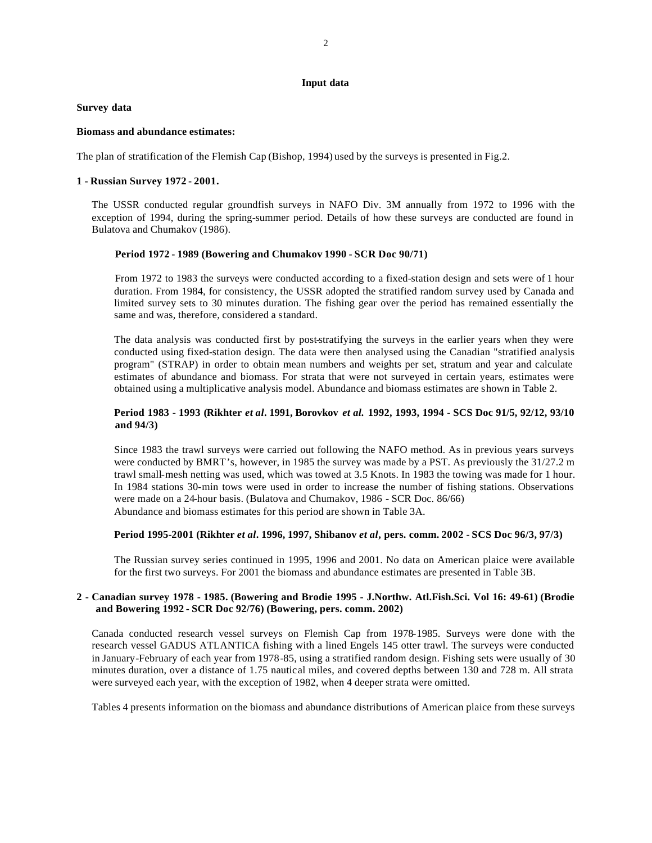### **Input data**

## **Survey data**

### **Biomass and abundance estimates:**

The plan of stratification of the Flemish Cap (Bishop, 1994) used by the surveys is presented in Fig.2.

## **1 - Russian Survey 1972 - 2001.**

The USSR conducted regular groundfish surveys in NAFO Div. 3M annually from 1972 to 1996 with the exception of 1994, during the spring-summer period. Details of how these surveys are conducted are found in Bulatova and Chumakov (1986).

## **Period 1972 - 1989 (Bowering and Chumakov 1990 - SCR Doc 90/71)**

From 1972 to 1983 the surveys were conducted according to a fixed-station design and sets were of 1 hour duration. From 1984, for consistency, the USSR adopted the stratified random survey used by Canada and limited survey sets to 30 minutes duration. The fishing gear over the period has remained essentially the same and was, therefore, considered a standard.

The data analysis was conducted first by post-stratifying the surveys in the earlier years when they were conducted using fixed-station design. The data were then analysed using the Canadian "stratified analysis program" (STRAP) in order to obtain mean numbers and weights per set, stratum and year and calculate estimates of abundance and biomass. For strata that were not surveyed in certain years, estimates were obtained using a multiplicative analysis model. Abundance and biomass estimates are shown in Table 2.

# **Period 1983 - 1993 (Rikhter** *et al***. 1991, Borovkov** *et al.* **1992, 1993, 1994 - SCS Doc 91/5, 92/12, 93/10 and 94/3)**

Since 1983 the trawl surveys were carried out following the NAFO method. As in previous years surveys were conducted by BMRT's, however, in 1985 the survey was made by a PST. As previously the 31/27.2 m trawl small-mesh netting was used, which was towed at 3.5 Knots. In 1983 the towing was made for 1 hour. In 1984 stations 30-min tows were used in order to increase the number of fishing stations. Observations were made on a 24-hour basis. (Bulatova and Chumakov, 1986 - SCR Doc. 86/66) Abundance and biomass estimates for this period are shown in Table 3A.

# **Period 1995-2001 (Rikhter** *et al***. 1996, 1997, Shibanov** *et al***, pers. comm. 2002 - SCS Doc 96/3, 97/3)**

The Russian survey series continued in 1995, 1996 and 2001. No data on American plaice were available for the first two surveys. For 2001 the biomass and abundance estimates are presented in Table 3B.

## **2 - Canadian survey 1978 - 1985. (Bowering and Brodie 1995 - J.Northw. Atl.Fish.Sci. Vol 16: 49-61) (Brodie and Bowering 1992 - SCR Doc 92/76) (Bowering, pers. comm. 2002)**

Canada conducted research vessel surveys on Flemish Cap from 1978-1985. Surveys were done with the research vessel GADUS ATLANTICA fishing with a lined Engels 145 otter trawl. The surveys were conducted in January-February of each year from 1978-85, using a stratified random design. Fishing sets were usually of 30 minutes duration, over a distance of 1.75 nautical miles, and covered depths between 130 and 728 m. All strata were surveyed each year, with the exception of 1982, when 4 deeper strata were omitted.

Tables 4 presents information on the biomass and abundance distributions of American plaice from these surveys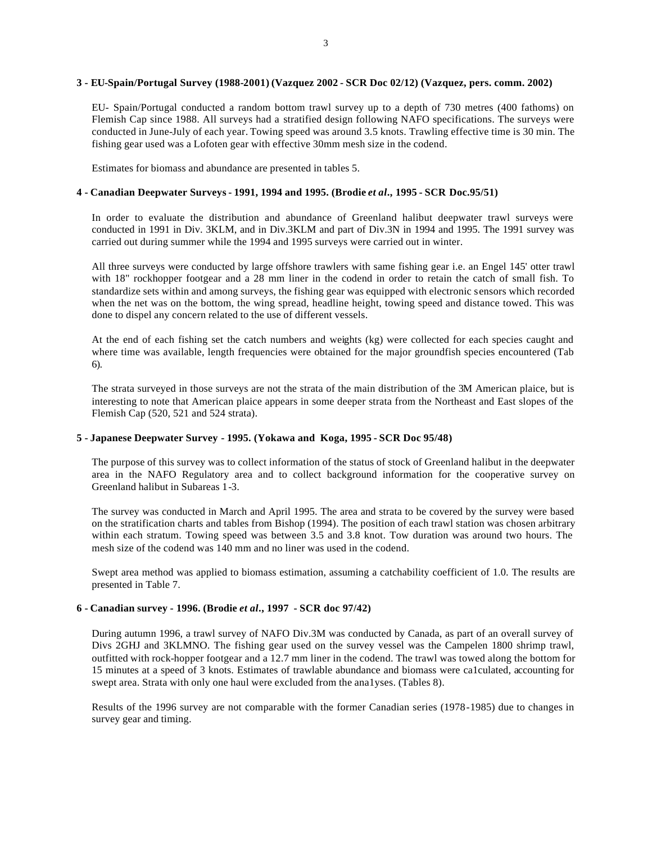### **3 - EU-Spain/Portugal Survey (1988-2001) (Vazquez 2002 - SCR Doc 02/12) (Vazquez, pers. comm. 2002)**

EU- Spain/Portugal conducted a random bottom trawl survey up to a depth of 730 metres (400 fathoms) on Flemish Cap since 1988. All surveys had a stratified design following NAFO specifications. The surveys were conducted in June-July of each year. Towing speed was around 3.5 knots. Trawling effective time is 30 min. The fishing gear used was a Lofoten gear with effective 30mm mesh size in the codend.

Estimates for biomass and abundance are presented in tables 5.

## **4 - Canadian Deepwater Surveys - 1991, 1994 and 1995. (Brodie** *et al***., 1995 - SCR Doc.95/51)**

In order to evaluate the distribution and abundance of Greenland halibut deepwater trawl surveys were conducted in 1991 in Div. 3KLM, and in Div.3KLM and part of Div.3N in 1994 and 1995. The 1991 survey was carried out during summer while the 1994 and 1995 surveys were carried out in winter.

All three surveys were conducted by large offshore trawlers with same fishing gear i.e. an Engel 145' otter trawl with 18" rockhopper footgear and a 28 mm liner in the codend in order to retain the catch of small fish. To standardize sets within and among surveys, the fishing gear was equipped with electronic sensors which recorded when the net was on the bottom, the wing spread, headline height, towing speed and distance towed. This was done to dispel any concern related to the use of different vessels.

At the end of each fishing set the catch numbers and weights (kg) were collected for each species caught and where time was available, length frequencies were obtained for the major groundfish species encountered (Tab 6).

The strata surveyed in those surveys are not the strata of the main distribution of the 3M American plaice, but is interesting to note that American plaice appears in some deeper strata from the Northeast and East slopes of the Flemish Cap (520, 521 and 524 strata).

## **5 - Japanese Deepwater Survey - 1995. (Yokawa and Koga, 1995 - SCR Doc 95/48)**

The purpose of this survey was to collect information of the status of stock of Greenland halibut in the deepwater area in the NAFO Regulatory area and to collect background information for the cooperative survey on Greenland halibut in Subareas 1-3.

The survey was conducted in March and April 1995. The area and strata to be covered by the survey were based on the stratification charts and tables from Bishop (1994). The position of each trawl station was chosen arbitrary within each stratum. Towing speed was between 3.5 and 3.8 knot. Tow duration was around two hours. The mesh size of the codend was 140 mm and no liner was used in the codend.

Swept area method was applied to biomass estimation, assuming a catchability coefficient of 1.0. The results are presented in Table 7.

## **6 - Canadian survey - 1996. (Brodie** *et al***., 1997 - SCR doc 97/42)**

During autumn 1996, a trawl survey of NAFO Div.3M was conducted by Canada, as part of an overall survey of Divs 2GHJ and 3KLMNO. The fishing gear used on the survey vessel was the Campelen 1800 shrimp trawl, outfitted with rock-hopper footgear and a 12.7 mm liner in the codend. The trawl was towed along the bottom for 15 minutes at a speed of 3 knots. Estimates of trawlable abundance and biomass were ca1culated, accounting for swept area. Strata with only one haul were excluded from the ana1yses. (Tables 8).

Results of the 1996 survey are not comparable with the former Canadian series (1978-1985) due to changes in survey gear and timing.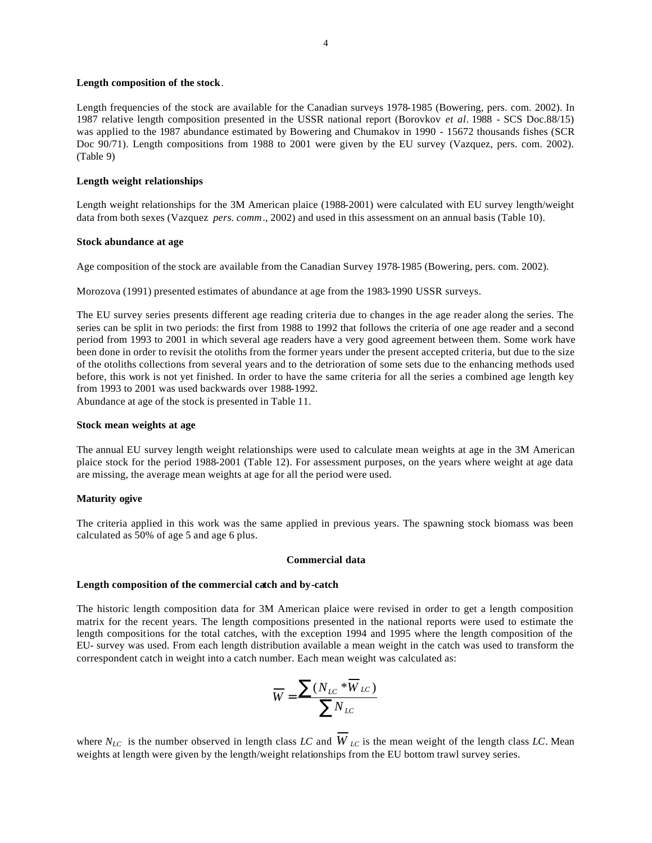#### **Length composition of the stock**.

Length frequencies of the stock are available for the Canadian surveys 1978-1985 (Bowering, pers. com. 2002). In 1987 relative length composition presented in the USSR national report (Borovkov *et al*. 1988 - SCS Doc.88/15) was applied to the 1987 abundance estimated by Bowering and Chumakov in 1990 - 15672 thousands fishes (SCR Doc 90/71). Length compositions from 1988 to 2001 were given by the EU survey (Vazquez, pers. com. 2002). (Table 9)

#### **Length weight relationships**

Length weight relationships for the 3M American plaice (1988-2001) were calculated with EU survey length/weight data from both sexes (Vazquez *pers. comm*., 2002) and used in this assessment on an annual basis (Table 10).

#### **Stock abundance at age**

Age composition of the stock are available from the Canadian Survey 1978-1985 (Bowering, pers. com. 2002).

Morozova (1991) presented estimates of abundance at age from the 1983-1990 USSR surveys.

The EU survey series presents different age reading criteria due to changes in the age reader along the series. The series can be split in two periods: the first from 1988 to 1992 that follows the criteria of one age reader and a second period from 1993 to 2001 in which several age readers have a very good agreement between them. Some work have been done in order to revisit the otoliths from the former years under the present accepted criteria, but due to the size of the otoliths collections from several years and to the detrioration of some sets due to the enhancing methods used before, this work is not yet finished. In order to have the same criteria for all the series a combined age length key from 1993 to 2001 was used backwards over 1988-1992.

Abundance at age of the stock is presented in Table 11.

#### **Stock mean weights at age**

The annual EU survey length weight relationships were used to calculate mean weights at age in the 3M American plaice stock for the period 1988-2001 (Table 12). For assessment purposes, on the years where weight at age data are missing, the average mean weights at age for all the period were used.

#### **Maturity ogive**

The criteria applied in this work was the same applied in previous years. The spawning stock biomass was been calculated as 50% of age 5 and age 6 plus.

#### **Commercial data**

### **Length composition of the commercial catch and by-catch**

The historic length composition data for 3M American plaice were revised in order to get a length composition matrix for the recent years. The length compositions presented in the national reports were used to estimate the length compositions for the total catches, with the exception 1994 and 1995 where the length composition of the EU- survey was used. From each length distribution available a mean weight in the catch was used to transform the correspondent catch in weight into a catch number. Each mean weight was calculated as:

$$
\overline{W} = \frac{\sum (N_{LC} * \overline{W}_{LC})}{\sum N_{LC}}
$$

where  $N_{LC}$  is the number observed in length class *LC* and  $W_{LC}$  is the mean weight of the length class *LC*. Mean weights at length were given by the length/weight relationships from the EU bottom trawl survey series.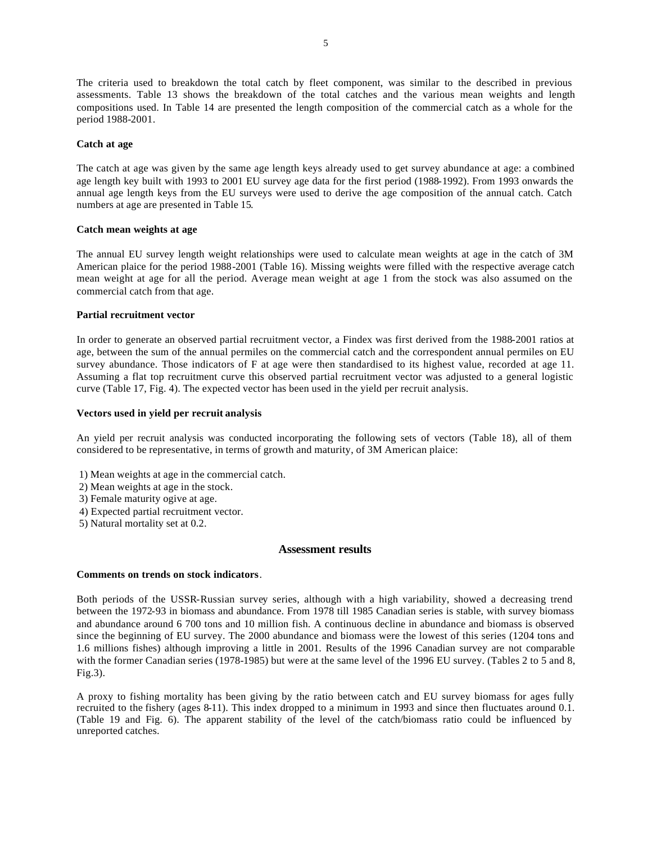The criteria used to breakdown the total catch by fleet component, was similar to the described in previous assessments. Table 13 shows the breakdown of the total catches and the various mean weights and length compositions used. In Table 14 are presented the length composition of the commercial catch as a whole for the period 1988-2001.

### **Catch at age**

The catch at age was given by the same age length keys already used to get survey abundance at age: a combined age length key built with 1993 to 2001 EU survey age data for the first period (1988-1992). From 1993 onwards the annual age length keys from the EU surveys were used to derive the age composition of the annual catch. Catch numbers at age are presented in Table 15.

### **Catch mean weights at age**

The annual EU survey length weight relationships were used to calculate mean weights at age in the catch of 3M American plaice for the period 1988-2001 (Table 16). Missing weights were filled with the respective average catch mean weight at age for all the period. Average mean weight at age 1 from the stock was also assumed on the commercial catch from that age.

### **Partial recruitment vector**

In order to generate an observed partial recruitment vector, a Findex was first derived from the 1988-2001 ratios at age, between the sum of the annual permiles on the commercial catch and the correspondent annual permiles on EU survey abundance. Those indicators of F at age were then standardised to its highest value, recorded at age 11. Assuming a flat top recruitment curve this observed partial recruitment vector was adjusted to a general logistic curve (Table 17, Fig. 4). The expected vector has been used in the yield per recruit analysis.

### **Vectors used in yield per recruit analysis**

An yield per recruit analysis was conducted incorporating the following sets of vectors (Table 18), all of them considered to be representative, in terms of growth and maturity, of 3M American plaice:

- 1) Mean weights at age in the commercial catch.
- 2) Mean weights at age in the stock.
- 3) Female maturity ogive at age.
- 4) Expected partial recruitment vector.
- 5) Natural mortality set at 0.2.

### **Assessment results**

### **Comments on trends on stock indicators**.

Both periods of the USSR-Russian survey series, although with a high variability, showed a decreasing trend between the 1972-93 in biomass and abundance. From 1978 till 1985 Canadian series is stable, with survey biomass and abundance around 6 700 tons and 10 million fish. A continuous decline in abundance and biomass is observed since the beginning of EU survey. The 2000 abundance and biomass were the lowest of this series (1204 tons and 1.6 millions fishes) although improving a little in 2001. Results of the 1996 Canadian survey are not comparable with the former Canadian series (1978-1985) but were at the same level of the 1996 EU survey. (Tables 2 to 5 and 8, Fig.3).

A proxy to fishing mortality has been giving by the ratio between catch and EU survey biomass for ages fully recruited to the fishery (ages 8-11). This index dropped to a minimum in 1993 and since then fluctuates around 0.1. (Table 19 and Fig. 6). The apparent stability of the level of the catch/biomass ratio could be influenced by unreported catches.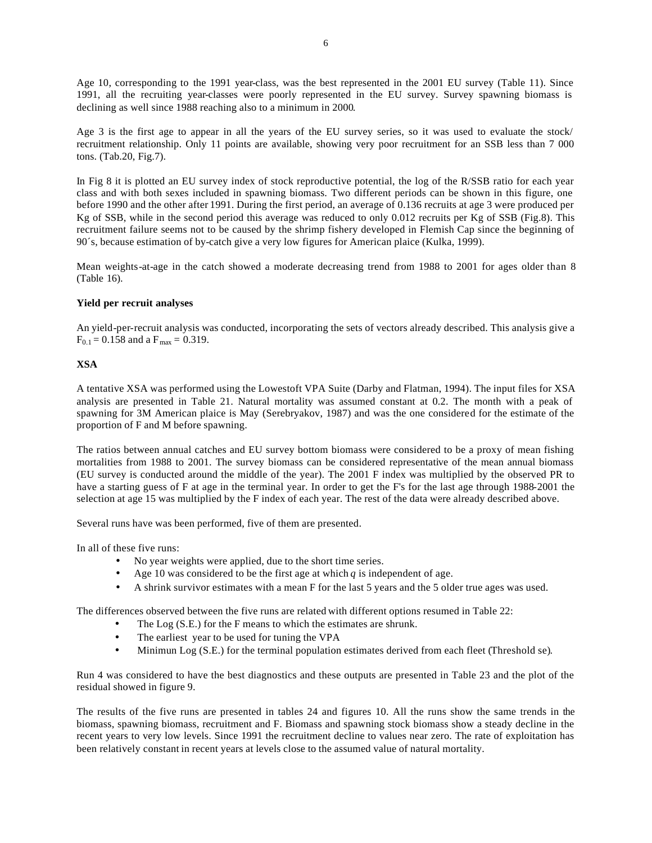Age 10, corresponding to the 1991 year-class, was the best represented in the 2001 EU survey (Table 11). Since 1991, all the recruiting year-classes were poorly represented in the EU survey. Survey spawning biomass is declining as well since 1988 reaching also to a minimum in 2000.

Age 3 is the first age to appear in all the years of the EU survey series, so it was used to evaluate the stock/ recruitment relationship. Only 11 points are available, showing very poor recruitment for an SSB less than 7 000 tons. (Tab.20, Fig.7).

In Fig 8 it is plotted an EU survey index of stock reproductive potential, the log of the R/SSB ratio for each year class and with both sexes included in spawning biomass. Two different periods can be shown in this figure, one before 1990 and the other after 1991. During the first period, an average of 0.136 recruits at age 3 were produced per Kg of SSB, while in the second period this average was reduced to only 0.012 recruits per Kg of SSB (Fig.8). This recruitment failure seems not to be caused by the shrimp fishery developed in Flemish Cap since the beginning of 90´s, because estimation of by-catch give a very low figures for American plaice (Kulka, 1999).

Mean weights-at-age in the catch showed a moderate decreasing trend from 1988 to 2001 for ages older than 8 (Table 16).

# **Yield per recruit analyses**

An yield-per-recruit analysis was conducted, incorporating the sets of vectors already described. This analysis give a  $F_{0.1} = 0.158$  and a  $F_{\text{max}} = 0.319$ .

# **XSA**

A tentative XSA was performed using the Lowestoft VPA Suite (Darby and Flatman, 1994). The input files for XSA analysis are presented in Table 21. Natural mortality was assumed constant at 0.2. The month with a peak of spawning for 3M American plaice is May (Serebryakov, 1987) and was the one considered for the estimate of the proportion of F and M before spawning.

The ratios between annual catches and EU survey bottom biomass were considered to be a proxy of mean fishing mortalities from 1988 to 2001. The survey biomass can be considered representative of the mean annual biomass (EU survey is conducted around the middle of the year). The 2001 F index was multiplied by the observed PR to have a starting guess of F at age in the terminal year. In order to get the F's for the last age through 1988-2001 the selection at age 15 was multiplied by the F index of each year. The rest of the data were already described above.

Several runs have was been performed, five of them are presented.

In all of these five runs:

- No year weights were applied, due to the short time series.
- Age 10 was considered to be the first age at which  $q$  is independent of age.
- A shrink survivor estimates with a mean F for the last 5 years and the 5 older true ages was used.

The differences observed between the five runs are related with different options resumed in Table 22:

- The Log (S.E.) for the F means to which the estimates are shrunk.
- The earliest year to be used for tuning the VPA
- Minimun Log (S.E.) for the terminal population estimates derived from each fleet (Threshold se).

Run 4 was considered to have the best diagnostics and these outputs are presented in Table 23 and the plot of the residual showed in figure 9.

The results of the five runs are presented in tables 24 and figures 10. All the runs show the same trends in the biomass, spawning biomass, recruitment and F. Biomass and spawning stock biomass show a steady decline in the recent years to very low levels. Since 1991 the recruitment decline to values near zero. The rate of exploitation has been relatively constant in recent years at levels close to the assumed value of natural mortality.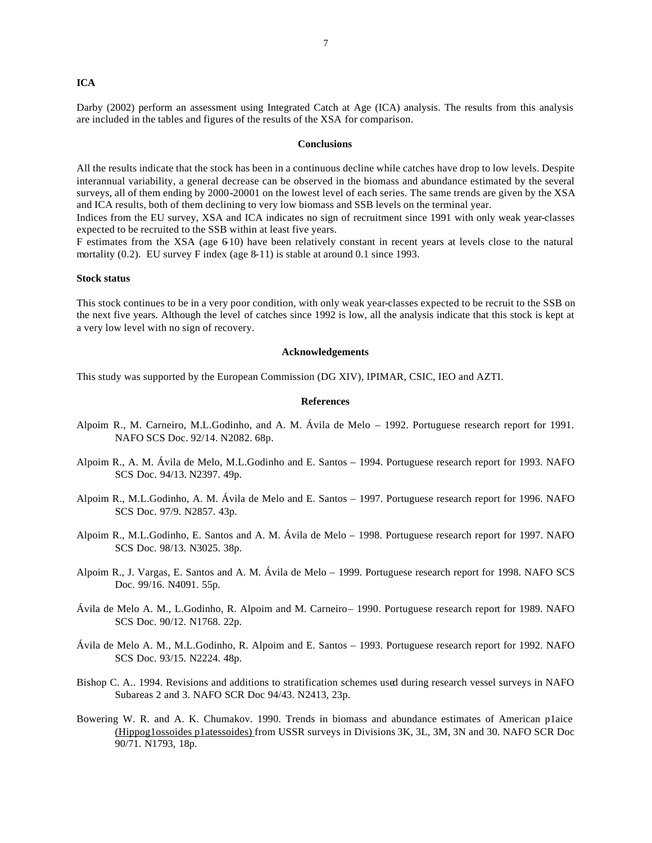### **ICA**

Darby (2002) perform an assessment using Integrated Catch at Age (ICA) analysis. The results from this analysis are included in the tables and figures of the results of the XSA for comparison.

#### **Conclusions**

All the results indicate that the stock has been in a continuous decline while catches have drop to low levels. Despite interannual variability, a general decrease can be observed in the biomass and abundance estimated by the several surveys, all of them ending by 2000-20001 on the lowest level of each series. The same trends are given by the XSA and ICA results, both of them declining to very low biomass and SSB levels on the terminal year.

Indices from the EU survey, XSA and ICA indicates no sign of recruitment since 1991 with only weak year-classes expected to be recruited to the SSB within at least five years.

F estimates from the XSA (age 610) have been relatively constant in recent years at levels close to the natural mortality (0.2). EU survey F index (age 8-11) is stable at around 0.1 since 1993.

### **Stock status**

This stock continues to be in a very poor condition, with only weak year-classes expected to be recruit to the SSB on the next five years. Although the level of catches since 1992 is low, all the analysis indicate that this stock is kept at a very low level with no sign of recovery.

#### **Acknowledgements**

This study was supported by the European Commission (DG XIV), IPIMAR, CSIC, IEO and AZTI.

#### **References**

- Alpoim R., M. Carneiro, M.L.Godinho, and A. M. Ávila de Melo 1992. Portuguese research report for 1991. NAFO SCS Doc. 92/14. N2082. 68p.
- Alpoim R., A. M. Ávila de Melo, M.L.Godinho and E. Santos 1994. Portuguese research report for 1993. NAFO SCS Doc. 94/13. N2397. 49p.
- Alpoim R., M.L.Godinho, A. M. Ávila de Melo and E. Santos 1997. Portuguese research report for 1996. NAFO SCS Doc. 97/9. N2857. 43p.
- Alpoim R., M.L.Godinho, E. Santos and A. M. Ávila de Melo 1998. Portuguese research report for 1997. NAFO SCS Doc. 98/13. N3025. 38p.
- Alpoim R., J. Vargas, E. Santos and A. M. Ávila de Melo 1999. Portuguese research report for 1998. NAFO SCS Doc. 99/16. N4091. 55p.
- Ávila de Melo A. M., L.Godinho, R. Alpoim and M. Carneiro– 1990. Portuguese research report for 1989. NAFO SCS Doc. 90/12. N1768. 22p.
- Ávila de Melo A. M., M.L.Godinho, R. Alpoim and E. Santos 1993. Portuguese research report for 1992. NAFO SCS Doc. 93/15. N2224. 48p.
- Bishop C. A.. 1994. Revisions and additions to stratification schemes used during research vessel surveys in NAFO Subareas 2 and 3. NAFO SCR Doc 94/43. N2413, 23p.
- Bowering W. R. and A. K. Chumakov. 1990. Trends in biomass and abundance estimates of American p1aice (Hippog1ossoides p1atessoides) from USSR surveys in Divisions 3K, 3L, 3M, 3N and 30. NAFO SCR Doc 90/71. N1793, 18p.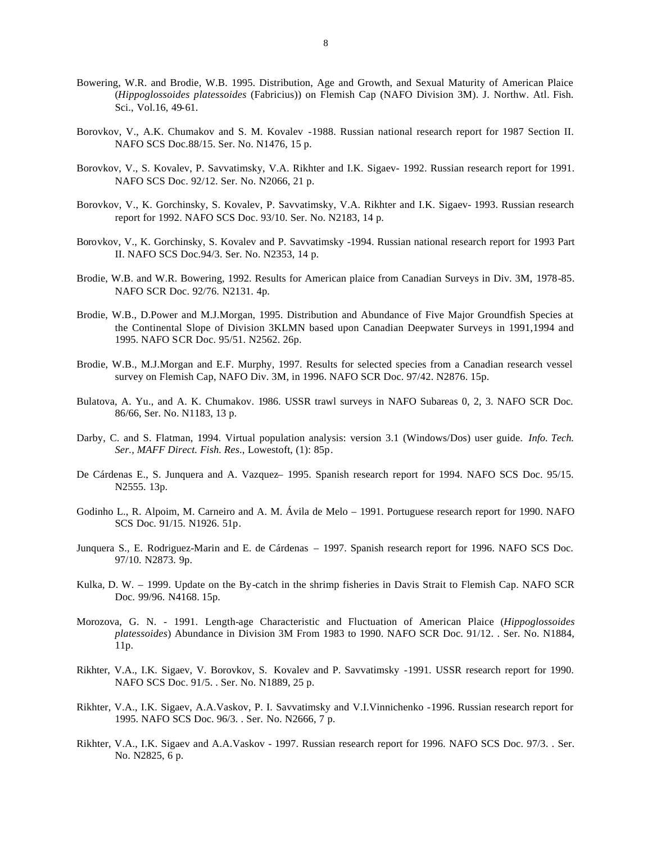- Bowering, W.R. and Brodie, W.B. 1995. Distribution, Age and Growth, and Sexual Maturity of American Plaice (*Hippoglossoides platessoides* (Fabricius)) on Flemish Cap (NAFO Division 3M). J. Northw. Atl. Fish. Sci., Vol.16, 49-61.
- Borovkov, V., A.K. Chumakov and S. M. Kovalev -1988. Russian national research report for 1987 Section II. NAFO SCS Doc.88/15. Ser. No. N1476, 15 p.
- Borovkov, V., S. Kovalev, P. Savvatimsky, V.A. Rikhter and I.K. Sigaev- 1992. Russian research report for 1991. NAFO SCS Doc. 92/12. Ser. No. N2066, 21 p.
- Borovkov, V., K. Gorchinsky, S. Kovalev, P. Savvatimsky, V.A. Rikhter and I.K. Sigaev- 1993. Russian research report for 1992. NAFO SCS Doc. 93/10. Ser. No. N2183, 14 p.
- Borovkov, V., K. Gorchinsky, S. Kovalev and P. Savvatimsky -1994. Russian national research report for 1993 Part II. NAFO SCS Doc.94/3. Ser. No. N2353, 14 p.
- Brodie, W.B. and W.R. Bowering, 1992. Results for American plaice from Canadian Surveys in Div. 3M, 1978-85. NAFO SCR Doc. 92/76. N2131. 4p.
- Brodie, W.B., D.Power and M.J.Morgan, 1995. Distribution and Abundance of Five Major Groundfish Species at the Continental Slope of Division 3KLMN based upon Canadian Deepwater Surveys in 1991,1994 and 1995. NAFO SCR Doc. 95/51. N2562. 26p.
- Brodie, W.B., M.J.Morgan and E.F. Murphy, 1997. Results for selected species from a Canadian research vessel survey on Flemish Cap, NAFO Div. 3M, in 1996. NAFO SCR Doc. 97/42. N2876. 15p.
- Bulatova, A. Yu., and A. K. Chumakov. 1986. USSR trawl surveys in NAFO Subareas 0, 2, 3. NAFO SCR Doc. 86/66, Ser. No. N1183, 13 p.
- Darby, C. and S. Flatman, 1994. Virtual population analysis: version 3.1 (Windows/Dos) user guide. *Info. Tech. Ser., MAFF Direct. Fish. Res*., Lowestoft, (1): 85p.
- De Cárdenas E., S. Junquera and A. Vazquez– 1995. Spanish research report for 1994. NAFO SCS Doc. 95/15. N2555. 13p.
- Godinho L., R. Alpoim, M. Carneiro and A. M. Ávila de Melo 1991. Portuguese research report for 1990. NAFO SCS Doc. 91/15. N1926. 51p.
- Junquera S., E. Rodriguez-Marin and E. de Cárdenas 1997. Spanish research report for 1996. NAFO SCS Doc. 97/10. N2873. 9p.
- Kulka, D. W. 1999. Update on the By-catch in the shrimp fisheries in Davis Strait to Flemish Cap. NAFO SCR Doc. 99/96. N4168. 15p.
- Morozova, G. N. 1991. Length-age Characteristic and Fluctuation of American Plaice (*Hippoglossoides platessoides*) Abundance in Division 3M From 1983 to 1990. NAFO SCR Doc. 91/12. . Ser. No. N1884, 11p.
- Rikhter, V.A., I.K. Sigaev, V. Borovkov, S. Kovalev and P. Savvatimsky -1991. USSR research report for 1990. NAFO SCS Doc. 91/5. . Ser. No. N1889, 25 p.
- Rikhter, V.A., I.K. Sigaev, A.A.Vaskov, P. I. Savvatimsky and V.I.Vinnichenko -1996. Russian research report for 1995. NAFO SCS Doc. 96/3. . Ser. No. N2666, 7 p.
- Rikhter, V.A., I.K. Sigaev and A.A.Vaskov 1997. Russian research report for 1996. NAFO SCS Doc. 97/3. . Ser. No. N2825, 6 p.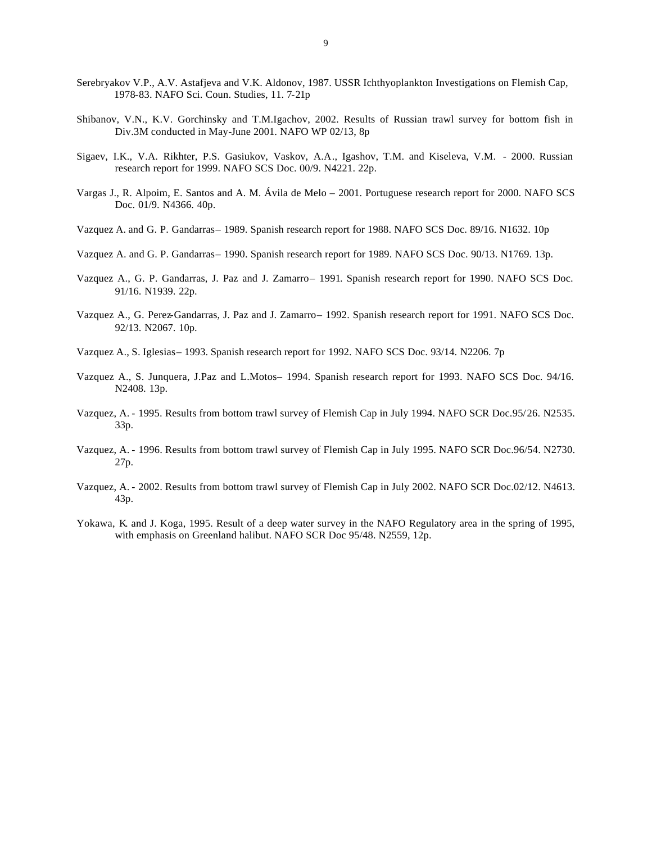- Serebryakov V.P., A.V. Astafjeva and V.K. Aldonov, 1987. USSR Ichthyoplankton Investigations on Flemish Cap, 1978-83. NAFO Sci. Coun. Studies, 11. 7-21p
- Shibanov, V.N., K.V. Gorchinsky and T.M.Igachov, 2002. Results of Russian trawl survey for bottom fish in Div.3M conducted in May-June 2001. NAFO WP 02/13, 8p
- Sigaev, I.K., V.A. Rikhter, P.S. Gasiukov, Vaskov, A.A., Igashov, T.M. and Kiseleva, V.M. 2000. Russian research report for 1999. NAFO SCS Doc. 00/9. N4221. 22p.
- Vargas J., R. Alpoim, E. Santos and A. M. Ávila de Melo 2001. Portuguese research report for 2000. NAFO SCS Doc. 01/9. N4366. 40p.
- Vazquez A. and G. P. Gandarras– 1989. Spanish research report for 1988. NAFO SCS Doc. 89/16. N1632. 10p
- Vazquez A. and G. P. Gandarras– 1990. Spanish research report for 1989. NAFO SCS Doc. 90/13. N1769. 13p.
- Vazquez A., G. P. Gandarras, J. Paz and J. Zamarro– 1991. Spanish research report for 1990. NAFO SCS Doc. 91/16. N1939. 22p.
- Vazquez A., G. Perez-Gandarras, J. Paz and J. Zamarro– 1992. Spanish research report for 1991. NAFO SCS Doc. 92/13. N2067. 10p.
- Vazquez A., S. Iglesias– 1993. Spanish research report for 1992. NAFO SCS Doc. 93/14. N2206. 7p
- Vazquez A., S. Junquera, J.Paz and L.Motos– 1994. Spanish research report for 1993. NAFO SCS Doc. 94/16. N2408. 13p.
- Vazquez, A. 1995. Results from bottom trawl survey of Flemish Cap in July 1994. NAFO SCR Doc.95/26. N2535. 33p.
- Vazquez, A. 1996. Results from bottom trawl survey of Flemish Cap in July 1995. NAFO SCR Doc.96/54. N2730. 27p.
- Vazquez, A. 2002. Results from bottom trawl survey of Flemish Cap in July 2002. NAFO SCR Doc.02/12. N4613. 43p.
- Yokawa, K. and J. Koga, 1995. Result of a deep water survey in the NAFO Regulatory area in the spring of 1995, with emphasis on Greenland halibut. NAFO SCR Doc 95/48. N2559, 12p.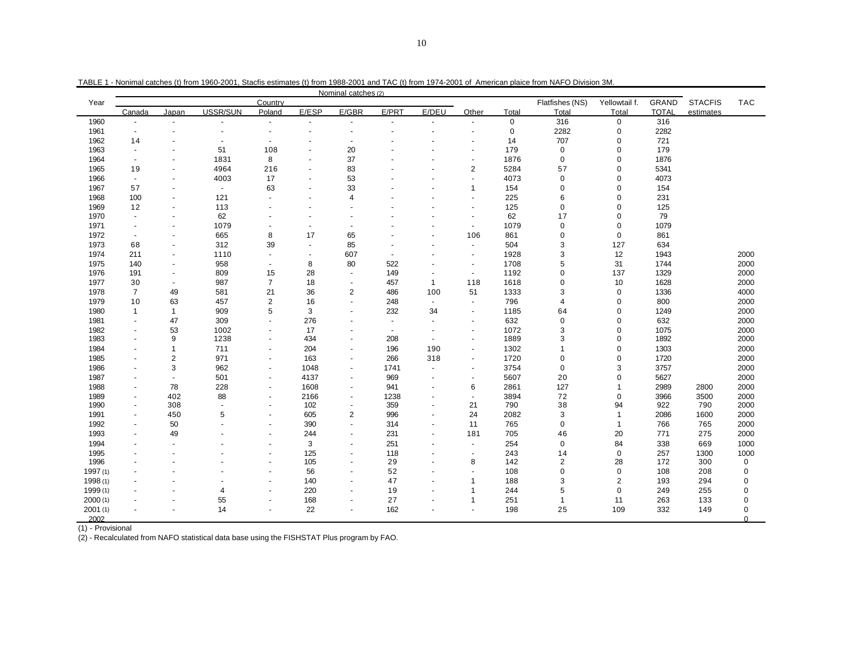|          |                          |                          |                          |                          |                          | Nominal catches (2)      |                          |                          |                          |             |                 |                |              |                |             |
|----------|--------------------------|--------------------------|--------------------------|--------------------------|--------------------------|--------------------------|--------------------------|--------------------------|--------------------------|-------------|-----------------|----------------|--------------|----------------|-------------|
| Year     |                          |                          |                          | Country                  |                          |                          |                          |                          |                          |             | Flatfishes (NS) | Yellowtail f.  | GRAND        | <b>STACFIS</b> | <b>TAC</b>  |
|          | Canada                   | Japan                    | USSR/SUN                 | Poland                   | E/ESP                    | E/GBR                    | E/PRT                    | E/DEU                    | Other                    | Total       | Total           | Total          | <b>TOTAL</b> | estimates      |             |
| 1960     |                          |                          |                          | $\blacksquare$           |                          |                          |                          | $\overline{a}$           | $\overline{a}$           | $\mathbf 0$ | 316             | $\mathbf 0$    | 316          |                |             |
| 1961     | $\blacksquare$           | $\blacksquare$           |                          | $\overline{\phantom{a}}$ |                          |                          |                          | $\blacksquare$           | $\blacksquare$           | $\mathbf 0$ | 2282            | 0              | 2282         |                |             |
| 1962     | 14                       |                          |                          |                          |                          |                          |                          |                          |                          | 14          | 707             | 0              | 721          |                |             |
| 1963     | $\overline{\phantom{a}}$ | $\overline{\phantom{a}}$ | 51                       | 108                      |                          | 20                       |                          |                          | $\blacksquare$           | 179         | $\mathbf 0$     | $\mathbf 0$    | 179          |                |             |
| 1964     |                          |                          | 1831                     | 8                        |                          | 37                       |                          |                          | $\overline{\phantom{a}}$ | 1876        | $\mathbf 0$     | 0              | 1876         |                |             |
| 1965     | 19                       | $\blacksquare$           | 4964                     | 216                      |                          | 83                       |                          |                          | 2                        | 5284        | 57              | $\mathbf 0$    | 5341         |                |             |
| 1966     | $\overline{\phantom{a}}$ | $\blacksquare$           | 4003                     | 17                       | $\overline{\phantom{a}}$ | 53                       |                          |                          | ÷,                       | 4073        | $\mathbf 0$     | $\Omega$       | 4073         |                |             |
| 1967     | 57                       |                          | $\overline{\phantom{a}}$ | 63                       |                          | 33                       |                          |                          | 1                        | 154         | $\mathbf 0$     | 0              | 154          |                |             |
| 1968     | 100                      | $\blacksquare$           | 121                      | $\overline{a}$           |                          | $\overline{4}$           |                          |                          | $\blacksquare$           | 225         | 6               | $\Omega$       | 231          |                |             |
| 1969     | 12                       | $\blacksquare$           | 113                      |                          |                          |                          |                          |                          | $\blacksquare$           | 125         | $\mathbf 0$     | $\Omega$       | 125          |                |             |
| 1970     | $\blacksquare$           | $\blacksquare$           | 62                       |                          |                          |                          |                          |                          | $\blacksquare$           | 62          | 17              | $\pmb{0}$      | 79           |                |             |
| 1971     | $\overline{\phantom{a}}$ | $\blacksquare$           | 1079                     | ä,                       |                          |                          |                          |                          | $\overline{\phantom{a}}$ | 1079        | $\mathsf 0$     | $\mathbf 0$    | 1079         |                |             |
| 1972     |                          | $\overline{a}$           | 665                      | 8                        | 17                       | 65                       |                          |                          | 106                      | 861         | $\mathbf 0$     | $\mathbf 0$    | 861          |                |             |
| 1973     | 68                       | $\blacksquare$           | 312                      | 39                       | $\overline{\phantom{a}}$ | 85                       |                          |                          | $\overline{\phantom{a}}$ | 504         | 3               | 127            | 634          |                |             |
| 1974     | 211                      | $\blacksquare$           | 1110                     | ٠                        | $\overline{\phantom{a}}$ | 607                      | $\overline{\phantom{a}}$ |                          | $\blacksquare$           | 1928        | 3               | 12             | 1943         |                | 2000        |
| 1975     | 140                      | $\overline{\phantom{a}}$ | 958                      | $\overline{\phantom{a}}$ | 8                        | 80                       | 522                      |                          | $\blacksquare$           | 1708        | 5               | 31             | 1744         |                | 2000        |
| 1976     | 191                      | $\blacksquare$           | 809                      | 15                       | 28                       | $\sim$                   | 149                      |                          | $\blacksquare$           | 1192        | $\mathbf 0$     | 137            | 1329         |                | 2000        |
| 1977     | 30                       | $\blacksquare$           | 987                      | $\overline{7}$           | 18                       |                          | 457                      | $\mathbf{1}$             | 118                      | 1618        | $\mathbf 0$     | 10             | 1628         |                | 2000        |
| 1978     | $\overline{7}$           | 49                       | 581                      | 21                       | 36                       | $\overline{2}$           | 486                      | 100                      | 51                       | 1333        | 3               | $\mathbf 0$    | 1336         |                | 4000        |
| 1979     | 10                       | 63                       | 457                      | $\overline{2}$           | 16                       |                          | 248                      | $\overline{\phantom{a}}$ | $\blacksquare$           | 796         | 4               | $\mathbf 0$    | 800          |                | 2000        |
| 1980     | $\mathbf{1}$             | $\mathbf{1}$             | 909                      | 5                        | 3                        |                          | 232                      | 34                       | $\overline{\phantom{a}}$ | 1185        | 64              | $\mathbf 0$    | 1249         |                | 2000        |
| 1981     | $\blacksquare$           | 47                       | 309                      | $\overline{a}$           | 276                      |                          | $\blacksquare$           | $\overline{a}$           | $\overline{a}$           | 632         | $\mathbf 0$     | $\overline{0}$ | 632          |                | 2000        |
| 1982     | $\blacksquare$           | 53                       | 1002                     | $\blacksquare$           | 17                       |                          | $\blacksquare$           | $\blacksquare$           | $\blacksquare$           | 1072        | 3               | $\mathbf 0$    | 1075         |                | 2000        |
| 1983     |                          | 9                        | 1238                     | ٠                        | 434                      |                          | 208                      | $\overline{a}$           | $\overline{\phantom{a}}$ | 1889        | 3               | $\mathbf 0$    | 1892         |                | 2000        |
| 1984     |                          | 1                        | 711                      | $\overline{\phantom{a}}$ | 204                      |                          | 196                      | 190                      | $\blacksquare$           | 1302        | $\overline{1}$  | $\Omega$       | 1303         |                | 2000        |
| 1985     |                          | 2                        | 971                      | $\overline{\phantom{a}}$ | 163                      | $\overline{\phantom{a}}$ | 266                      | 318                      | $\blacksquare$           | 1720        | $\mathbf 0$     | $\Omega$       | 1720         |                | 2000        |
| 1986     |                          | 3                        | 962                      | ٠                        | 1048                     |                          | 1741                     | $\overline{\phantom{a}}$ | $\overline{\phantom{a}}$ | 3754        | $\mathbf 0$     | 3              | 3757         |                | 2000        |
| 1987     |                          | ÷,                       | 501                      | $\blacksquare$           | 4137                     |                          | 969                      | $\blacksquare$           | $\blacksquare$           | 5607        | 20              | $\Omega$       | 5627         |                | 2000        |
| 1988     | $\overline{\phantom{a}}$ | 78                       | 228                      | $\overline{\phantom{a}}$ | 1608                     |                          | 941                      | $\blacksquare$           | 6                        | 2861        | 127             |                | 2989         | 2800           | 2000        |
| 1989     | $\overline{\phantom{0}}$ | 402                      | 88                       |                          | 2166                     |                          | 1238                     |                          | $\blacksquare$           | 3894        | 72              | $\pmb{0}$      | 3966         | 3500           | 2000        |
| 1990     | $\overline{\phantom{a}}$ | 308                      | $\blacksquare$           | ٠                        | 102                      | $\overline{\phantom{a}}$ | 359                      | $\blacksquare$           | 21                       | 790         | 38              | 94             | 922          | 790            | 2000        |
| 1991     |                          | 450                      | 5                        | ÷                        | 605                      | 2                        | 996                      | $\overline{a}$           | 24                       | 2082        | 3               | $\mathbf{1}$   | 2086         | 1600           | 2000        |
| 1992     |                          | 50                       |                          | ä,                       | 390                      |                          | 314                      | $\blacksquare$           | 11                       | 765         | $\mathbf 0$     | 1              | 766          | 765            | 2000        |
| 1993     | $\overline{\phantom{a}}$ | 49                       |                          | $\overline{a}$           | 244                      | $\overline{\phantom{a}}$ | 231                      | $\overline{\phantom{a}}$ | 181                      | 705         | 46              | 20             | 771          | 275            | 2000        |
| 1994     |                          |                          |                          |                          | 3                        |                          | 251                      |                          | $\blacksquare$           | 254         | $\mathsf 0$     | 84             | 338          | 669            | 1000        |
| 1995     |                          |                          |                          | ÷                        | 125                      |                          | 118                      |                          | $\blacksquare$           | 243         | 14              | $\mathbf 0$    | 257          | 1300           | 1000        |
| 1996     |                          |                          |                          | ä,                       | 105                      |                          | 29                       |                          | 8                        | 142         | $\sqrt{2}$      | 28             | 172          | 300            | $\mathbf 0$ |
| 1997(1)  |                          |                          |                          | ÷,                       | 56                       |                          | 52                       |                          | $\overline{a}$           | 108         | $\mathbf 0$     | $\mathbf 0$    | 108          | 208            | $\mathbf 0$ |
| 1998 (1) |                          |                          |                          | ٠                        | 140                      |                          | 47                       | $\overline{\phantom{a}}$ | $\mathbf 1$              | 188         | 3               | $\overline{2}$ | 193          | 294            | $\mathbf 0$ |
| 1999 (1) |                          |                          | 4                        | ÷                        | 220                      |                          | 19                       |                          | $\overline{1}$           | 244         | 5               | $\mathbf 0$    | 249          | 255            | $\mathbf 0$ |
| 2000(1)  |                          |                          | 55                       | ä,                       | 168                      |                          | 27                       |                          | 1                        | 251         | $\overline{1}$  | 11             | 263          | 133            | $\mathbf 0$ |
| 2001(1)  |                          |                          | 14                       | $\blacksquare$           | 22                       | $\overline{\phantom{a}}$ | 162                      | $\blacksquare$           | $\blacksquare$           | 198         | 25              | 109            | 332          | 149            | $\mathbf 0$ |
| 2002     |                          |                          |                          |                          |                          |                          |                          |                          |                          |             |                 |                |              |                | $\Omega$    |

TABLE 1 - Nonimal catches (t) from 1960-2001, Stacfis estimates (t) from 1988-2001 and TAC (t) from 1974-2001 of American plaice from NAFO Division 3M.

(1) - Provisional

(2) - Recalculated from NAFO statistical data base using the FISHSTAT Plus program by FAO.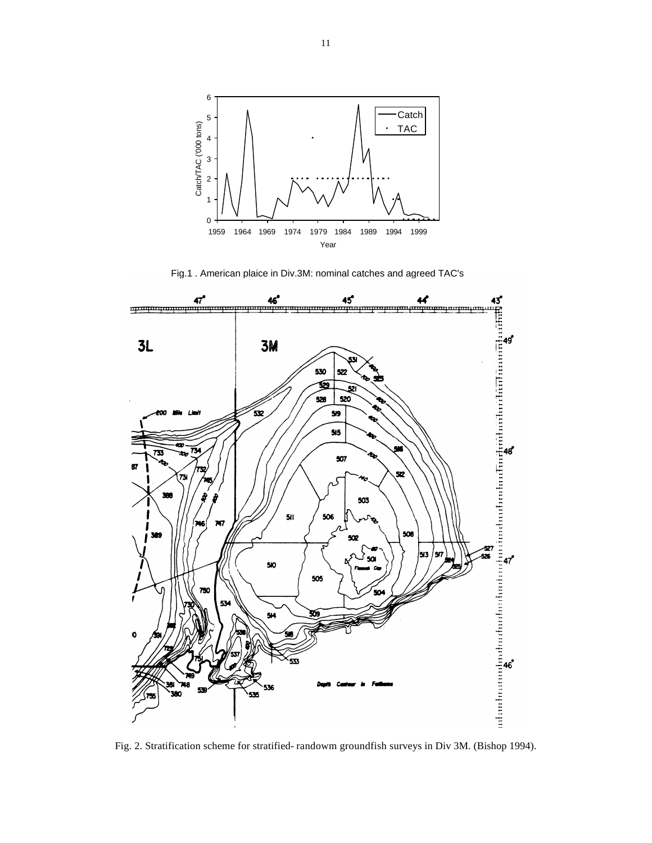

Fig.1 . American plaice in Div.3M: nominal catches and agreed TAC's



Fig. 2. Stratification scheme for stratified- randowm groundfish surveys in Div 3M. (Bishop 1994).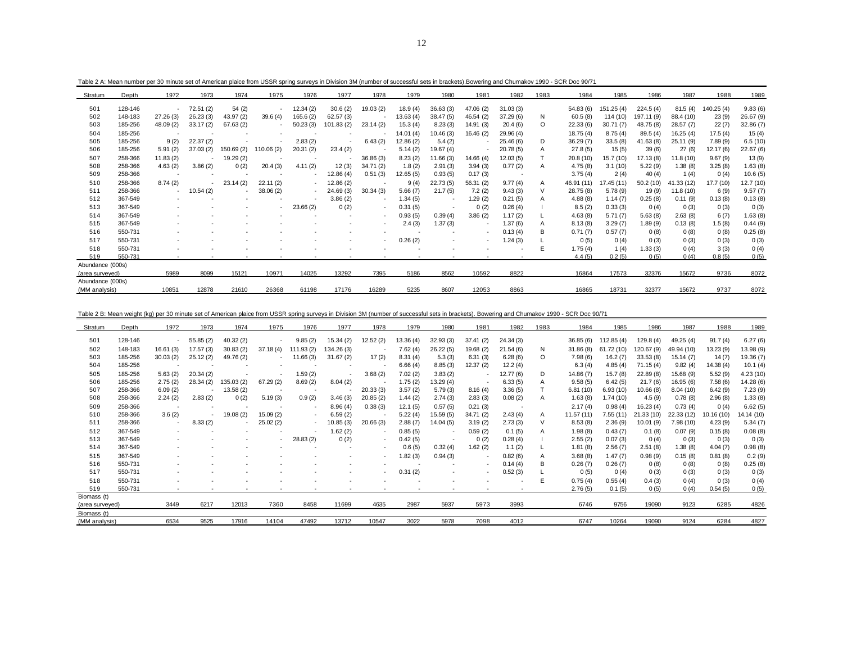| Stratum          | Depth   | 1972                     | 1973     | 1974                     | 1975                     | 1976      | 1977      | 1978                     | 1979     | 1980      | 1981      | 1982      | 1983    | 1984       | 1985       | 1986       | 1987       | 1988      | 1989      |
|------------------|---------|--------------------------|----------|--------------------------|--------------------------|-----------|-----------|--------------------------|----------|-----------|-----------|-----------|---------|------------|------------|------------|------------|-----------|-----------|
| 501              | 128-146 | $\sim$                   | 72.51(2) | 54(2)                    | $\overline{\phantom{a}}$ | 12.34(2)  | 30.6(2)   | 19.03(2)                 | 18.9(4)  | 36.63(3)  | 47.06 (2) | 31.03(3)  |         | 54.83 (6)  | 151.25(4)  | 224.5(4)   | 81.5(4)    | 140.25(4) | 9.83(6)   |
| 502              | 148-183 | 27.26(3)                 | 26.23(3) | 43.97 (2)                | 39.6(4)                  | 165.6 (2) | 62.57(3)  | ٠                        | 13.63(4) | 38.47(5)  | 46.54 (2) | 37.29(6)  | N       | 60.5(8)    | 114 (10)   | 197.11 (9) | 88.4 (10)  | 23(9)     | 26.67 (9) |
| 503              | 185-256 | 48.09 (2)                | 33.17(2) | 67.63(2)                 |                          | 50.23(3)  | 101.83(2) | 23.14(2)                 | 15.3(4)  | 8.23(3)   | 14.91 (3) | 20.4(6)   | $\circ$ | 22.33(6)   | 30.71(7)   | 48.75 (8)  | 28.57 (7)  | 22(7)     | 32.86(7)  |
| 504              | 185-256 |                          |          |                          |                          |           |           |                          |          |           |           |           |         |            |            |            |            |           |           |
|                  |         |                          |          |                          |                          |           |           |                          | 14.01(4) | 10.46 (3) | 16.46(2)  | 29.96 (4) |         | 18.75(4)   | 8.75(4)    | 89.5(4)    | 16.25(4)   | 17.5(4)   | 15(4)     |
| 505              | 185-256 | 9(2)                     | 22.37(2) |                          |                          | 2.83(2)   |           | 6.43(2)                  | 12.86(2) | 5.4(2)    |           | 25.46(6)  | D       | 36.29(7)   | 33.5(8)    | 41.63 (8)  | 25.11 (9)  | 7.89(9)   | 6.5(10)   |
| 506              | 185-256 | 5.91(2)                  | 37.03(2) | 150.69 (2)               | 110.06 (2)               | 20.31(2)  | 23.4(2)   |                          | 5.14(2)  | 19.67 (4) |           | 20.78(5)  | A       | 27.8(5)    | 15(5)      | 39(6)      | 27(6)      | 12.17 (6) | 22.67 (6) |
| 507              | 258-366 | 11.83(2)                 |          | 19.29 (2)                |                          |           |           | 36.86(3)                 | 8.23(2)  | 11.66 (3) | 14.66(4)  | 12.03(5)  |         | 20.8(10)   | 15.7 (10)  | 17.13 (8)  | 11.8 (10)  | 9.67(9)   | 13(9)     |
| 508              | 258-366 | 4.63(2)                  | 3.86(2)  | 0(2)                     | 20.4(3)                  | 4.11(2)   | 12(3)     | 34.71(2)                 | 1.8(2)   | 2.91(3)   | 3.94(3)   | 0.77(2)   | A       | 4.75(8)    | 3.1(10)    | 5.22(9)    | 1.38(8)    | 3.25(8)   | 1.63(8)   |
| 509              | 258-366 |                          |          |                          |                          |           | 12.86(4)  | 0.51(3)                  | 12.65(5) | 0.93(5)   | 0.17(3)   |           |         | 3.75(4)    | 2(4)       | 40(4)      | 1(4)       | 0(4)      | 10.6(5)   |
| 510              | 258-366 | 8.74(2)                  |          | 23.14(2)                 | 22.11(2)                 |           | 12.86(2)  |                          | 9(4)     | 22.73(5)  | 56.31(2)  | 9.77(4)   | A       | 46.91 (11) | 17.45 (11) | 50.2 (10)  | 41.33 (12) | 17.7 (10) | 12.7 (10) |
| 511              | 258-366 | $\overline{\phantom{a}}$ | 10.54(2) | $\overline{\phantom{a}}$ | 38.06(2)                 |           | 24.69(3)  | 30.34(3)                 | 5.66(7)  | 21.7(5)   | 7.2(2)    | 9.43(3)   |         | 28.75 (8)  | 5.78(9)    | 19(9)      | 11.8 (10)  | 6(9)      | 9.57(7)   |
| 512              | 367-549 |                          |          |                          |                          |           | 3.86(2)   | $\overline{\phantom{a}}$ | 1.34(5)  |           | 1.29(2)   | 0.21(5)   | A       | 4.88(8)    | 1.14(7)    | 0.25(8)    | 0.11(9)    | 0.13(8)   | 0.13(8)   |
| 513              | 367-549 |                          |          |                          |                          | 23.66(2)  | 0(2)      | $\overline{\phantom{a}}$ | 0.31(5)  |           | 0(2)      | 0.26(4)   |         | 8.5(2)     | 0.33(3)    | 0(4)       | 0(3)       | 0(3)      | 0(3)      |
| 514              | 367-549 |                          |          |                          |                          |           |           | $\overline{\phantom{a}}$ | 0.93(5)  | 0.39(4)   | 3.86(2)   | 1.17(2)   |         | 4.63(8)    | 5.71(7)    | 5.63(8)    | 2.63(8)    | 6(7)      | 1.63(8)   |
| 515              | 367-549 |                          |          |                          |                          |           |           |                          | 2.4(3)   | 1.37(3)   |           | 1.37 (6)  | Α       | 8.13(8)    | 3.29(7)    | 1.89(9)    | 0.13(8)    | 1.5(8)    | 0.44(9)   |
| 516              | 550-731 |                          |          |                          |                          |           |           |                          |          |           |           | 0.13(4)   | В       | 0.71(7)    | 0.57(7)    | 0(8)       | 0(8)       | 0(8)      | 0.25(8)   |
| 517              | 550-731 |                          |          |                          |                          |           |           |                          | 0.26(2)  |           |           | 1.24(3)   |         | 0(5)       | 0(4)       | 0(3)       | 0(3)       | 0(3)      | 0(3)      |
| 518              | 550-731 |                          |          |                          |                          |           |           |                          |          |           |           |           | Е       | 1.75(4)    | 1(4)       | 1.33 (3)   | 0(4)       | 3(3)      | 0(4)      |
| 519              | 550-731 |                          |          |                          |                          |           |           |                          |          |           |           |           |         | 4.4(5)     | 0.2(5)     | 0(5)       | 0(4)       | 0.8(5)    | 0(5)      |
| Abundance (000s) |         |                          |          |                          |                          |           |           |                          |          |           |           |           |         |            |            |            |            |           |           |
| (area surveyed)  |         | 5989                     | 8099     | 15121                    | 10971                    | 14025     | 13292     | 7395                     | 5186     | 8562      | 10592     | 8822      |         | 16864      | 17573      | 32376      | 15672      | 9736      | 8072      |
| Abundance (000s) |         |                          |          |                          |                          |           |           |                          |          |           |           |           |         |            |            |            |            |           |           |
| (MM analysis)    |         | 10851                    | 12878    | 21610                    | 26368                    | 61198     | 17176     | 16289                    | 5235     | 8607      | 12053     | 8863      |         | 16865      | 18731      | 32377      | 15672      | 9737      | 8072      |

Table 2 B: Mean weight (kg) per 30 minute set of American plaice from USSR spring surveys in Division 3M (number of successful sets in brackets). Bowering and Chumakov 1990 - SCR Doc 90/71

| Stratum         | Depth   | 1972     | 1973     | 1974      | 1975      | 1976       | 1977       | 1978                     | 1979      | 1980      | 1981      | 1982     | 1983    | 1984       | 1985       | 1986       | 1987       | 1988      | 1989       |
|-----------------|---------|----------|----------|-----------|-----------|------------|------------|--------------------------|-----------|-----------|-----------|----------|---------|------------|------------|------------|------------|-----------|------------|
| 501             | 128-146 |          | 55.85(2) | 40.32(2)  |           | 9.85(2)    | 15.34(2)   | 12.52(2)                 | 13.36 (4) | 32.93(3)  | 37.41(2)  | 24.34(3) |         | 36.85(6)   | 112.85(4)  | 129.8(4)   | 49.25 (4)  | 91.7(4)   | 6.27(6)    |
| 502             | 148-183 | 16.61(3) | 17.57(3) | 30.83(2)  | 37.18(4)  | 111.93 (2) | 134.26 (3) |                          | 7.62(4)   | 26.22 (5) | 19.68 (2) | 21.54(6) | N       | 31.86(8)   | 61.72 (10) | 120.67 (9) | 49.94 (10) | 13.23 (9) | 13.98 (9)  |
| 503             | 185-256 | 30.03(2) | 25.12(2) | 49.76 (2) |           | 11.66(3)   | 31.67(2)   | 17(2)                    | 8.31(4)   | 5.3(3)    | 6.31(3)   | 6.28(6)  | $\circ$ | 7.98(6)    | 16.2(7)    | 33.53(8)   | 15.14(7)   | 14(7)     | 19.36 (7)  |
| 504             | 185-256 |          |          |           |           |            |            |                          | 6.66(4)   | 8.85(3)   | 12.37 (2) | 12.2(4)  |         | 6.3(4)     | 4.85(4)    | 71.15(4)   | 9.82(4)    | 14.38 (4) | 10.1(4)    |
| 505             | 185-256 | 5.63(2)  | 20.34(2) |           |           | 1.59(2)    |            | 3.68(2)                  | 7.02(2)   | 3.83(2)   |           | 12.77(6) | D       | 14.86 (7)  | 15.7(8)    | 22.89(8)   | 15.68 (9)  | 5.52(9)   | 4.23(10)   |
| 506             | 185-256 | 2.75(2)  | 28.34(2) | 35.03 (2) | 67.29(2)  | 8.69(2)    | 8.04(2)    |                          | 1.75(2)   | 13.29(4)  |           | 6.33(5)  | A       | 9.58(5)    | 6.42(5)    | 21.7(6)    | 16.95(6)   | 7.58(6)   | 14.28 (6)  |
| 507             | 258-366 | 6.09(2)  |          | 13.58(2)  |           |            |            | 20.33(3)                 | 3.57(2)   | 5.79(3)   | 8.16(4)   | 3.36(5)  |         | 6.81(10)   | 6.93(10)   | 10.66 (8)  | 8.04(10)   | 6.42(9)   | 7.23(9)    |
| 508             | 258-366 | 2.24(2)  | 2.83(2)  | 0(2)      | 5.19(3)   | 0.9(2)     | 3.46(3)    | 20.85(2)                 | 1.44(2)   | 2.74(3)   | 2.83(3)   | 0.08(2)  | A       | 1.63(8)    | 1.74(10)   | 4.5(9)     | 0.78(8)    | 2.96(8)   | 1.33(8)    |
| 509             | 258-366 |          |          |           |           |            | 8.96(4)    | 0.38(3)                  | 12.1(5)   | 0.57(5)   | 0.21(3)   |          |         | 2.17(4)    | 0.98(4)    | 16.23(4)   | 0.73(4)    | 0(4)      | 6.62(5)    |
| 510             | 258-366 | 3.6(2)   |          | 19.08(2)  | 15.09 (2) |            | 6.59(2)    |                          | 5.22(4)   | 15.59 (5) | 34.71 (2) | 2.43(4)  | A       | 11.57 (11) | 7.55 (11)  | 21.33(10)  | 22.33 (12) | 10.16(10) | 14.14 (10) |
| 511             | 258-366 |          | 8.33(2)  |           | 25.02(2)  |            | 10.85 (3)  | 20.66(3)                 | 2.88(7)   | 14.04(5)  | 3.19(2)   | 2.73(3)  | ν       | 8.53(8)    | 2.36(9)    | 10.01(9)   | 7.98 (10)  | 4.23(9)   | 5.34(7)    |
| 512             | 367-549 |          |          |           |           |            | 1.62 (2)   | $\overline{\phantom{a}}$ | 0.85(5)   |           | 0.59(2)   | 0.1(5)   | A       | 1.98(8)    | 0.43(7)    | 0.1(8)     | 0.07(9)    | 0.15(8)   | 0.08(8)    |
| 513             | 367-549 |          |          |           |           | 28.83(2)   | 0(2)       |                          | 0.42(5)   |           | 0(2)      | 0.28(4)  |         | 2.55(2)    | 0.07(3)    | 0(4)       | 0(3)       | 0(3)      | 0(3)       |
| 514             | 367-549 |          |          |           |           |            |            |                          | 0.6(5)    | 0.32(4)   | 1.62 (2)  | 1.1(2)   |         | 1.81(8)    | 2.56(7)    | 2.51(8)    | 1.38(8)    | 4.04(7)   | 0.98(8)    |
| 515             | 367-549 |          |          |           |           |            |            |                          | 1.82(3)   | 0.94(3)   |           | 0.82(6)  | A       | 3.68(8)    | 1.47(7)    | 0.98(9)    | 0.15(8)    | 0.81(8)   | 0.2(9)     |
| 516             | 550-731 |          |          |           |           |            |            |                          |           |           |           | 0.14(4)  | В       | 0.26(7)    | 0.26(7)    | 0(8)       | 0(8)       | 0(8)      | 0.25(8)    |
| 517             | 550-731 |          |          |           |           |            |            |                          | 0.31(2)   |           |           | 0.52(3)  |         | 0(5)       | 0(4)       | 0(3)       | 0(3)       | 0(3)      | 0(3)       |
| 518             | 550-731 |          |          |           |           |            |            |                          |           |           |           |          | Е       | 0.75(4)    | 0.55(4)    | 0.4(3)     | 0(4)       | 0(3)      | 0(4)       |
| 519             | 550-731 |          |          |           |           |            |            |                          |           |           |           |          |         | 2.76(5)    | 0.1(5)     | 0(5)       | 0(4)       | 0.54(5)   | 0(5)       |
| Biomass (t)     |         |          |          |           |           |            |            |                          |           |           |           |          |         |            |            |            |            |           |            |
| (area surveyed) |         | 3449     | 6217     | 12013     | 7360      | 8458       | 11699      | 4635                     | 2987      | 5937      | 5973      | 3993     |         | 6746       | 9756       | 19090      | 9123       | 6285      | 4826       |
| Biomass (t)     |         |          |          |           |           |            |            |                          |           |           |           |          |         |            |            |            |            |           |            |
| (MM analysis)   |         | 6534     | 9525     | 17916     | 14104     | 47492      | 13712      | 10547                    | 3022      | 5978      | 7098      | 4012     |         | 6747       | 10264      | 19090      | 9124       | 6284      | 4827       |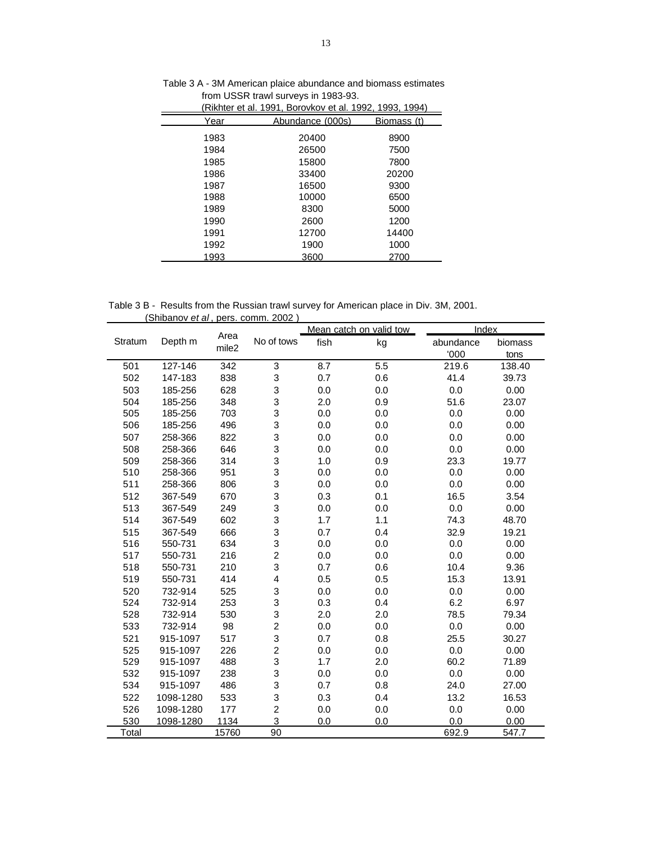|      | (Rikhter et al. 1991, Borovkov et al. 1992, 1993, 1994) |             |
|------|---------------------------------------------------------|-------------|
| Year | Abundance (000s)                                        | Biomass (t) |
| 1983 | 20400                                                   | 8900        |
| 1984 | 26500                                                   | 7500        |
| 1985 | 15800                                                   | 7800        |
| 1986 | 33400                                                   | 20200       |
| 1987 | 16500                                                   | 9300        |
| 1988 | 10000                                                   | 6500        |
| 1989 | 8300                                                    | 5000        |
| 1990 | 2600                                                    | 1200        |
| 1991 | 12700                                                   | 14400       |
| 1992 | 1900                                                    | 1000        |
| 1993 | 3600                                                    | 2700        |

Table 3 A - 3M American plaice abundance and biomass estimates from USSR trawl surveys in 1983-93.

Table 3 B - Results from the Russian trawl survey for American place in Div. 3M, 2001. (Shibanov *et al* , pers. comm. 2002 )

|         |           |                           |                         |      | Mean catch on valid tow | Index     |         |
|---------|-----------|---------------------------|-------------------------|------|-------------------------|-----------|---------|
| Stratum | Depth m   | Area<br>mile <sub>2</sub> | No of tows              | fish | kg                      | abundance | biomass |
|         |           |                           |                         |      |                         | '000      | tons    |
| 501     | 127-146   | 342                       | 3                       | 8.7  | 5.5                     | 219.6     | 138.40  |
| 502     | 147-183   | 838                       | 3                       | 0.7  | 0.6                     | 41.4      | 39.73   |
| 503     | 185-256   | 628                       | 3                       | 0.0  | 0.0                     | 0.0       | 0.00    |
| 504     | 185-256   | 348                       | 3                       | 2.0  | 0.9                     | 51.6      | 23.07   |
| 505     | 185-256   | 703                       | 3                       | 0.0  | 0.0                     | 0.0       | 0.00    |
| 506     | 185-256   | 496                       | 3                       | 0.0  | 0.0                     | 0.0       | 0.00    |
| 507     | 258-366   | 822                       | 3                       | 0.0  | 0.0                     | 0.0       | 0.00    |
| 508     | 258-366   | 646                       | 3                       | 0.0  | 0.0                     | 0.0       | 0.00    |
| 509     | 258-366   | 314                       | 3                       | 1.0  | 0.9                     | 23.3      | 19.77   |
| 510     | 258-366   | 951                       | 3                       | 0.0  | 0.0                     | 0.0       | 0.00    |
| 511     | 258-366   | 806                       | 3                       | 0.0  | 0.0                     | 0.0       | 0.00    |
| 512     | 367-549   | 670                       | 3                       | 0.3  | 0.1                     | 16.5      | 3.54    |
| 513     | 367-549   | 249                       | 3                       | 0.0  | 0.0                     | 0.0       | 0.00    |
| 514     | 367-549   | 602                       | 3                       | 1.7  | 1.1                     | 74.3      | 48.70   |
| 515     | 367-549   | 666                       | 3                       | 0.7  | 0.4                     | 32.9      | 19.21   |
| 516     | 550-731   | 634                       | 3                       | 0.0  | 0.0                     | 0.0       | 0.00    |
| 517     | 550-731   | 216                       | $\overline{\mathbf{c}}$ | 0.0  | 0.0                     | 0.0       | 0.00    |
| 518     | 550-731   | 210                       | 3                       | 0.7  | 0.6                     | 10.4      | 9.36    |
| 519     | 550-731   | 414                       | 4                       | 0.5  | 0.5                     | 15.3      | 13.91   |
| 520     | 732-914   | 525                       | 3                       | 0.0  | 0.0                     | 0.0       | 0.00    |
| 524     | 732-914   | 253                       | 3                       | 0.3  | 0.4                     | 6.2       | 6.97    |
| 528     | 732-914   | 530                       | 3                       | 2.0  | 2.0                     | 78.5      | 79.34   |
| 533     | 732-914   | 98                        | $\overline{c}$          | 0.0  | 0.0                     | 0.0       | 0.00    |
| 521     | 915-1097  | 517                       | 3                       | 0.7  | 0.8                     | 25.5      | 30.27   |
| 525     | 915-1097  | 226                       | $\overline{\mathbf{c}}$ | 0.0  | 0.0                     | 0.0       | 0.00    |
| 529     | 915-1097  | 488                       | 3                       | 1.7  | 2.0                     | 60.2      | 71.89   |
| 532     | 915-1097  | 238                       | 3                       | 0.0  | 0.0                     | 0.0       | 0.00    |
| 534     | 915-1097  | 486                       | 3                       | 0.7  | 0.8                     | 24.0      | 27.00   |
| 522     | 1098-1280 | 533                       | 3                       | 0.3  | 0.4                     | 13.2      | 16.53   |
| 526     | 1098-1280 | 177                       | $\overline{c}$          | 0.0  | 0.0                     | 0.0       | 0.00    |
| 530     | 1098-1280 | 1134                      | 3                       | 0.0  | 0.0                     | 0.0       | 0.00    |
| Total   |           | 15760                     | 90                      |      |                         | 692.9     | 547.7   |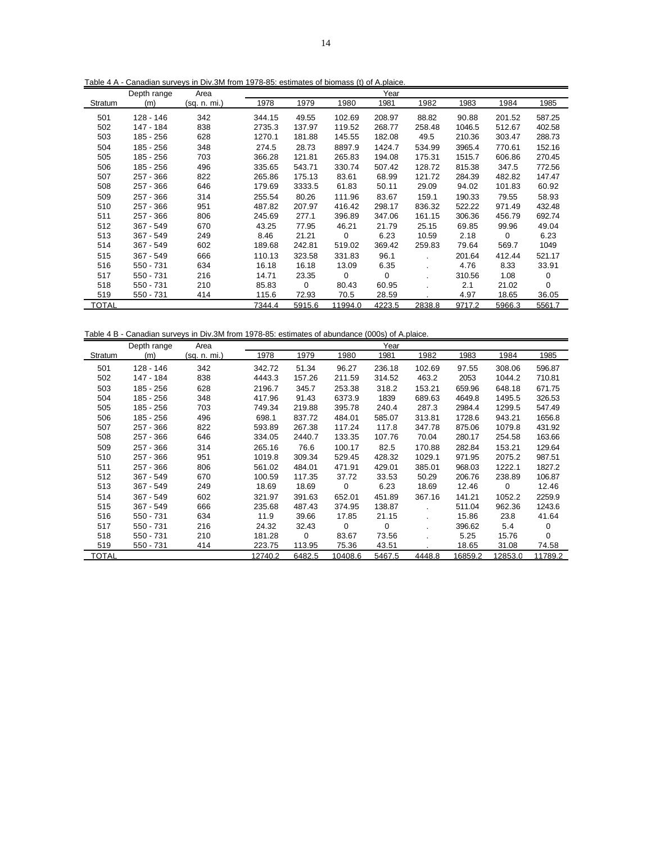Table 4 A - Canadian surveys in Div.3M from 1978-85: estimates of biomass (t) of A.plaice.

|         | Depth range | Area         |        |        |         | Year   |        |        |             |        |
|---------|-------------|--------------|--------|--------|---------|--------|--------|--------|-------------|--------|
| Stratum | (m)         | (sq. n. mi.) | 1978   | 1979   | 1980    | 1981   | 1982   | 1983   | 1984        | 1985   |
| 501     | 128 - 146   | 342          | 344.15 | 49.55  | 102.69  | 208.97 | 88.82  | 90.88  | 201.52      | 587.25 |
| 502     | 147 - 184   | 838          | 2735.3 | 137.97 | 119.52  | 268.77 | 258.48 | 1046.5 | 512.67      | 402.58 |
| 503     | 185 - 256   | 628          | 1270.1 | 181.88 | 145.55  | 182.08 | 49.5   | 210.36 | 303.47      | 288.73 |
| 504     | 185 - 256   | 348          | 274.5  | 28.73  | 8897.9  | 1424.7 | 534.99 | 3965.4 | 770.61      | 152.16 |
| 505     | 185 - 256   | 703          | 366.28 | 121.81 | 265.83  | 194.08 | 175.31 | 1515.7 | 606.86      | 270.45 |
| 506     | 185 - 256   | 496          | 335.65 | 543.71 | 330.74  | 507.42 | 128.72 | 815.38 | 347.5       | 772.56 |
| 507     | $257 - 366$ | 822          | 265.86 | 175.13 | 83.61   | 68.99  | 121.72 | 284.39 | 482.82      | 147.47 |
| 508     | 257 - 366   | 646          | 179.69 | 3333.5 | 61.83   | 50.11  | 29.09  | 94.02  | 101.83      | 60.92  |
| 509     | 257 - 366   | 314          | 255.54 | 80.26  | 111.96  | 83.67  | 159.1  | 190.33 | 79.55       | 58.93  |
| 510     | 257 - 366   | 951          | 487.82 | 207.97 | 416.42  | 298.17 | 836.32 | 522.22 | 971.49      | 432.48 |
| 511     | 257 - 366   | 806          | 245.69 | 277.1  | 396.89  | 347.06 | 161.15 | 306.36 | 456.79      | 692.74 |
| 512     | $367 - 549$ | 670          | 43.25  | 77.95  | 46.21   | 21.79  | 25.15  | 69.85  | 99.96       | 49.04  |
| 513     | $367 - 549$ | 249          | 8.46   | 21.21  | 0       | 6.23   | 10.59  | 2.18   | $\mathbf 0$ | 6.23   |
| 514     | 367 - 549   | 602          | 189.68 | 242.81 | 519.02  | 369.42 | 259.83 | 79.64  | 569.7       | 1049   |
| 515     | $367 - 549$ | 666          | 110.13 | 323.58 | 331.83  | 96.1   |        | 201.64 | 412.44      | 521.17 |
| 516     | 550 - 731   | 634          | 16.18  | 16.18  | 13.09   | 6.35   |        | 4.76   | 8.33        | 33.91  |
| 517     | $550 - 731$ | 216          | 14.71  | 23.35  | 0       | 0      |        | 310.56 | 1.08        | 0      |
| 518     | 550 - 731   | 210          | 85.83  | 0      | 80.43   | 60.95  |        | 2.1    | 21.02       | 0      |
| 519     | 550 - 731   | 414          | 115.6  | 72.93  | 70.5    | 28.59  |        | 4.97   | 18.65       | 36.05  |
| TOTAL   |             |              | 7344.4 | 5915.6 | 11994.0 | 4223.5 | 2838.8 | 9717.2 | 5966.3      | 5561.7 |

Table 4 B - Canadian surveys in Div.3M from 1978-85: estimates of abundance (000s) of A.plaice.

|                | Depth range | Area         |         |             |         | Year        |        |         |         |         |
|----------------|-------------|--------------|---------|-------------|---------|-------------|--------|---------|---------|---------|
| <b>Stratum</b> | (m)         | (sq. n. mi.) | 1978    | 1979        | 1980    | 1981        | 1982   | 1983    | 1984    | 1985    |
| 501            | 128 - 146   | 342          | 342.72  | 51.34       | 96.27   | 236.18      | 102.69 | 97.55   | 308.06  | 596.87  |
| 502            | 147 - 184   | 838          | 4443.3  | 157.26      | 211.59  | 314.52      | 463.2  | 2053    | 1044.2  | 710.81  |
| 503            | 185 - 256   | 628          | 2196.7  | 345.7       | 253.38  | 318.2       | 153.21 | 659.96  | 648.18  | 671.75  |
| 504            | 185 - 256   | 348          | 417.96  | 91.43       | 6373.9  | 1839        | 689.63 | 4649.8  | 1495.5  | 326.53  |
| 505            | 185 - 256   | 703          | 749.34  | 219.88      | 395.78  | 240.4       | 287.3  | 2984.4  | 1299.5  | 547.49  |
| 506            | 185 - 256   | 496          | 698.1   | 837.72      | 484.01  | 585.07      | 313.81 | 1728.6  | 943.21  | 1656.8  |
| 507            | $257 - 366$ | 822          | 593.89  | 267.38      | 117.24  | 117.8       | 347.78 | 875.06  | 1079.8  | 431.92  |
| 508            | 257 - 366   | 646          | 334.05  | 2440.7      | 133.35  | 107.76      | 70.04  | 280.17  | 254.58  | 163.66  |
| 509            | 257 - 366   | 314          | 265.16  | 76.6        | 100.17  | 82.5        | 170.88 | 282.84  | 153.21  | 129.64  |
| 510            | 257 - 366   | 951          | 1019.8  | 309.34      | 529.45  | 428.32      | 1029.1 | 971.95  | 2075.2  | 987.51  |
| 511            | $257 - 366$ | 806          | 561.02  | 484.01      | 471.91  | 429.01      | 385.01 | 968.03  | 1222.1  | 1827.2  |
| 512            | $367 - 549$ | 670          | 100.59  | 117.35      | 37.72   | 33.53       | 50.29  | 206.76  | 238.89  | 106.87  |
| 513            | $367 - 549$ | 249          | 18.69   | 18.69       | 0       | 6.23        | 18.69  | 12.46   | 0       | 12.46   |
| 514            | $367 - 549$ | 602          | 321.97  | 391.63      | 652.01  | 451.89      | 367.16 | 141.21  | 1052.2  | 2259.9  |
| 515            | $367 - 549$ | 666          | 235.68  | 487.43      | 374.95  | 138.87      |        | 511.04  | 962.36  | 1243.6  |
| 516            | 550 - 731   | 634          | 11.9    | 39.66       | 17.85   | 21.15       |        | 15.86   | 23.8    | 41.64   |
| 517            | 550 - 731   | 216          | 24.32   | 32.43       | 0       | $\mathbf 0$ |        | 396.62  | 5.4     | 0       |
| 518            | 550 - 731   | 210          | 181.28  | $\mathbf 0$ | 83.67   | 73.56       |        | 5.25    | 15.76   | 0       |
| 519            | 550 - 731   | 414          | 223.75  | 113.95      | 75.36   | 43.51       |        | 18.65   | 31.08   | 74.58   |
| TOTAL          |             |              | 12740.2 | 6482.5      | 10408.6 | 5467.5      | 4448.8 | 16859.2 | 12853.0 | 11789.2 |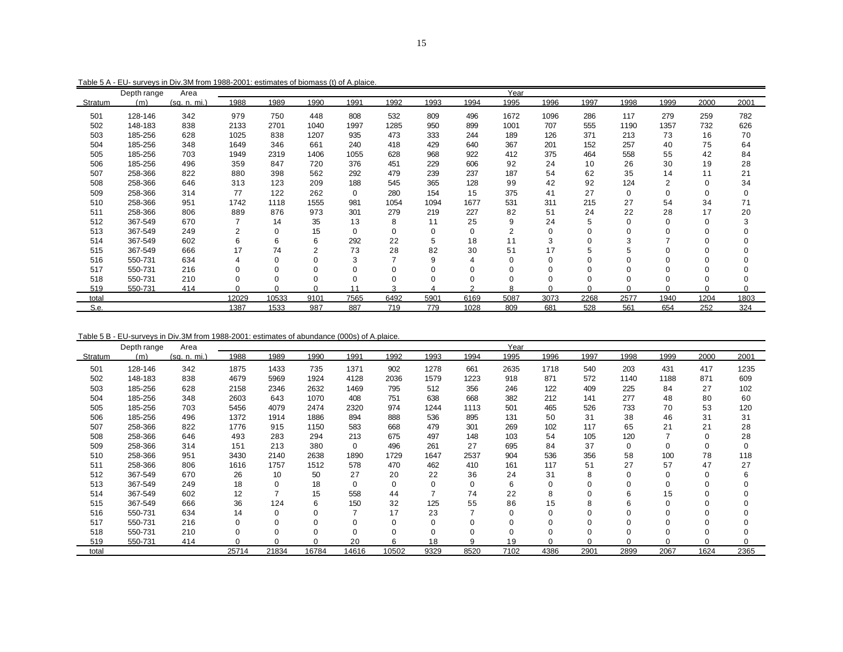|         | Depth range | Area         |          |          |              |          |          |          |        | Year           |          |          |          |                |             |          |
|---------|-------------|--------------|----------|----------|--------------|----------|----------|----------|--------|----------------|----------|----------|----------|----------------|-------------|----------|
| Stratum | (m)         | (sq. n. mi.) | 1988     | 1989     | 1990         | 1991     | 1992     | 1993     | 1994   | 1995           | 1996     | 1997     | 1998     | 1999           | 2000        | 2001     |
| 501     | 128-146     | 342          | 979      | 750      | 448          | 808      | 532      | 809      | 496    | 1672           | 1096     | 286      | 117      | 279            | 259         | 782      |
| 502     | 148-183     | 838          | 2133     | 2701     | 1040         | 1997     | 1285     | 950      | 899    | 1001           | 707      | 555      | 1190     | 1357           | 732         | 626      |
| 503     | 185-256     | 628          | 1025     | 838      | 1207         | 935      | 473      | 333      | 244    | 189            | 126      | 371      | 213      | 73             | 16          | 70       |
| 504     | 185-256     | 348          | 1649     | 346      | 661          | 240      | 418      | 429      | 640    | 367            | 201      | 152      | 257      | 40             | 75          | 64       |
| 505     | 185-256     | 703          | 1949     | 2319     | 1406         | 1055     | 628      | 968      | 922    | 412            | 375      | 464      | 558      | 55             | 42          | 84       |
| 506     | 185-256     | 496          | 359      | 847      | 720          | 376      | 451      | 229      | 606    | 92             | 24       | 10       | 26       | 30             | 19          | 28       |
| 507     | 258-366     | 822          | 880      | 398      | 562          | 292      | 479      | 239      | 237    | 187            | 54       | 62       | 35       | 14             | 11          | 21       |
| 508     | 258-366     | 646          | 313      | 123      | 209          | 188      | 545      | 365      | 128    | 99             | 42       | 92       | 124      | $\overline{2}$ | $\mathbf 0$ | 34       |
| 509     | 258-366     | 314          | 77       | 122      | 262          | 0        | 280      | 154      | 15     | 375            | 41       | 27       | 0        | 0              | 0           | 0        |
| 510     | 258-366     | 951          | 1742     | 1118     | 1555         | 981      | 1054     | 1094     | 1677   | 531            | 311      | 215      | 27       | 54             | 34          | 71       |
| 511     | 258-366     | 806          | 889      | 876      | 973          | 301      | 279      | 219      | 227    | 82             | 51       | 24       | 22       | 28             | 17          | 20       |
| 512     | 367-549     | 670          |          | 14       | 35           | 13       | 8        | 11       | 25     | 9              | 24       | 5        | 0        | $\Omega$       | $\Omega$    |          |
| 513     | 367-549     | 249          | 2        | $\Omega$ | 15           | $\Omega$ | 0        | 0        | 0      | $\overline{2}$ | $\Omega$ |          | $\Omega$ | O              | O           |          |
| 514     | 367-549     | 602          | 6        | 6        | 6            | 292      | 22       | 5        | 18     | 11             | 3        | $\Omega$ | 3        |                | $\Omega$    |          |
| 515     | 367-549     | 666          | 17       | 74       | 2            | 73       | 28       | 82       | 30     | 51             | 17       | 5        | 5        | 0              | 0           |          |
| 516     | 550-731     | 634          |          | O        | 0            | 3        |          | 9        |        | O              | $\Omega$ |          | $\Omega$ | $\Omega$       | 0           |          |
| 517     | 550-731     | 216          | $\Omega$ |          |              |          | $\Omega$ | $\Omega$ |        |                |          |          |          |                | $\Omega$    |          |
| 518     | 550-731     | 210          | $\Omega$ |          |              | $\Omega$ | $\Omega$ | 0        |        | O              |          |          |          | $\Omega$       | 0           | 0        |
| 519     | 550-731     | 414          | $\Omega$ | $\Omega$ | <sup>0</sup> | 11       | 3        |          | $\sim$ | я              | 0        | $\Omega$ | 0        | $\Omega$       | 0           | $\Omega$ |
| total   |             |              | 12029    | 10533    | 9101         | 7565     | 6492     | 5901     | 6169   | 5087           | 3073     | 2268     | 2577     | 1940           | 1204        | 1803     |
| S.e.    |             |              | 1387     | 1533     | 987          | 887      | 719      | 779      | 1028   | 809            | 681      | 528      | 561      | 654            | 252         | 324      |

Table 5 A - EU- surveys in Div.3M from 1988-2001: estimates of biomass (t) of A.plaice.

Table 5 B - EU-surveys in Div.3M from 1988-2001: estimates of abundance (000s) of A.plaice.

|         | Depth range | Area         |       |          |          |                |          |                |          | Year     |          |          |      |                |      |      |
|---------|-------------|--------------|-------|----------|----------|----------------|----------|----------------|----------|----------|----------|----------|------|----------------|------|------|
| Stratum | (m)         | (sq. n. mi.) | 1988  | 1989     | 1990     | 1991           | 1992     | 1993           | 1994     | 1995     | 1996     | 1997     | 1998 | 1999           | 2000 | 2001 |
| 501     | 128-146     | 342          | 1875  | 1433     | 735      | 1371           | 902      | 1278           | 661      | 2635     | 1718     | 540      | 203  | 431            | 417  | 1235 |
| 502     | 148-183     | 838          | 4679  | 5969     | 1924     | 4128           | 2036     | 1579           | 1223     | 918      | 871      | 572      | 1140 | 1188           | 871  | 609  |
| 503     | 185-256     | 628          | 2158  | 2346     | 2632     | 1469           | 795      | 512            | 356      | 246      | 122      | 409      | 225  | 84             | 27   | 102  |
| 504     | 185-256     | 348          | 2603  | 643      | 1070     | 408            | 751      | 638            | 668      | 382      | 212      | 141      | 277  | 48             | 80   | 60   |
| 505     | 185-256     | 703          | 5456  | 4079     | 2474     | 2320           | 974      | 1244           | 1113     | 501      | 465      | 526      | 733  | 70             | 53   | 120  |
| 506     | 185-256     | 496          | 1372  | 1914     | 1886     | 894            | 888      | 536            | 895      | 131      | 50       | 31       | 38   | 46             | 31   | 31   |
| 507     | 258-366     | 822          | 1776  | 915      | 1150     | 583            | 668      | 479            | 301      | 269      | 102      | 117      | 65   | 21             | 21   | 28   |
| 508     | 258-366     | 646          | 493   | 283      | 294      | 213            | 675      | 497            | 148      | 103      | 54       | 105      | 120  | $\overline{7}$ | 0    | 28   |
| 509     | 258-366     | 314          | 151   | 213      | 380      | 0              | 496      | 261            | 27       | 695      | 84       | 37       | 0    | 0              | 0    | 0    |
| 510     | 258-366     | 951          | 3430  | 2140     | 2638     | 1890           | 1729     | 1647           | 2537     | 904      | 536      | 356      | 58   | 100            | 78   | 118  |
| 511     | 258-366     | 806          | 1616  | 1757     | 1512     | 578            | 470      | 462            | 410      | 161      | 117      | 51       | 27   | 57             | 47   | 27   |
| 512     | 367-549     | 670          | 26    | 10       | 50       | 27             | 20       | 22             | 36       | 24       | 31       | 8        |      | $\Omega$       | 0    | 6    |
| 513     | 367-549     | 249          | 18    | $\Omega$ | 18       | 0              | 0        | 0              | 0        | 6        | $\Omega$ | $\Omega$ | 0    | 0              |      |      |
| 514     | 367-549     | 602          | 12    | 7        | 15       | 558            | 44       | $\overline{ }$ | 74       | 22       | 8        | 0        | 6    | 15             |      |      |
| 515     | 367-549     | 666          | 36    | 124      | 6        | 150            | 32       | 125            | 55       | 86       | 15       | 8        | 6    | $\Omega$       |      |      |
| 516     | 550-731     | 634          | 14    | 0        | $\Omega$ | $\overline{7}$ | 17       | 23             |          | $\Omega$ | $\Omega$ | $\Omega$ |      | $\Omega$       |      |      |
| 517     | 550-731     | 216          | 0     |          |          | 0              | 0        | 0              | $\Omega$ |          |          | 0        |      | $\Omega$       |      |      |
| 518     | 550-731     | 210          |       |          |          | $\Omega$       | $\Omega$ | 0              | $\Omega$ |          |          | $\Omega$ |      | $\Omega$       |      |      |
| 519     | 550-731     | 414          |       |          | ∩        | 20             | 6        | 18             | 9        | 19       |          | $\Omega$ |      | ი              |      |      |
| total   |             |              | 25714 | 21834    | 16784    | 14616          | 10502    | 9329           | 8520     | 7102     | 4386     | 2901     | 2899 | 2067           | 1624 | 2365 |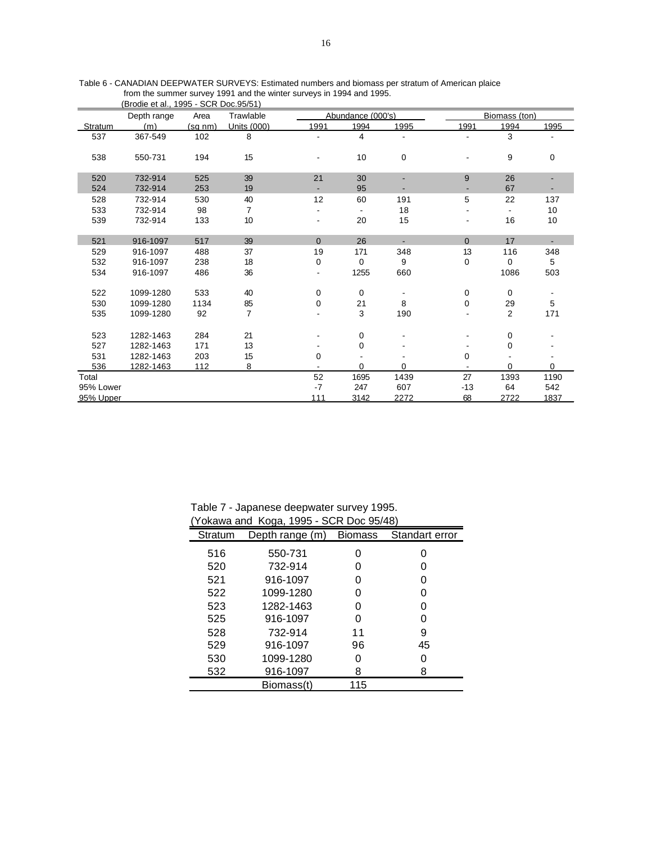|           | (Brodie et al., 1995 - SCR Doc.95/51) |         |                |                |                   |      |             |                |             |
|-----------|---------------------------------------|---------|----------------|----------------|-------------------|------|-------------|----------------|-------------|
|           | Depth range                           | Area    | Trawlable      |                | Abundance (000's) |      |             | Biomass (ton)  |             |
| Stratum   | (m)                                   | (sq nm) | Units (000)    | 1991           | 1994              | 1995 | 1991        | 1994           | 1995        |
| 537       | 367-549                               | 102     | 8              |                | 4                 |      |             | 3              |             |
|           |                                       |         |                |                |                   |      |             |                |             |
| 538       | 550-731                               | 194     | 15             |                | 10                | 0    |             | 9              | $\mathbf 0$ |
|           |                                       |         |                |                |                   |      |             |                |             |
| 520       | 732-914                               | 525     | 39             | 21             | 30                |      | 9           | 26             |             |
| 524       | 732-914                               | 253     | 19             | $\blacksquare$ | 95                |      |             | 67             |             |
| 528       | 732-914                               | 530     | 40             | 12             | 60                | 191  | 5           | 22             | 137         |
| 533       | 732-914                               | 98      | $\overline{7}$ |                |                   | 18   |             |                | 10          |
| 539       | 732-914                               | 133     | 10             | $\blacksquare$ | 20                | 15   |             | 16             | 10          |
|           |                                       |         |                |                |                   |      |             |                |             |
| 521       | 916-1097                              | 517     | 39             | $\Omega$       | 26                |      | $\Omega$    | 17             |             |
| 529       | 916-1097                              | 488     | 37             | 19             | 171               | 348  | 13          | 116            | 348         |
| 532       | 916-1097                              | 238     | 18             | $\pmb{0}$      | $\mathbf 0$       | 9    | 0           | 0              | 5           |
| 534       | 916-1097                              | 486     | 36             |                | 1255              | 660  |             | 1086           | 503         |
|           |                                       |         |                |                |                   |      |             |                |             |
| 522       | 1099-1280                             | 533     | 40             | $\mathbf 0$    | $\mathbf 0$       |      | $\mathbf 0$ | $\mathbf 0$    |             |
| 530       | 1099-1280                             | 1134    | 85             | 0              | 21                | 8    | 0           | 29             | 5           |
| 535       | 1099-1280                             | 92      | $\overline{7}$ |                | 3                 | 190  |             | $\overline{2}$ | 171         |
|           |                                       |         |                |                |                   |      |             |                |             |
| 523       | 1282-1463                             | 284     | 21             |                | 0                 |      |             | 0              |             |
| 527       | 1282-1463                             | 171     | 13             |                | 0                 |      |             | 0              |             |
| 531       | 1282-1463                             | 203     | 15             | 0              |                   |      | 0           |                |             |
| 536       | 1282-1463                             | 112     | 8              |                | $\Omega$          | 0    |             | $\Omega$       | 0           |
| Total     |                                       |         |                | 52             | 1695              | 1439 | 27          | 1393           | 1190        |
| 95% Lower |                                       |         |                | $-7$           | 247               | 607  | $-13$       | 64             | 542         |
| 95% Upper |                                       |         |                | 111            | 3142              | 2272 | 68          | 2722           | 1837        |

Table 6 - CANADIAN DEEPWATER SURVEYS: Estimated numbers and biomass per stratum of American plaice from the summer survey 1991 and the winter surveys in 1994 and 1995.

Table 7 - Japanese deepwater survey 1995. (Yokawa and Koga, 1995 - SCR Doc 95/48)

|         | TUNAWA AHU TUYA, 1995 - SUN DUC 95/40) |                |                |
|---------|----------------------------------------|----------------|----------------|
| Stratum | Depth range (m)                        | <b>Biomass</b> | Standart error |
| 516     | 550-731                                | ი              |                |
| 520     | 732-914                                | O              |                |
| 521     | 916-1097                               | ი              |                |
| 522     | 1099-1280                              | O              | O              |
| 523     | 1282-1463                              | 0              | O              |
| 525     | 916-1097                               | 0              |                |
| 528     | 732-914                                | 11             | 9              |
| 529     | 916-1097                               | 96             | 45             |
| 530     | 1099-1280                              | 0              |                |
| 532     | 916-1097                               | 8              | 8              |
|         | Biomass(t)                             | 115            |                |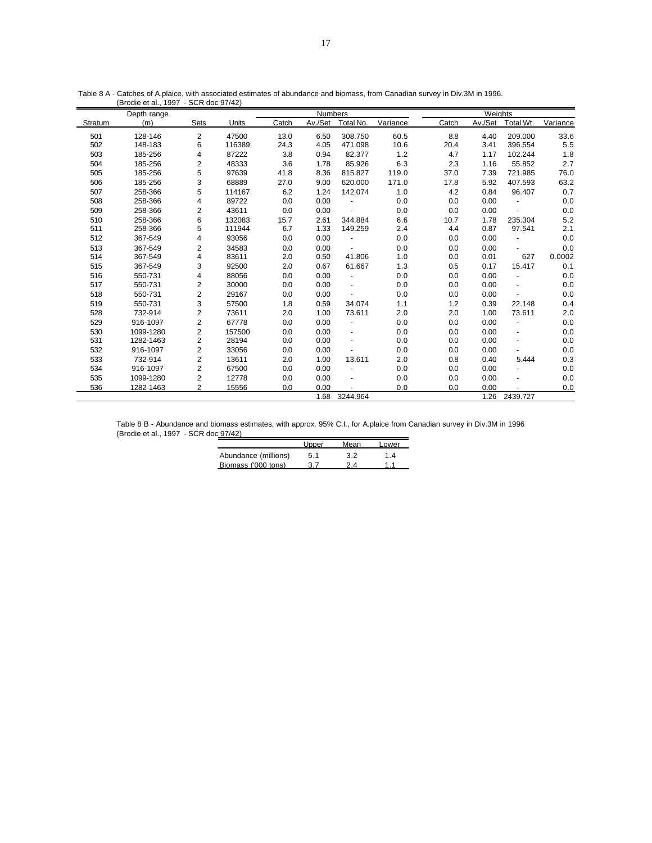|         | Depth range |                |        |       | <b>Numbers</b> |                          |          |       | Weights |                          |          |  |  |  |
|---------|-------------|----------------|--------|-------|----------------|--------------------------|----------|-------|---------|--------------------------|----------|--|--|--|
| Stratum | (m)         | Sets           | Units  | Catch | Av./Set        | Total No.                | Variance | Catch | Av./Set | Total Wt.                | Variance |  |  |  |
| 501     | 128-146     | 2              | 47500  | 13.0  | 6.50           | 308.750                  | 60.5     | 8.8   | 4.40    | 209.000                  | 33.6     |  |  |  |
| 502     | 148-183     | 6              | 116389 | 24.3  | 4.05           | 471.098                  | 10.6     | 20.4  | 3.41    | 396.554                  | 5.5      |  |  |  |
| 503     | 185-256     | 4              | 87222  | 3.8   | 0.94           | 82.377                   | 1.2      | 4.7   | 1.17    | 102.244                  | 1.8      |  |  |  |
| 504     | 185-256     | 2              | 48333  | 3.6   | 1.78           | 85.926                   | 6.3      | 2.3   | 1.16    | 55.852                   | 2.7      |  |  |  |
| 505     | 185-256     | 5              | 97639  | 41.8  | 8.36           | 815.827                  | 119.0    | 37.0  | 7.39    | 721.985                  | 76.0     |  |  |  |
| 506     | 185-256     | 3              | 68889  | 27.0  | 9.00           | 620.000                  | 171.0    | 17.8  | 5.92    | 407.593                  | 63.2     |  |  |  |
| 507     | 258-366     | 5              | 114167 | 6.2   | 1.24           | 142.074                  | 1.0      | 4.2   | 0.84    | 96.407                   | 0.7      |  |  |  |
| 508     | 258-366     | 4              | 89722  | 0.0   | 0.00           | $\blacksquare$           | 0.0      | 0.0   | 0.00    |                          | 0.0      |  |  |  |
| 509     | 258-366     | 2              | 43611  | 0.0   | 0.00           | $\overline{\phantom{a}}$ | 0.0      | 0.0   | 0.00    | $\overline{a}$           | 0.0      |  |  |  |
| 510     | 258-366     | 6              | 132083 | 15.7  | 2.61           | 344.884                  | 6.6      | 10.7  | 1.78    | 235.304                  | 5.2      |  |  |  |
| 511     | 258-366     | 5              | 111944 | 6.7   | 1.33           | 149.259                  | 2.4      | 4.4   | 0.87    | 97.541                   | 2.1      |  |  |  |
| 512     | 367-549     | 4              | 93056  | 0.0   | 0.00           |                          | 0.0      | 0.0   | 0.00    |                          | 0.0      |  |  |  |
| 513     | 367-549     | 2              | 34583  | 0.0   | 0.00           |                          | 0.0      | 0.0   | 0.00    |                          | 0.0      |  |  |  |
| 514     | 367-549     | 4              | 83611  | 2.0   | 0.50           | 41.806                   | 1.0      | 0.0   | 0.01    | 627                      | 0.0002   |  |  |  |
| 515     | 367-549     | 3              | 92500  | 2.0   | 0.67           | 61.667                   | 1.3      | 0.5   | 0.17    | 15.417                   | 0.1      |  |  |  |
| 516     | 550-731     | 4              | 88056  | 0.0   | 0.00           | $\blacksquare$           | 0.0      | 0.0   | 0.00    |                          | 0.0      |  |  |  |
| 517     | 550-731     | 2              | 30000  | 0.0   | 0.00           |                          | 0.0      | 0.0   | 0.00    | $\overline{\phantom{a}}$ | 0.0      |  |  |  |
| 518     | 550-731     | 2              | 29167  | 0.0   | 0.00           |                          | 0.0      | 0.0   | 0.00    |                          | 0.0      |  |  |  |
| 519     | 550-731     | 3              | 57500  | 1.8   | 0.59           | 34.074                   | 1.1      | 1.2   | 0.39    | 22.148                   | 0.4      |  |  |  |
| 528     | 732-914     | 2              | 73611  | 2.0   | 1.00           | 73.611                   | 2.0      | 2.0   | 1.00    | 73.611                   | 2.0      |  |  |  |
| 529     | 916-1097    | 2              | 67778  | 0.0   | 0.00           | $\blacksquare$           | 0.0      | 0.0   | 0.00    | $\overline{\phantom{m}}$ | 0.0      |  |  |  |
| 530     | 1099-1280   | 2              | 157500 | 0.0   | 0.00           | $\blacksquare$           | 0.0      | 0.0   | 0.00    | $\overline{\phantom{a}}$ | 0.0      |  |  |  |
| 531     | 1282-1463   | 2              | 28194  | 0.0   | 0.00           | $\blacksquare$           | 0.0      | 0.0   | 0.00    | ٠                        | 0.0      |  |  |  |
| 532     | 916-1097    | 2              | 33056  | 0.0   | 0.00           |                          | 0.0      | 0.0   | 0.00    | $\overline{\phantom{a}}$ | 0.0      |  |  |  |
| 533     | 732-914     | 2              | 13611  | 2.0   | 1.00           | 13.611                   | 2.0      | 0.8   | 0.40    | 5.444                    | 0.3      |  |  |  |
| 534     | 916-1097    | 2              | 67500  | 0.0   | 0.00           | $\blacksquare$           | 0.0      | 0.0   | 0.00    | ٠                        | 0.0      |  |  |  |
| 535     | 1099-1280   | $\overline{2}$ | 12778  | 0.0   | 0.00           | $\blacksquare$           | 0.0      | 0.0   | 0.00    |                          | 0.0      |  |  |  |
| 536     | 1282-1463   | 2              | 15556  | 0.0   | 0.00           |                          | 0.0      | 0.0   | 0.00    |                          | 0.0      |  |  |  |
|         |             |                |        |       | 1.68           | 3244.964                 |          |       | 1.26    | 2439.727                 |          |  |  |  |

Table 8 A - Catches of A.plaice, with associated estimates of abundance and biomass, from Canadian survey in Div.3M in 1996. (Brodie et al., 1997 - SCR doc 97/42)

Table 8 B - Abundance and biomass estimates, with approx. 95% C.I., for A.plaice from Canadian survey in Div.3M in 1996 (Brodie et al., 1997 - SCR doc 97/42)

|                      | Upper | Mean | Lower |
|----------------------|-------|------|-------|
| Abundance (millions) | 5.1   | 32   | 1.4   |
| Biomass ('000 tons)  |       | 24   |       |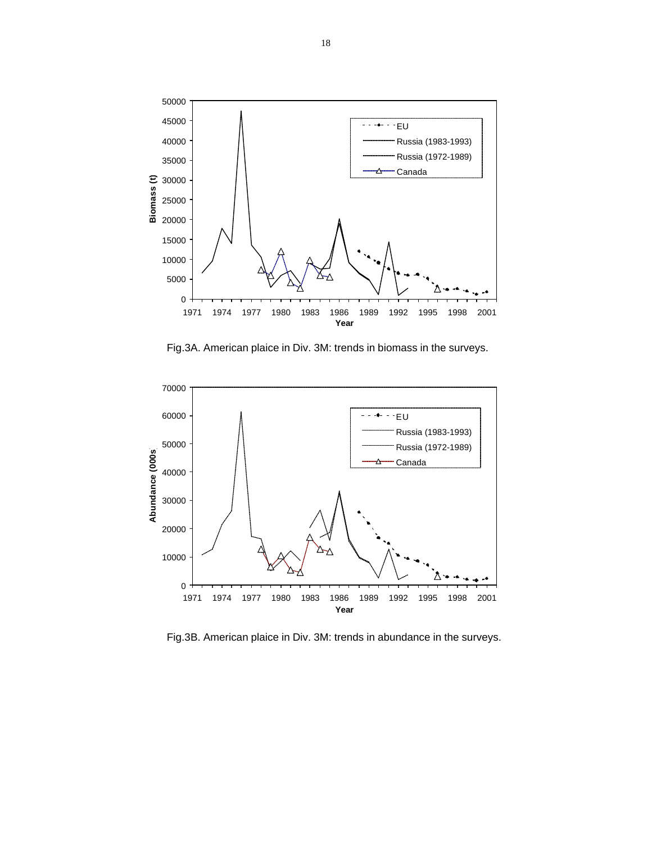

Fig.3A. American plaice in Div. 3M: trends in biomass in the surveys.



Fig.3B. American plaice in Div. 3M: trends in abundance in the surveys.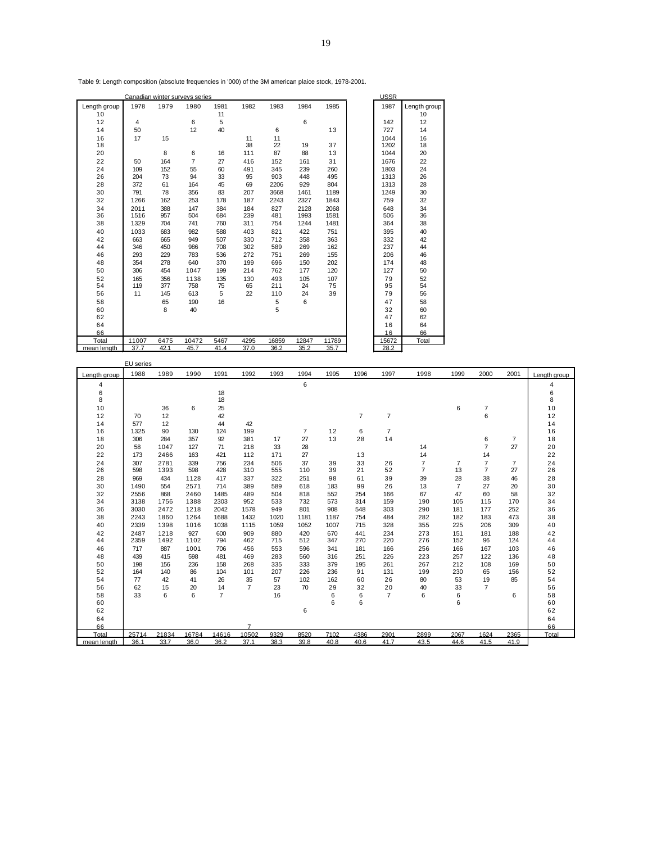|              |      |      | Canadian winter surveys series |      |      |      |      |      | USSF |              |
|--------------|------|------|--------------------------------|------|------|------|------|------|------|--------------|
| ∟ength group | 1978 | 1979 | 1980                           | 1981 | 1982 | 1983 | 1984 | 1985 | 1987 | Length group |
| $\sqrt{2}$   |      |      |                                |      |      |      |      |      | 142  |              |

Table 9: Length composition (absolute frequencies in '000) of the 3M american plaice stock, 1978-2001.

| 12          | 4     |      | 6     | 5    |      |       | 6     |       | 142   | 12    |
|-------------|-------|------|-------|------|------|-------|-------|-------|-------|-------|
| 14          | 50    |      | 12    | 40   |      | 6     |       | 13    | 727   | 14    |
| 16          | 17    | 15   |       |      | 11   | 11    |       |       | 1044  | 16    |
| 18          |       |      |       |      | 38   | 22    | 19    | 37    | 1202  | 18    |
| 20          |       | 8    | 6     | 16   | 111  | 87    | 88    | 13    | 1044  | 20    |
| 22          | 50    | 164  | 7     | 27   | 416  | 152   | 161   | 31    | 1676  | 22    |
| 24          | 109   | 152  | 55    | 60   | 491  | 345   | 239   | 260   | 1803  | 24    |
| 26          | 204   | 73   | 94    | 33   | 95   | 903   | 448   | 495   | 1313  | 26    |
| 28          | 372   | 61   | 164   | 45   | 69   | 2206  | 929   | 804   | 1313  | 28    |
| 30          | 791   | 78   | 356   | 83   | 207  | 3668  | 1461  | 1189  | 1249  | 30    |
| 32          | 1266  | 162  | 253   | 178  | 187  | 2243  | 2327  | 1843  | 759   | 32    |
| 34          | 2011  | 388  | 147   | 384  | 184  | 827   | 2128  | 2068  | 648   | 34    |
| 36          | 1516  | 957  | 504   | 684  | 239  | 481   | 1993  | 1581  | 506   | 36    |
| 38          | 1329  | 704  | 741   | 760  | 311  | 754   | 1244  | 1481  | 364   | 38    |
| 40          | 1033  | 683  | 982   | 588  | 403  | 821   | 422   | 751   | 395   | 40    |
| 42          | 663   | 665  | 949   | 507  | 330  | 712   | 358   | 363   | 332   | 42    |
| 44          | 346   | 450  | 986   | 708  | 302  | 589   | 269   | 162   | 237   | 44    |
| 46          | 293   | 229  | 783   | 536  | 272  | 751   | 269   | 155   | 206   | 46    |
| 48          | 354   | 278  | 640   | 370  | 199  | 696   | 150   | 202   | 174   | 48    |
| 50          | 306   | 454  | 1047  | 199  | 214  | 762   | 177   | 120   | 127   | 50    |
| 52          | 165   | 356  | 1138  | 135  | 130  | 493   | 105   | 107   | 79    | 52    |
| 54          | 119   | 377  | 758   | 75   | 65   | 211   | 24    | 75    | 95    | 54    |
| 56          | 11    | 145  | 613   | 5    | 22   | 110   | 24    | 39    | 79    | 56    |
| 58          |       | 65   | 190   | 16   |      | 5     | 6     |       | 47    | 58    |
| 60          |       | 8    | 40    |      |      | 5     |       |       | 32    | 60    |
| 62          |       |      |       |      |      |       |       |       | 47    | 62    |
| 64          |       |      |       |      |      |       |       |       | 16    | 64    |
| 66          |       |      |       |      |      |       |       |       | 16    | 66    |
| Total       | 11007 | 6475 | 10472 | 5467 | 4295 | 16859 | 12847 | 11789 | 15672 | Total |
| mean length | 37.7  | 42.1 | 45.7  | 41.4 | 37.0 | 36.2  | 35.2  | 35.7  | 28.2  |       |

|              | EU series |       |       |                |                |      |      |      |                |                |                |                |                |                |              |
|--------------|-----------|-------|-------|----------------|----------------|------|------|------|----------------|----------------|----------------|----------------|----------------|----------------|--------------|
| Lenath aroup | 1988      | 1989  | 1990  | 1991           | 1992           | 1993 | 1994 | 1995 | 1996           | 1997           | 1998           | 1999           | 2000           | 2001           | Lenath aroup |
| 4            |           |       |       |                |                |      | 6    |      |                |                |                |                |                |                | 4            |
| 6            |           |       |       | 18             |                |      |      |      |                |                |                |                |                |                | 6            |
| 8            |           |       |       | 18             |                |      |      |      |                |                |                |                |                |                | 8            |
| 10           |           | 36    | 6     | 25             |                |      |      |      |                |                |                | 6              | 7              |                | 10           |
| 12           | 70        | 12    |       | 42             |                |      |      |      | $\overline{7}$ | $\overline{7}$ |                |                | 6              |                | 12           |
| 14           | 577       | 12    |       | 44             | 42             |      |      |      |                |                |                |                |                |                | 14           |
| 16           | 1325      | 90    | 130   | 124            | 199            |      | 7    | 12   | 6              | $\overline{7}$ |                |                |                |                | 16           |
| 18           | 306       | 284   | 357   | 92             | 381            | 17   | 27   | 13   | 28             | 14             |                |                | 6              | $\overline{7}$ | 18           |
| 20           | 58        | 1047  | 127   | 71             | 218            | 33   | 28   |      |                |                | 14             |                | $\overline{7}$ | 27             | 20           |
| 22           | 173       | 2466  | 163   | 421            | 112            | 171  | 27   |      | 13             |                | 14             |                | 14             |                | 22           |
| 24           | 307       | 2781  | 339   | 756            | 234            | 506  | 37   | 39   | 33             | 26             | $\overline{7}$ | 7              | $\overline{7}$ | 7              | 24           |
| 26           | 598       | 1393  | 598   | 428            | 310            | 555  | 110  | 39   | 21             | 52             | 7              | 13             | $\overline{7}$ | 27             | 26           |
| 28           | 969       | 434   | 1128  | 417            | 337            | 322  | 251  | 98   | 61             | 39             | 39             | 28             | 38             | 46             | 28           |
| 30           | 1490      | 554   | 2571  | 714            | 389            | 589  | 618  | 183  | 99             | 26             | 13             | $\overline{7}$ | 27             | 20             | 30           |
| 32           | 2556      | 868   | 2460  | 1485           | 489            | 504  | 818  | 552  | 254            | 166            | 67             | 47             | 60             | 58             | 32           |
| 34           | 3138      | 1756  | 1388  | 2303           | 952            | 533  | 732  | 573  | 314            | 159            | 190            | 105            | 115            | 170            | 34           |
| 36           | 3030      | 2472  | 1218  | 2042           | 1578           | 949  | 801  | 908  | 548            | 303            | 290            | 181            | 177            | 252            | 36           |
| 38           | 2243      | 1860  | 1264  | 1688           | 1432           | 1020 | 1181 | 1187 | 754            | 484            | 282            | 182            | 183            | 473            | 38           |
| 40           | 2339      | 1398  | 1016  | 1038           | 1115           | 1059 | 1052 | 1007 | 715            | 328            | 355            | 225            | 206            | 309            | 40           |
| 42           | 2487      | 1218  | 927   | 600            | 909            | 880  | 420  | 670  | 441            | 234            | 273            | 151            | 181            | 188            | 42           |
| 44           | 2359      | 1492  | 1102  | 794            | 462            | 715  | 512  | 347  | 270            | 220            | 276            | 152            | 96             | 124            | 44           |
| 46           | 717       | 887   | 1001  | 706            | 456            | 553  | 596  | 341  | 181            | 166            | 256            | 166            | 167            | 103            | 46           |
| 48           | 439       | 415   | 598   | 481            | 469            | 283  | 560  | 316  | 251            | 226            | 223            | 257            | 122            | 136            | 48           |
| 50           | 198       | 156   | 236   | 158            | 268            | 335  | 333  | 379  | 195            | 261            | 267            | 212            | 108            | 169            | 50           |
| 52           | 164       | 140   | 86    | 104            | 101            | 207  | 226  | 236  | 91             | 131            | 199            | 230            | 65             | 156            | 52           |
| 54           | 77        | 42    | 41    | 26             | 35             | 57   | 102  | 162  | 60             | 26             | 80             | 53             | 19             | 85             | 54           |
| 56           | 62        | 15    | 20    | 14             | $\overline{7}$ | 23   | 70   | 29   | 32             | 20             | 40             | 33             | $\overline{7}$ |                | 56           |
| 58           | 33        | 6     | 6     | $\overline{7}$ |                | 16   |      | 6    | 6              | $\overline{7}$ | 6              | 6              |                | 6              | 58           |
| 60           |           |       |       |                |                |      |      | 6    | 6              |                |                | 6              |                |                | 60           |
| 62           |           |       |       |                |                |      | 6    |      |                |                |                |                |                |                | 62           |
| 64           |           |       |       |                |                |      |      |      |                |                |                |                |                |                | 64           |
| 66           |           |       |       |                | $\overline{7}$ |      |      |      |                |                |                |                |                |                | 66           |
| Total        | 25714     | 21834 | 16784 | 14616          | 10502          | 9329 | 8520 | 7102 | 4386           | 2901           | 2899           | 2067           | 1624           | 2365           | Total        |
| mean length  | 36.1      | 33.7  | 36.0  | 36.2           | 37.1           | 38.3 | 39.8 | 40.8 | 40.6           | 41.7           | 43.5           | 44.6           | 41.5           | 41.9           |              |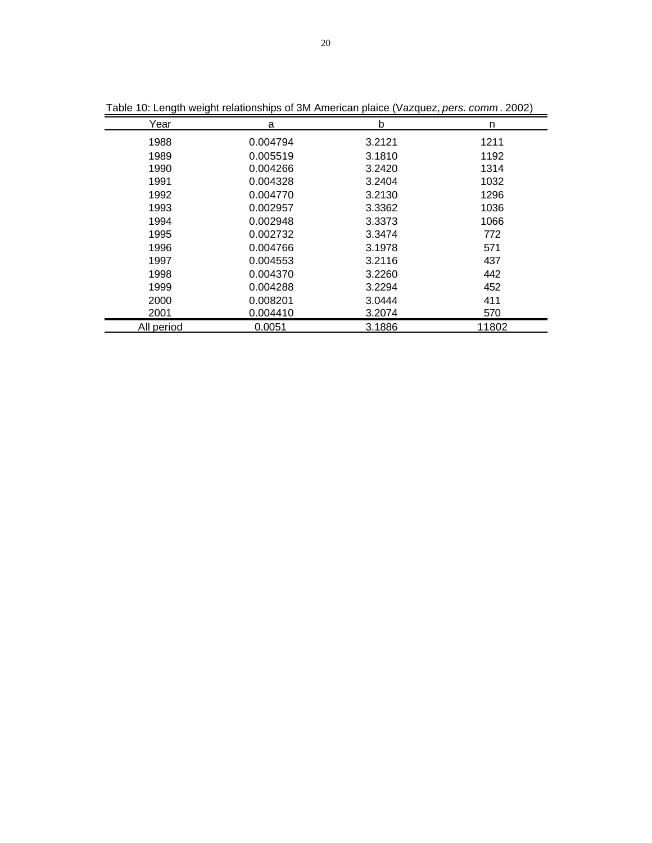| Year       | a        | b      | n     |
|------------|----------|--------|-------|
| 1988       | 0.004794 | 3.2121 | 1211  |
| 1989       | 0.005519 | 3.1810 | 1192  |
| 1990       | 0.004266 | 3.2420 | 1314  |
| 1991       | 0.004328 | 3.2404 | 1032  |
| 1992       | 0.004770 | 3.2130 | 1296  |
| 1993       | 0.002957 | 3.3362 | 1036  |
| 1994       | 0.002948 | 3.3373 | 1066  |
| 1995       | 0.002732 | 3.3474 | 772   |
| 1996       | 0.004766 | 3.1978 | 571   |
| 1997       | 0.004553 | 3.2116 | 437   |
| 1998       | 0.004370 | 3.2260 | 442   |
| 1999       | 0.004288 | 3.2294 | 452   |
| 2000       | 0.008201 | 3.0444 | 411   |
| 2001       | 0.004410 | 3.2074 | 570   |
| All period | 0.0051   | 3.1886 | 11802 |

Table 10: Length weight relationships of 3M American plaice (Vazquez, *pers. comm* . 2002)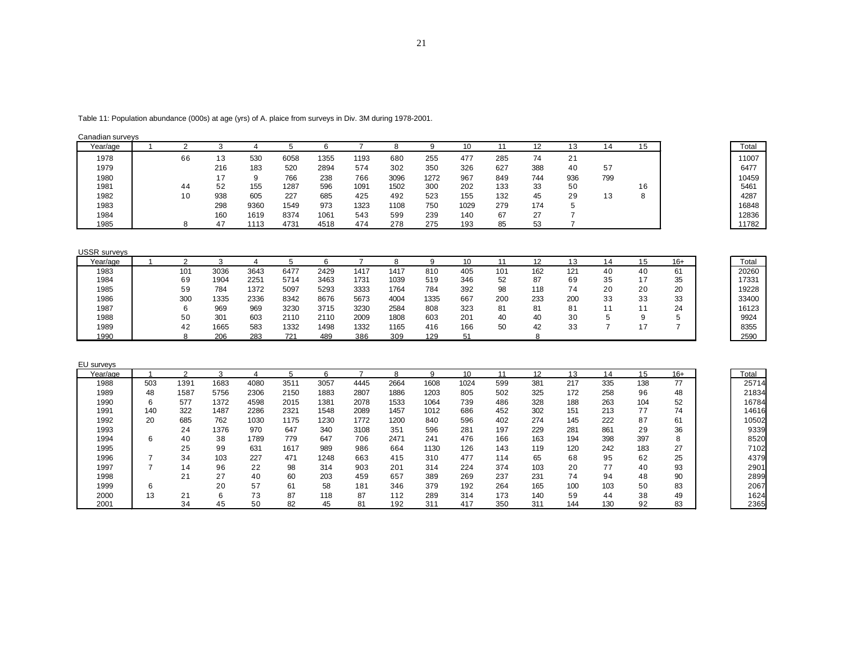| Table 11: Population abundance (000s) at age (yrs) of A. plaice from surveys in Div. 3M during 1978-2001. |  |  |  |  |
|-----------------------------------------------------------------------------------------------------------|--|--|--|--|
|                                                                                                           |  |  |  |  |

| Canadian surveys |  |
|------------------|--|
|                  |  |

| Year/age |     |     |      |      |      |      |      |      | 10   |     |     |     | 14  | 15     | Total |
|----------|-----|-----|------|------|------|------|------|------|------|-----|-----|-----|-----|--------|-------|
| 1978     | 66  | د ا | 530  | 6058 | 1355 | 1193 | 680  | 255  | 477  | 285 | 74  | 21  |     |        | 11007 |
| 1979     |     | 216 | 183  | 520  | 2894 | 574  | 302  | 350  | 326  | 627 | 388 | 40  | 57  |        | 6477  |
| 1980     |     |     |      | 766  | 238  | 766  | 3096 | 1272 | 967  | 849 | 744 | 936 | 799 |        | 10459 |
| 1981     | -44 | 52  | 155  | 1287 | 596  | 1091 | 1502 | 300  | 202  | 133 | 33  | 50  |     | 16     | 5461  |
| 1982     |     | 938 | 605  | 227  | 685  | 425  | 492  | 523  | 155  | 132 | 45  | 29  | 13  | o<br>o | 4287  |
| 1983     |     | 298 | 9360 | 1549 | 973  | 1323 | 1108 | 750  | 1029 | 279 | 174 |     |     |        | 16848 |
| 1984     |     | 160 | 1619 | 8374 | 1061 | 543  | 599  | 239  | 140  | 67  | 27  |     |     |        | 12836 |
| 1985     |     | 17  | 1113 | 4731 | 4518 | 474  | 278  | 275  | 193  | 85  | 53  |     |     |        | 11782 |

| <b>USSR</b> surveys |  |
|---------------------|--|
|---------------------|--|

| Year/age |     |      |      |      |      |      |      |      | 10  |     |     |     |                | 15 | 16+ | Total |
|----------|-----|------|------|------|------|------|------|------|-----|-----|-----|-----|----------------|----|-----|-------|
| 1983     | 101 | 3036 | 3643 | 6477 | 2429 | 1417 | 1417 | 810  | 405 | 101 | 162 | 121 | 40             | 40 | 61  | 20260 |
| 1984     | 69  | 1904 | 2251 | 5714 | 3463 | 1731 | 1039 | 519  | 346 | 52  | 87  | 69  | 35             | 17 | 35  | 17331 |
| 1985     | 59  | 784  | 1372 | 5097 | 5293 | 3333 | 1764 | 784  | 392 | 98  | 118 | 74  | 20             | 20 | 20  | 19228 |
| 1986     | 300 | 1335 | 2336 | 8342 | 8676 | 5673 | 4004 | 1335 | 667 | 200 | 233 | 200 | 33             | 33 | 33  | 33400 |
| 1987     |     | 969  | 969  | 3230 | 3715 | 3230 | 2584 | 808  | 323 | 81  | 81  | 81  | $\overline{A}$ |    | 24  | 16123 |
| 1988     | 50  | 301  | 603  | 2110 | 2110 | 2009 | 1808 | 603  | 201 | 40  | 40  | 30  |                |    | ∽   | 9924  |
| 1989     | 42  | 1665 | 583  | 1332 | 1498 | 1332 | 1165 | 416  | 166 | 50  | 42  | 33  |                |    |     | 8355  |
| 1990     |     | 206  | 283  | 721  | 489  | 386  | 309  | 129  |     |     |     |     |                |    |     | 2590  |

| EU surveys |     |      |      |      |      |      |      |      |      |      |     |     |     |     |     |       |       |
|------------|-----|------|------|------|------|------|------|------|------|------|-----|-----|-----|-----|-----|-------|-------|
| Year/age   |     |      | з    |      | Б.   | 6    |      |      | q    | 10   | 11  | 12  | 13  | 14  | 15  | $16+$ | Total |
| 1988       | 503 | 1391 | 1683 | 4080 | 3511 | 3057 | 4445 | 2664 | 1608 | 1024 | 599 | 381 | 217 | 335 | 138 | 77    | 25714 |
| 1989       | 48  | 1587 | 5756 | 2306 | 2150 | 1883 | 2807 | 1886 | 1203 | 805  | 502 | 325 | 172 | 258 | 96  | 48    | 21834 |
| 1990       | 6   | 577  | 1372 | 4598 | 2015 | 1381 | 2078 | 1533 | 1064 | 739  | 486 | 328 | 188 | 263 | 104 | 52    | 16784 |
| 1991       | 140 | 322  | 1487 | 2286 | 2321 | 1548 | 2089 | 1457 | 1012 | 686  | 452 | 302 | 151 | 213 | 77  | 74    | 14616 |
| 1992       | 20  | 685  | 762  | 1030 | 1175 | 1230 | 1772 | 1200 | 840  | 596  | 402 | 274 | 145 | 222 | 87  | 61    | 10502 |
| 1993       |     | 24   | 1376 | 970  | 647  | 340  | 3108 | 351  | 596  | 281  | 197 | 229 | 281 | 861 | 29  | 36    | 9339  |
| 1994       | 6   | 40   | 38   | 1789 | 779  | 647  | 706  | 2471 | 241  | 476  | 166 | 163 | 194 | 398 | 397 | 8     | 8520  |
| 1995       |     | 25   | 99   | 631  | 1617 | 989  | 986  | 664  | 1130 | 126  | 143 | 119 | 120 | 242 | 183 | 27    | 7102  |
| 1996       |     | 34   | 103  | 227  | 471  | 1248 | 663  | 415  | 310  | 477  | 114 | 65  | 68  | 95  | 62  | 25    | 4379  |
| 1997       |     | 14   | 96   | 22   | 98   | 314  | 903  | 201  | 314  | 224  | 374 | 103 | 20  | 77  | 40  | 93    | 2901  |
| 1998       |     | 21   | 27   | 40   | 60   | 203  | 459  | 657  | 389  | 269  | 237 | 231 | 74  | 94  | 48  | 90    | 2899  |
| 1999       | 6   |      | 20   | 57   | 61   | 58   | 181  | 346  | 379  | 192  | 264 | 165 | 100 | 103 | 50  | 83    | 2067  |
| 2000       | 13  | 21   | 6    | 73   | 87   | 118  | 87   | 112  | 289  | 314  | 173 | 140 | 59  | 44  | 38  | 49    | 1624  |
| 2001       |     | 34   | 45   | 50   | 82   | 45   | 81   | 192  | 311  | 417  | 350 | 311 | 144 | 130 | 92  | 83    | 2365  |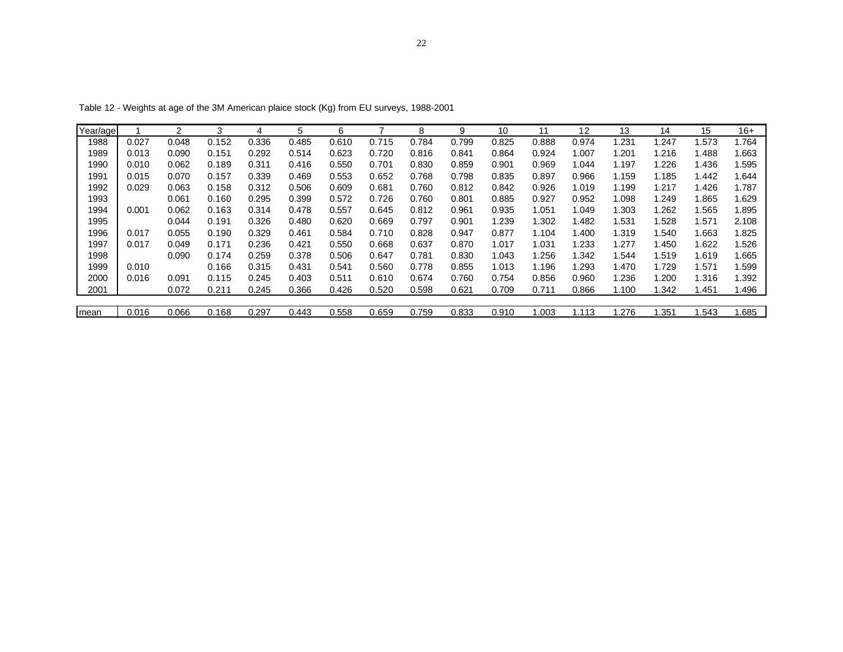| Year/age |       | 2     | 3     | 4     | 5     | 6     |       | 8     | 9     | 10    | 11    | 12    | 13    | 14    | 15    | $16+$ |
|----------|-------|-------|-------|-------|-------|-------|-------|-------|-------|-------|-------|-------|-------|-------|-------|-------|
| 1988     | 0.027 | 0.048 | 0.152 | 0.336 | 0.485 | 0.610 | 0.715 | 0.784 | 0.799 | 0.825 | 0.888 | 0.974 | 1.231 | .247  | 1.573 | 1.764 |
| 1989     | 0.013 | 0.090 | 0.151 | 0.292 | 0.514 | 0.623 | 0.720 | 0.816 | 0.841 | 0.864 | 0.924 | 1.007 | 1.201 | .216  | 1.488 | 1.663 |
| 1990     | 0.010 | 0.062 | 0.189 | 0.311 | 0.416 | 0.550 | 0.701 | 0.830 | 0.859 | 0.901 | 0.969 | 1.044 | 1.197 | 1.226 | 1.436 | 1.595 |
| 1991     | 0.015 | 0.070 | 0.157 | 0.339 | 0.469 | 0.553 | 0.652 | 0.768 | 0.798 | 0.835 | 0.897 | 0.966 | 1.159 | 1.185 | 1.442 | 1.644 |
| 1992     | 0.029 | 0.063 | 0.158 | 0.312 | 0.506 | 0.609 | 0.681 | 0.760 | 0.812 | 0.842 | 0.926 | 1.019 | 1.199 | 1.217 | 1.426 | 1.787 |
| 1993     |       | 0.061 | 0.160 | 0.295 | 0.399 | 0.572 | 0.726 | 0.760 | 0.801 | 0.885 | 0.927 | 0.952 | 1.098 | .249  | 1.865 | 1.629 |
| 1994     | 0.001 | 0.062 | 0.163 | 0.314 | 0.478 | 0.557 | 0.645 | 0.812 | 0.961 | 0.935 | 1.051 | 1.049 | 1.303 | 1.262 | 1.565 | 1.895 |
| 1995     |       | 0.044 | 0.191 | 0.326 | 0.480 | 0.620 | 0.669 | 0.797 | 0.901 | 1.239 | 1.302 | 1.482 | 1.531 | 1.528 | 1.571 | 2.108 |
| 1996     | 0.017 | 0.055 | 0.190 | 0.329 | 0.461 | 0.584 | 0.710 | 0.828 | 0.947 | 0.877 | 1.104 | 1.400 | 1.319 | 1.540 | 1.663 | 1.825 |
| 1997     | 0.017 | 0.049 | 0.171 | 0.236 | 0.421 | 0.550 | 0.668 | 0.637 | 0.870 | 1.017 | 1.031 | 1.233 | 1.277 | 1.450 | 1.622 | 1.526 |
| 1998     |       | 0.090 | 0.174 | 0.259 | 0.378 | 0.506 | 0.647 | 0.781 | 0.830 | 1.043 | 1.256 | 1.342 | 1.544 | 1.519 | 1.619 | 1.665 |
| 1999     | 0.010 |       | 0.166 | 0.315 | 0.431 | 0.541 | 0.560 | 0.778 | 0.855 | 1.013 | 1.196 | 1.293 | 1.470 | 1.729 | 1.571 | 1.599 |
| 2000     | 0.016 | 0.091 | 0.115 | 0.245 | 0.403 | 0.511 | 0.610 | 0.674 | 0.760 | 0.754 | 0.856 | 0.960 | 1.236 | .200  | 1.316 | 1.392 |
| 2001     |       | 0.072 | 0.211 | 0.245 | 0.366 | 0.426 | 0.520 | 0.598 | 0.621 | 0.709 | 0.711 | 0.866 | 1.100 | .342  | 1.451 | 1.496 |
|          |       |       |       |       |       |       |       |       |       |       |       |       |       |       |       |       |
| mean     | 0.016 | 0.066 | 0.168 | 0.297 | 0.443 | 0.558 | 0.659 | 0.759 | 0.833 | 0.910 | 1.003 | 1.113 | 1.276 | .351  | .543  | 1.685 |

Table 12 - Weights at age of the 3M American plaice stock (Kg) from EU surveys, 1988-2001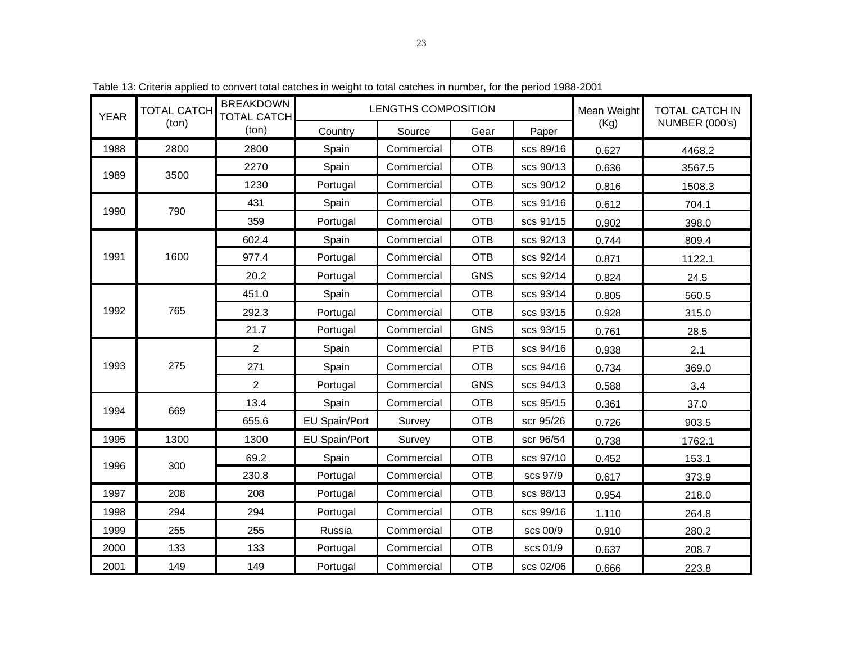| <b>YEAR</b> | <b>TOTAL CATCH</b> | <b>BREAKDOWN</b><br><b>TOTAL CATCH</b> | LENGTHS COMPOSITION | Mean Weight | <b>TOTAL CATCH IN</b> |           |       |                       |
|-------------|--------------------|----------------------------------------|---------------------|-------------|-----------------------|-----------|-------|-----------------------|
|             | (ton)              | (ton)                                  | Country             | Source      | Gear                  | Paper     | (Kg)  | <b>NUMBER (000's)</b> |
| 1988        | 2800               | 2800                                   | Spain               | Commercial  | <b>OTB</b>            | scs 89/16 | 0.627 | 4468.2                |
| 1989        | 3500               | 2270                                   | Spain               | Commercial  | <b>OTB</b>            | scs 90/13 | 0.636 | 3567.5                |
|             |                    | 1230                                   | Portugal            | Commercial  | <b>OTB</b>            | scs 90/12 | 0.816 | 1508.3                |
| 1990        | 790                | 431                                    | Spain               | Commercial  | <b>OTB</b>            | scs 91/16 | 0.612 | 704.1                 |
|             |                    | 359                                    | Portugal            | Commercial  | <b>OTB</b>            | scs 91/15 | 0.902 | 398.0                 |
|             |                    | 602.4                                  | Spain               | Commercial  | <b>OTB</b>            | scs 92/13 | 0.744 | 809.4                 |
| 1991        | 1600               | 977.4                                  | Portugal            | Commercial  | <b>OTB</b>            | scs 92/14 | 0.871 | 1122.1                |
|             |                    | 20.2                                   | Portugal            | Commercial  | <b>GNS</b>            | scs 92/14 | 0.824 | 24.5                  |
|             |                    | 451.0                                  | Spain               | Commercial  | <b>OTB</b>            | scs 93/14 | 0.805 | 560.5                 |
| 1992        | 765                | 292.3                                  | Portugal            | Commercial  | <b>OTB</b>            | scs 93/15 | 0.928 | 315.0                 |
|             |                    | 21.7                                   | Portugal            | Commercial  | <b>GNS</b>            | scs 93/15 | 0.761 | 28.5                  |
|             |                    | $\overline{2}$                         | Spain               | Commercial  | PTB                   | scs 94/16 | 0.938 | 2.1                   |
| 1993        | 275                | 271                                    | Spain               | Commercial  | <b>OTB</b>            | scs 94/16 | 0.734 | 369.0                 |
|             |                    | $\overline{2}$                         | Portugal            | Commercial  | <b>GNS</b>            | scs 94/13 | 0.588 | 3.4                   |
| 1994        | 669                | 13.4                                   | Spain               | Commercial  | <b>OTB</b>            | scs 95/15 | 0.361 | 37.0                  |
|             |                    | 655.6                                  | EU Spain/Port       | Survey      | <b>OTB</b>            | scr 95/26 | 0.726 | 903.5                 |
| 1995        | 1300               | 1300                                   | EU Spain/Port       | Survey      | <b>OTB</b>            | scr 96/54 | 0.738 | 1762.1                |
| 1996        | 300                | 69.2                                   | Spain               | Commercial  | <b>OTB</b>            | scs 97/10 | 0.452 | 153.1                 |
|             |                    | 230.8                                  | Portugal            | Commercial  | <b>OTB</b>            | scs 97/9  | 0.617 | 373.9                 |
| 1997        | 208                | 208                                    | Portugal            | Commercial  | <b>OTB</b>            | scs 98/13 | 0.954 | 218.0                 |
| 1998        | 294                | 294                                    | Portugal            | Commercial  | <b>OTB</b>            | scs 99/16 | 1.110 | 264.8                 |
| 1999        | 255                | 255                                    | Russia              | Commercial  | <b>OTB</b>            | scs 00/9  | 0.910 | 280.2                 |
| 2000        | 133                | 133                                    | Portugal            | Commercial  | <b>OTB</b>            | scs 01/9  | 0.637 | 208.7                 |
| 2001        | 149                | 149                                    | Portugal            | Commercial  | <b>OTB</b>            | scs 02/06 | 0.666 | 223.8                 |

Table 13: Criteria applied to convert total catches in weight to total catches in number, for the period 1988-2001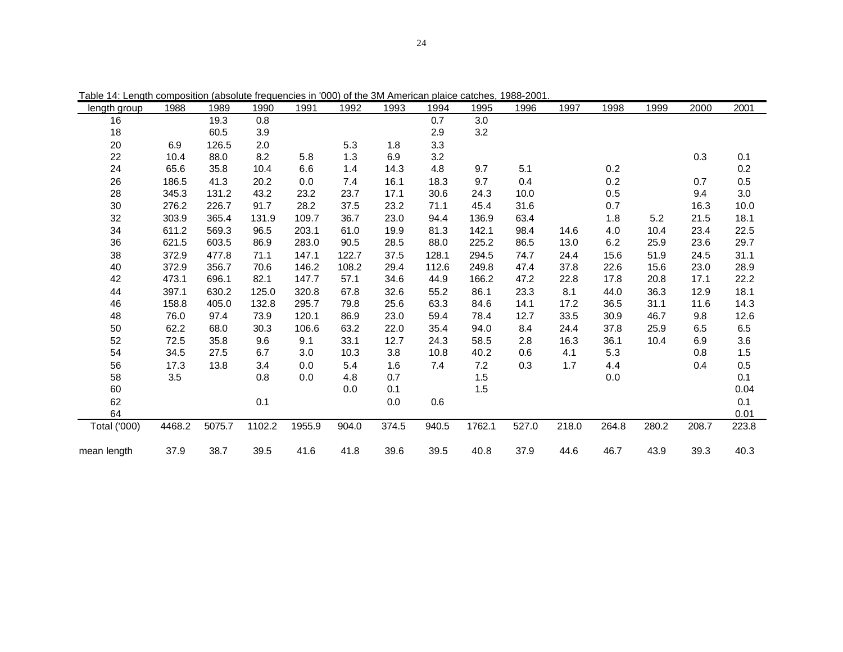| rable 14. Lengin composition (absolute requencies in  000) or the 3M American plaice catches,  1966-2001. |        |        |        |        |       |       |       |        |       |       |       |       |       |       |
|-----------------------------------------------------------------------------------------------------------|--------|--------|--------|--------|-------|-------|-------|--------|-------|-------|-------|-------|-------|-------|
| length group                                                                                              | 1988   | 1989   | 1990   | 1991   | 1992  | 1993  | 1994  | 1995   | 1996  | 1997  | 1998  | 1999  | 2000  | 2001  |
| 16                                                                                                        |        | 19.3   | 0.8    |        |       |       | 0.7   | 3.0    |       |       |       |       |       |       |
| 18                                                                                                        |        | 60.5   | 3.9    |        |       |       | 2.9   | 3.2    |       |       |       |       |       |       |
| 20                                                                                                        | 6.9    | 126.5  | 2.0    |        | 5.3   | 1.8   | 3.3   |        |       |       |       |       |       |       |
| 22                                                                                                        | 10.4   | 88.0   | 8.2    | 5.8    | 1.3   | 6.9   | 3.2   |        |       |       |       |       | 0.3   | 0.1   |
| 24                                                                                                        | 65.6   | 35.8   | 10.4   | 6.6    | 1.4   | 14.3  | 4.8   | 9.7    | 5.1   |       | 0.2   |       |       | 0.2   |
| 26                                                                                                        | 186.5  | 41.3   | 20.2   | 0.0    | 7.4   | 16.1  | 18.3  | 9.7    | 0.4   |       | 0.2   |       | 0.7   | 0.5   |
| 28                                                                                                        | 345.3  | 131.2  | 43.2   | 23.2   | 23.7  | 17.1  | 30.6  | 24.3   | 10.0  |       | 0.5   |       | 9.4   | 3.0   |
| 30                                                                                                        | 276.2  | 226.7  | 91.7   | 28.2   | 37.5  | 23.2  | 71.1  | 45.4   | 31.6  |       | 0.7   |       | 16.3  | 10.0  |
| 32                                                                                                        | 303.9  | 365.4  | 131.9  | 109.7  | 36.7  | 23.0  | 94.4  | 136.9  | 63.4  |       | 1.8   | 5.2   | 21.5  | 18.1  |
| 34                                                                                                        | 611.2  | 569.3  | 96.5   | 203.1  | 61.0  | 19.9  | 81.3  | 142.1  | 98.4  | 14.6  | 4.0   | 10.4  | 23.4  | 22.5  |
| 36                                                                                                        | 621.5  | 603.5  | 86.9   | 283.0  | 90.5  | 28.5  | 88.0  | 225.2  | 86.5  | 13.0  | 6.2   | 25.9  | 23.6  | 29.7  |
| 38                                                                                                        | 372.9  | 477.8  | 71.1   | 147.1  | 122.7 | 37.5  | 128.1 | 294.5  | 74.7  | 24.4  | 15.6  | 51.9  | 24.5  | 31.1  |
| 40                                                                                                        | 372.9  | 356.7  | 70.6   | 146.2  | 108.2 | 29.4  | 112.6 | 249.8  | 47.4  | 37.8  | 22.6  | 15.6  | 23.0  | 28.9  |
| 42                                                                                                        | 473.1  | 696.1  | 82.1   | 147.7  | 57.1  | 34.6  | 44.9  | 166.2  | 47.2  | 22.8  | 17.8  | 20.8  | 17.1  | 22.2  |
| 44                                                                                                        | 397.1  | 630.2  | 125.0  | 320.8  | 67.8  | 32.6  | 55.2  | 86.1   | 23.3  | 8.1   | 44.0  | 36.3  | 12.9  | 18.1  |
| 46                                                                                                        | 158.8  | 405.0  | 132.8  | 295.7  | 79.8  | 25.6  | 63.3  | 84.6   | 14.1  | 17.2  | 36.5  | 31.1  | 11.6  | 14.3  |
| 48                                                                                                        | 76.0   | 97.4   | 73.9   | 120.1  | 86.9  | 23.0  | 59.4  | 78.4   | 12.7  | 33.5  | 30.9  | 46.7  | 9.8   | 12.6  |
| 50                                                                                                        | 62.2   | 68.0   | 30.3   | 106.6  | 63.2  | 22.0  | 35.4  | 94.0   | 8.4   | 24.4  | 37.8  | 25.9  | 6.5   | 6.5   |
| 52                                                                                                        | 72.5   | 35.8   | 9.6    | 9.1    | 33.1  | 12.7  | 24.3  | 58.5   | 2.8   | 16.3  | 36.1  | 10.4  | 6.9   | 3.6   |
| 54                                                                                                        | 34.5   | 27.5   | 6.7    | 3.0    | 10.3  | 3.8   | 10.8  | 40.2   | 0.6   | 4.1   | 5.3   |       | 0.8   | 1.5   |
| 56                                                                                                        | 17.3   | 13.8   | 3.4    | 0.0    | 5.4   | 1.6   | 7.4   | 7.2    | 0.3   | 1.7   | 4.4   |       | 0.4   | 0.5   |
| 58                                                                                                        | 3.5    |        | 0.8    | 0.0    | 4.8   | 0.7   |       | 1.5    |       |       | 0.0   |       |       | 0.1   |
| 60                                                                                                        |        |        |        |        | 0.0   | 0.1   |       | 1.5    |       |       |       |       |       | 0.04  |
| 62                                                                                                        |        |        | 0.1    |        |       | 0.0   | 0.6   |        |       |       |       |       |       | 0.1   |
| 64                                                                                                        |        |        |        |        |       |       |       |        |       |       |       |       |       | 0.01  |
| Total ('000)                                                                                              | 4468.2 | 5075.7 | 1102.2 | 1955.9 | 904.0 | 374.5 | 940.5 | 1762.1 | 527.0 | 218.0 | 264.8 | 280.2 | 208.7 | 223.8 |
|                                                                                                           |        |        |        |        |       |       |       |        |       |       |       |       |       |       |
| mean length                                                                                               | 37.9   | 38.7   | 39.5   | 41.6   | 41.8  | 39.6  | 39.5  | 40.8   | 37.9  | 44.6  | 46.7  | 43.9  | 39.3  | 40.3  |

Table 14: Length composition (absolute frequencies in '000) of the 3M American plaice catches, 1988-2001.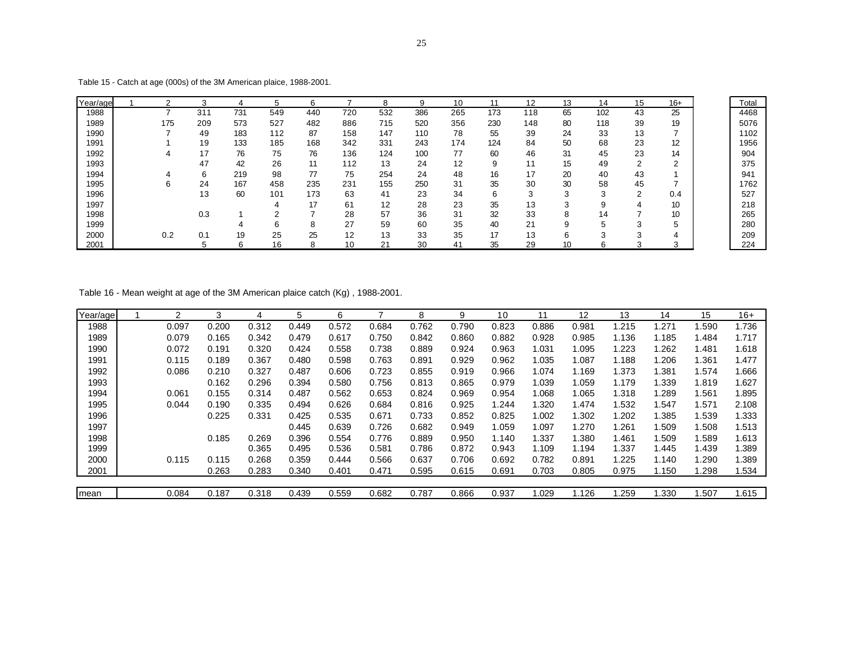| Year/age |     |     |     |     | ĥ   |     |     |     | 10  | 11  | 12  | 13         | 14  | 15            | $16+$  |
|----------|-----|-----|-----|-----|-----|-----|-----|-----|-----|-----|-----|------------|-----|---------------|--------|
| 1988     |     | 31' | 731 | 549 | 440 | 720 | 532 | 386 | 265 | 173 | 118 | 65         | 102 | 43            | 25     |
| 1989     | 175 | 209 | 573 | 527 | 482 | 886 | 715 | 520 | 356 | 230 | 148 | 80         | 118 | 39            | 19     |
| 1990     |     | 49  | 183 | 112 | 87  | 158 | 147 | 110 | 78  | 55  | 39  | 24         | 33  | 13            |        |
| 1991     |     | 19  | 133 | 185 | 168 | 342 | 331 | 243 | 174 | 124 | 84  | 50         | 68  | 23            | 12     |
| 1992     |     | 17  | 76  | 75  | 76  | 136 | 124 | 100 | 77  | 60  | 46  | 31         | 45  | 23            | 14     |
| 1993     |     | 47  | 42  | 26  | 11  | 112 | 13  | 24  | 12  | 9   | 11  | 15         | 49  | $\mathcal{D}$ | $\sim$ |
| 1994     |     | 6   | 219 | 98  | 77  | 75  | 254 | 24  | 48  | 16  | 17  | 20         | 40  | 43            |        |
| 1995     |     | 24  | 167 | 458 | 235 | 231 | 155 | 250 | 31  | 35  | 30  | 30         | 58  | 45            |        |
| 1996     |     | 13  | 60  | 101 | 173 | 63  | 41  | 23  | 34  | 6   | 3   | 3          | 3   | C             | 0.4    |
| 1997     |     |     |     | 4   | 17  | 61  | 12  | 28  | 23  | 35  | 13  | $\sqrt{2}$ | 9   |               | 10     |
| 1998     |     | 0.3 |     | ◠   |     | 28  | 57  | 36  | 31  | 32  | 33  |            | 14  |               | 10     |
| 1999     |     |     | 4   | 6   | 8   | 27  | 59  | 60  | 35  | 40  | 21  | 9          |     | $\sqrt{2}$    |        |
| 2000     | 0.2 | 0.1 | 19  | 25  | 25  | 12  | 13  | 33  | 35  | 17  | 13  | 6          |     |               | 4      |
| 2001     |     | 5   | 6   | 16  | 8   | 10  | 21  | 30  | 41  | 35  | 29  | 10         | 6   |               |        |

Table 15 - Catch at age (000s) of the 3M American plaice, 1988-2001.

Table 16 - Mean weight at age of the 3M American plaice catch (Kg) , 1988-2001.

| Year/age | າ     | 3     |       | 5     | 6     |       | 8     | 9     | 10    | 11    | 12    | 13    | 14    | 15    | $16+$ |
|----------|-------|-------|-------|-------|-------|-------|-------|-------|-------|-------|-------|-------|-------|-------|-------|
| 1988     | 0.097 | 0.200 | 0.312 | 0.449 | 0.572 | 0.684 | 0.762 | 0.790 | 0.823 | 0.886 | 0.981 | 1.215 | 1.271 | .590  | 1.736 |
| 1989     | 0.079 | 0.165 | 0.342 | 0.479 | 0.617 | 0.750 | 0.842 | 0.860 | 0.882 | 0.928 | 0.985 | 1.136 | 1.185 | .484  | 1.717 |
| 1990     | 0.072 | 0.191 | 0.320 | 0.424 | 0.558 | 0.738 | 0.889 | 0.924 | 0.963 | 1.031 | 1.095 | 1.223 | 1.262 | 1.481 | 1.618 |
| 1991     | 0.115 | 0.189 | 0.367 | 0.480 | 0.598 | 0.763 | 0.891 | 0.929 | 0.962 | 1.035 | 1.087 | 1.188 | 1.206 | .361  | 1.477 |
| 1992     | 0.086 | 0.210 | 0.327 | 0.487 | 0.606 | 0.723 | 0.855 | 0.919 | 0.966 | 1.074 | 1.169 | 1.373 | 1.381 | .574  | 1.666 |
| 1993     |       | 0.162 | 0.296 | 0.394 | 0.580 | 0.756 | 0.813 | 0.865 | 0.979 | 1.039 | 1.059 | 1.179 | 1.339 | 1.819 | 1.627 |
| 1994     | 0.061 | 0.155 | 0.314 | 0.487 | 0.562 | 0.653 | 0.824 | 0.969 | 0.954 | 1.068 | 1.065 | 1.318 | 1.289 | .561  | 1.895 |
| 1995     | 0.044 | 0.190 | 0.335 | 0.494 | 0.626 | 0.684 | 0.816 | 0.925 | 1.244 | 1.320 | 1.474 | 1.532 | 1.547 | .571  | 2.108 |
| 1996     |       | 0.225 | 0.331 | 0.425 | 0.535 | 0.671 | 0.733 | 0.852 | 0.825 | 1.002 | 1.302 | 1.202 | 1.385 | 1.539 | 1.333 |
| 1997     |       |       |       | 0.445 | 0.639 | 0.726 | 0.682 | 0.949 | 1.059 | 1.097 | 1.270 | 1.261 | 1.509 | .508  | 1.513 |
| 1998     |       | 0.185 | 0.269 | 0.396 | 0.554 | 0.776 | 0.889 | 0.950 | 1.140 | 1.337 | 1.380 | 1.461 | 1.509 | .589  | 1.613 |
| 1999     |       |       | 0.365 | 0.495 | 0.536 | 0.581 | 0.786 | 0.872 | 0.943 | 1.109 | 1.194 | 1.337 | 1.445 | .439  | 1.389 |
| 2000     | 0.115 | 0.115 | 0.268 | 0.359 | 0.444 | 0.566 | 0.637 | 0.706 | 0.692 | 0.782 | 0.891 | 1.225 | 1.140 | .290  | 1.389 |
| 2001     |       | 0.263 | 0.283 | 0.340 | 0.401 | 0.471 | 0.595 | 0.615 | 0.691 | 0.703 | 0.805 | 0.975 | 1.150 | .298  | 1.534 |
|          |       |       |       |       |       |       |       |       |       |       |       |       |       |       |       |
| mean     | 0.084 | 0.187 | 0.318 | 0.439 | 0.559 | 0.682 | 0.787 | 0.866 | 0.937 | 1.029 | 1.126 | 1.259 | .330  | .507  | 1.615 |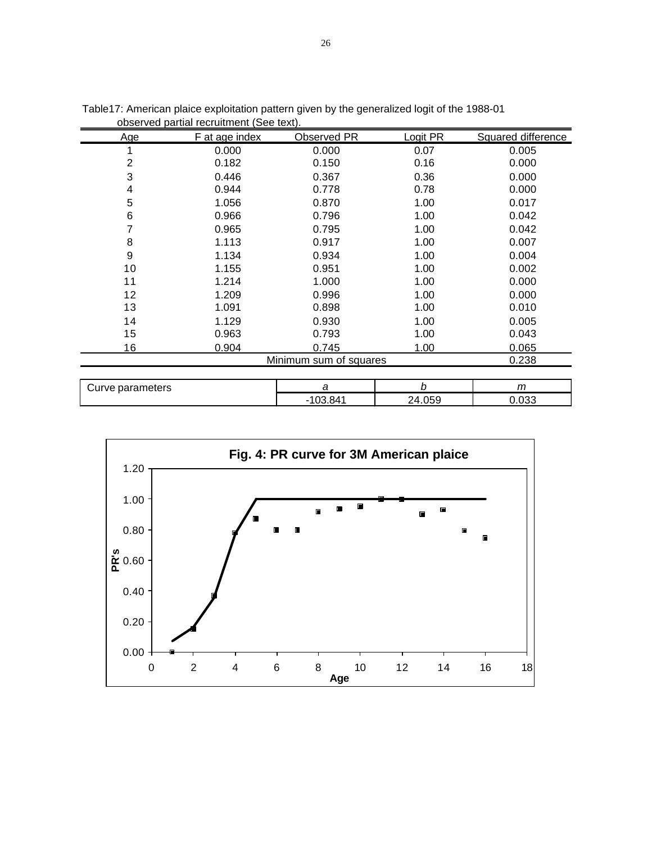|                  | obscrvcu partiar recruitment (Occ text). |                        |          |                    |
|------------------|------------------------------------------|------------------------|----------|--------------------|
| Age              | F at age index                           | Observed PR            | Logit PR | Squared difference |
|                  | 0.000                                    | 0.000                  | 0.07     | 0.005              |
| 2                | 0.182                                    | 0.150                  | 0.16     | 0.000              |
| 3                | 0.446                                    | 0.367                  | 0.36     | 0.000              |
| 4                | 0.944                                    | 0.778                  | 0.78     | 0.000              |
| 5                | 1.056                                    | 0.870                  | 1.00     | 0.017              |
| 6                | 0.966                                    | 0.796                  | 1.00     | 0.042              |
|                  | 0.965                                    | 0.795                  | 1.00     | 0.042              |
| 8                | 1.113                                    | 0.917                  | 1.00     | 0.007              |
| 9                | 1.134                                    | 0.934                  | 1.00     | 0.004              |
| 10               | 1.155                                    | 0.951                  | 1.00     | 0.002              |
| 11               | 1.214                                    | 1.000                  | 1.00     | 0.000              |
| 12               | 1.209                                    | 0.996                  | 1.00     | 0.000              |
| 13               | 1.091                                    | 0.898                  | 1.00     | 0.010              |
| 14               | 1.129                                    | 0.930                  | 1.00     | 0.005              |
| 15               | 0.963                                    | 0.793                  | 1.00     | 0.043              |
| 16               | 0.904                                    | 0.745                  | 1.00     | 0.065              |
|                  |                                          | Minimum sum of squares |          | 0.238              |
| Curve parameters |                                          | a                      | b        | $\mathsf{m}$       |
|                  |                                          | $-103.841$             | 24.059   | 0.033              |

Table17: American plaice exploitation pattern given by the generalized logit of the 1988-01 observed partial recruitment (See text).



26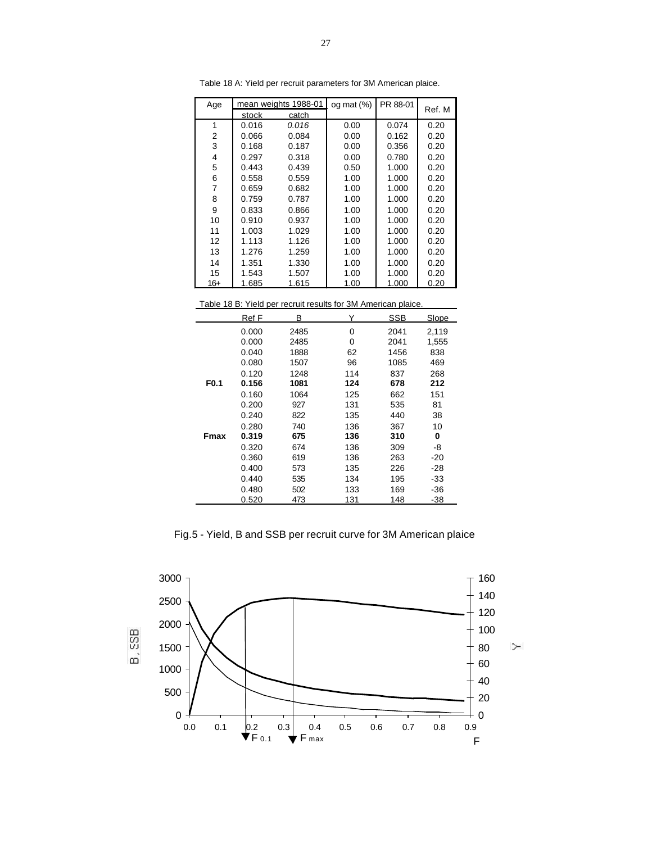| Age |       | mean weights 1988-01 | og mat $(\%)$ | PR 88-01 | Ref. M |
|-----|-------|----------------------|---------------|----------|--------|
|     | stock | catch                |               |          |        |
| 1   | 0.016 | 0.016                | 0.00          | 0.074    | 0.20   |
| 2   | 0.066 | 0.084                | 0.00          | 0.162    | 0.20   |
| 3   | 0.168 | 0.187                | 0.00          | 0.356    | 0.20   |
| 4   | 0.297 | 0.318                | 0.00          | 0.780    | 0.20   |
| 5   | 0.443 | 0.439                | 0.50          | 1.000    | 0.20   |
| 6   | 0.558 | 0.559                | 1.00          | 1.000    | 0.20   |
| 7   | 0.659 | 0.682                | 1.00          | 1.000    | 0.20   |
| 8   | 0.759 | 0.787                | 1.00          | 1.000    | 0.20   |
| 9   | 0.833 | 0.866                | 1.00          | 1.000    | 0.20   |
| 10  | 0.910 | 0.937                | 1.00          | 1.000    | 0.20   |
| 11  | 1.003 | 1.029                | 1.00          | 1.000    | 0.20   |
| 12  | 1.113 | 1.126                | 1.00          | 1.000    | 0.20   |
| 13  | 1.276 | 1.259                | 1.00          | 1.000    | 0.20   |
| 14  | 1.351 | 1.330                | 1.00          | 1.000    | 0.20   |
| 15  | 1.543 | 1.507                | 1.00          | 1.000    | 0.20   |
| 16+ | 1.685 | 1.615                | 1.00          | 1.000    | 0.20   |

Table 18 A: Yield per recruit parameters for 3M American plaice.

Table 18 B: Yield per recruit results for 3M American plaice.

|                  | Ref F | В    | Y   | SSB  | Slope |
|------------------|-------|------|-----|------|-------|
|                  | 0.000 | 2485 | 0   | 2041 | 2,119 |
|                  | 0.000 | 2485 | 0   | 2041 | 1,555 |
|                  | 0.040 | 1888 | 62  | 1456 | 838   |
|                  | 0.080 | 1507 | 96  | 1085 | 469   |
|                  | 0.120 | 1248 | 114 | 837  | 268   |
| F <sub>0.1</sub> | 0.156 | 1081 | 124 | 678  | 212   |
|                  | 0.160 | 1064 | 125 | 662  | 151   |
|                  | 0.200 | 927  | 131 | 535  | 81    |
|                  | 0.240 | 822  | 135 | 440  | 38    |
|                  | 0.280 | 740  | 136 | 367  | 10    |
| <b>Fmax</b>      | 0.319 | 675  | 136 | 310  | 0     |
|                  | 0.320 | 674  | 136 | 309  | -8    |
|                  | 0.360 | 619  | 136 | 263  | -20   |
|                  | 0.400 | 573  | 135 | 226  | -28   |
|                  | 0.440 | 535  | 134 | 195  | -33   |
|                  | 0.480 | 502  | 133 | 169  | -36   |
|                  | 0.520 | 473  | 131 | 148  | -38   |

Fig.5 - Yield, B and SSB per recruit curve for 3M American plaice

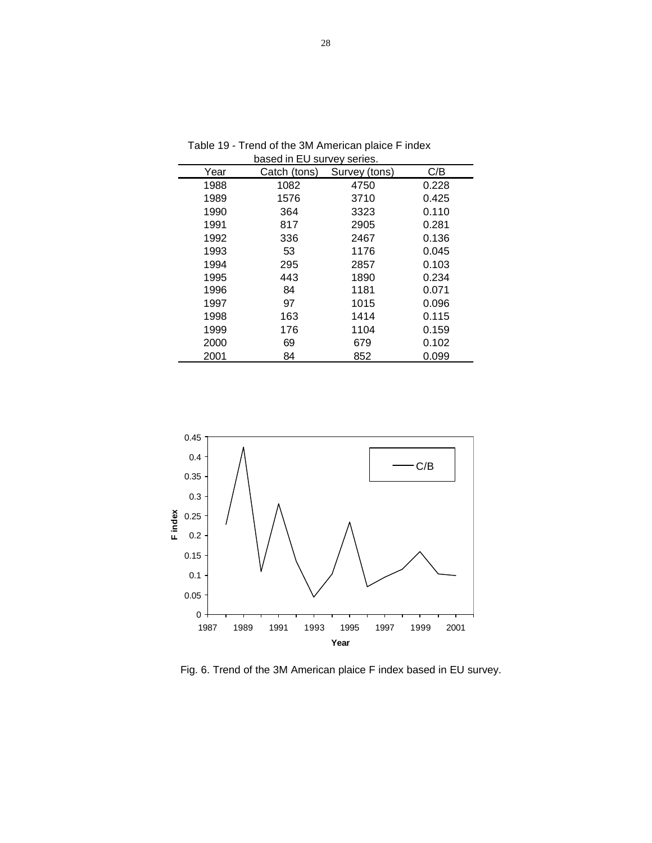| Year | DASCU III EU SUIVEV SEIICS.<br>Catch (tons) | Survey (tons) | C/B   |
|------|---------------------------------------------|---------------|-------|
| 1988 | 1082                                        | 4750          | 0.228 |
| 1989 | 1576                                        | 3710          | 0.425 |
| 1990 | 364                                         | 3323          | 0.110 |
| 1991 | 817                                         | 2905          | 0.281 |
| 1992 | 336                                         | 2467          | 0.136 |
| 1993 | 53                                          | 1176          | 0.045 |
| 1994 | 295                                         | 2857          | 0.103 |
| 1995 | 443                                         | 1890          | 0.234 |
| 1996 | 84                                          | 1181          | 0.071 |
| 1997 | 97                                          | 1015          | 0.096 |
| 1998 | 163                                         | 1414          | 0.115 |
| 1999 | 176                                         | 1104          | 0.159 |
| 2000 | 69                                          | 679           | 0.102 |
| 2001 | 84                                          | 852           | 0.099 |

 Table 19 - Trend of the 3M American plaice F index based in EU survey series.



Fig. 6. Trend of the 3M American plaice F index based in EU survey.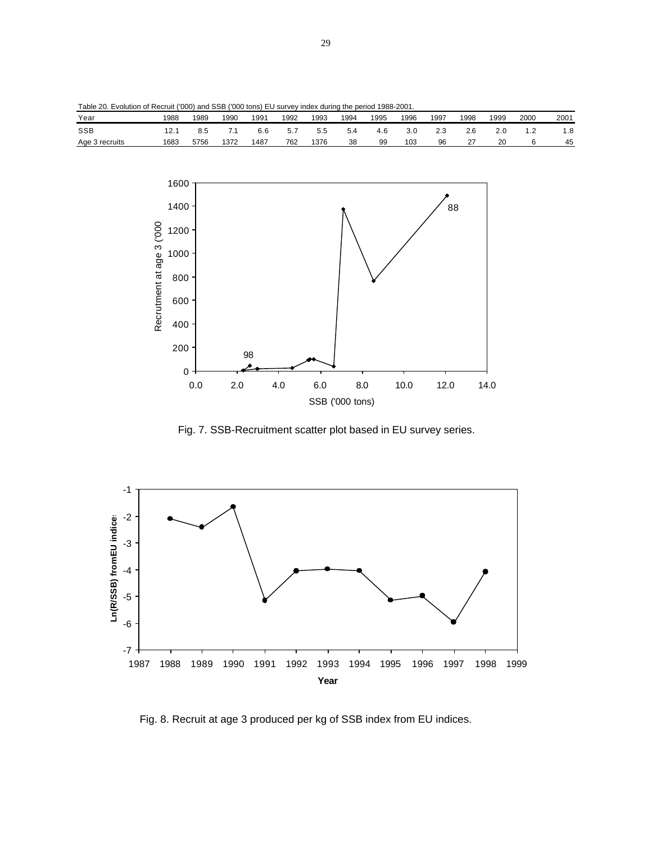| Table 20. Evolution of Recruit ('000) and SSB ('000 tons) EU survey index during the period 1988-2001. |  |  |  |  |  |  |  |
|--------------------------------------------------------------------------------------------------------|--|--|--|--|--|--|--|
|--------------------------------------------------------------------------------------------------------|--|--|--|--|--|--|--|

| Year           | 1988 | 1989 | 1990 | 1991 | 1992 | 1993 | 1994 | 1995 | 1996 | 1997           | 1998 | 1999 | 2000 | 2001 |
|----------------|------|------|------|------|------|------|------|------|------|----------------|------|------|------|------|
| <b>SSB</b>     | ົາ   | ၓ.5  | . .  | 6.6  | 5.1  | 5.5  | 5.4  | 4 F  |      | $\sim$<br>ت. ک | 2.6  | z.u  | ے .  | 8. ا |
| Age 3 recruits | 1683 | 5756 | 1372 | 1487 | 762  | 376  | 38   | 99   | 103  | 96             | ، ے  | 20   |      | 45   |



Fig. 7. SSB-Recruitment scatter plot based in EU survey series.



Fig. 8. Recruit at age 3 produced per kg of SSB index from EU indices.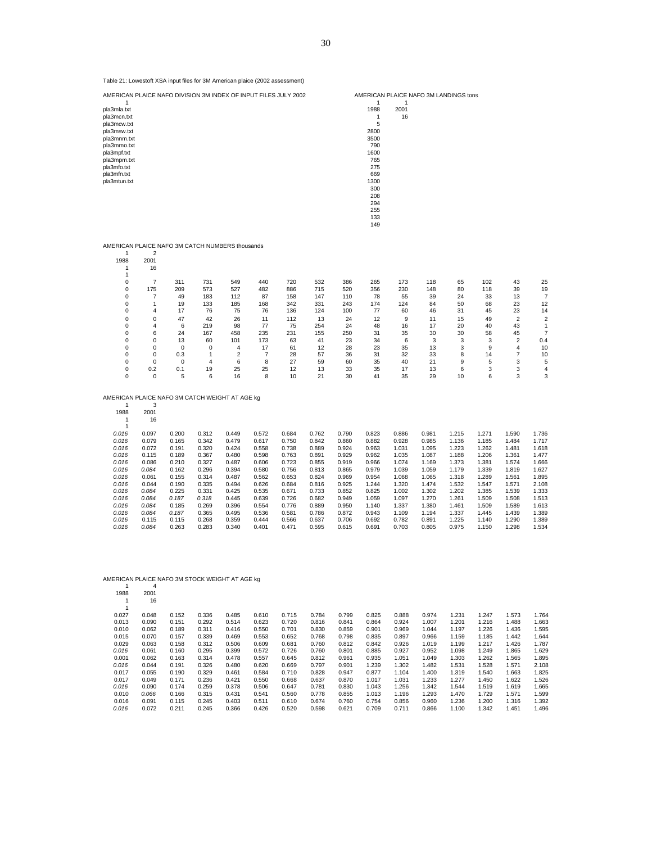| pla3mla.txt<br>pla3mcn.txt<br>pla3mcw.txt<br>pla3msw.txt<br>pla3mnm.txt<br>pla3mmo.txt<br>pla3mpf.txt<br>pla3mpm.txt<br>pla3mfo.txt<br>pla3mfn.txt<br>pla3mtun.txt |                       |                |                |                |                |                |                |                | 1988<br>1<br>5<br>2800<br>3500<br>790<br>1600<br>765<br>275<br>669<br>1300<br>300<br>208<br>294<br>255<br>133<br>149 | 2001<br>16     |                |                |                |                |                |
|--------------------------------------------------------------------------------------------------------------------------------------------------------------------|-----------------------|----------------|----------------|----------------|----------------|----------------|----------------|----------------|----------------------------------------------------------------------------------------------------------------------|----------------|----------------|----------------|----------------|----------------|----------------|
| AMERICAN PLAICE NAFO 3M CATCH NUMBERS thousands                                                                                                                    |                       |                |                |                |                |                |                |                |                                                                                                                      |                |                |                |                |                |                |
| 1                                                                                                                                                                  | $\overline{2}$        |                |                |                |                |                |                |                |                                                                                                                      |                |                |                |                |                |                |
| 1988                                                                                                                                                               | 2001                  |                |                |                |                |                |                |                |                                                                                                                      |                |                |                |                |                |                |
| 1                                                                                                                                                                  | 16                    |                |                |                |                |                |                |                |                                                                                                                      |                |                |                |                |                |                |
| $\mathbf{1}$                                                                                                                                                       |                       |                |                |                |                |                |                |                |                                                                                                                      |                |                |                |                |                |                |
| 0<br>0                                                                                                                                                             | $\overline{7}$<br>175 | 311<br>209     | 731<br>573     | 549<br>527     | 440<br>482     | 720<br>886     | 532<br>715     | 386<br>520     | 265<br>356                                                                                                           | 173<br>230     | 118<br>148     | 65<br>80       | 102<br>118     | 43<br>39       | 25<br>19       |
| 0                                                                                                                                                                  | 7                     | 49             | 183            | 112            | 87             | 158            | 147            | 110            | 78                                                                                                                   | 55             | 39             | 24             | 33             | 13             | $\overline{7}$ |
| 0                                                                                                                                                                  | 1                     | 19             | 133            | 185            | 168            | 342            | 331            | 243            | 174                                                                                                                  | 124            | 84             | 50             | 68             | 23             | 12             |
| 0                                                                                                                                                                  | 4                     | 17             | 76             | 75             | 76             | 136            | 124            | 100            | 77                                                                                                                   | 60             | 46             | 31             | 45             | 23             | 14             |
| 0                                                                                                                                                                  | 0                     | 47             | 42             | 26             | 11             | 112            | 13             | 24             | 12                                                                                                                   | 9              | 11             | 15             | 49             | 2              | $\overline{c}$ |
| 0                                                                                                                                                                  | 4                     | 6              | 219            | 98             | 77             | 75             | 254            | 24             | 48                                                                                                                   | 16             | 17             | 20             | 40             | 43             | 1              |
| 0                                                                                                                                                                  | 6                     | 24             | 167            | 458            | 235            | 231            | 155            | 250            | 31                                                                                                                   | 35             | 30             | 30             | 58             | 45             | $\overline{7}$ |
| 0                                                                                                                                                                  | 0                     | 13             | 60             | 101            | 173            | 63             | 41             | 23             | 34                                                                                                                   | 6              | 3              | 3              | 3              | 2              | 0.4            |
| 0                                                                                                                                                                  | 0                     | 0              | $\mathbf 0$    | 4              | 17             | 61             | 12             | 28             | 23                                                                                                                   | 35             | 13             | 3              | 9              | 4              | 10             |
| $\mathbf 0$                                                                                                                                                        | $\mathbf 0$           | 0.3            | $\mathbf{1}$   | $\overline{2}$ | $\overline{7}$ | 28             | 57             | 36             | 31                                                                                                                   | 32             | 33             | 8              | 14             | 7              | 10             |
| 0                                                                                                                                                                  | 0                     | 0              | 4              | 6              | 8              | 27             | 59             | 60             | 35                                                                                                                   | 40             | 21             | 9              | 5              | 3              | 5              |
| 0<br>$\mathbf 0$                                                                                                                                                   | 0.2<br>0              | 0.1<br>5       | 19<br>6        | 25<br>16       | 25<br>8        | 12<br>10       | 13<br>21       | 33<br>30       | 35<br>41                                                                                                             | 17<br>35       | 13<br>29       | 6<br>10        | 3<br>6         | 3<br>3         | 4<br>3         |
|                                                                                                                                                                    |                       |                |                |                |                |                |                |                |                                                                                                                      |                |                |                |                |                |                |
| AMERICAN PLAICE NAFO 3M CATCH WEIGHT AT AGE kg                                                                                                                     |                       |                |                |                |                |                |                |                |                                                                                                                      |                |                |                |                |                |                |
| $\mathbf{1}$                                                                                                                                                       | 3                     |                |                |                |                |                |                |                |                                                                                                                      |                |                |                |                |                |                |
| 1988<br>1                                                                                                                                                          | 2001<br>16            |                |                |                |                |                |                |                |                                                                                                                      |                |                |                |                |                |                |
| 1                                                                                                                                                                  |                       |                |                |                |                |                |                |                |                                                                                                                      |                |                |                |                |                |                |
| 0.016                                                                                                                                                              | 0.097                 | 0.200          | 0.312          | 0.449          | 0.572          | 0.684          | 0.762          | 0.790          | 0.823                                                                                                                | 0.886          | 0.981          | 1.215          | 1.271          | 1.590          | 1.736          |
| 0.016                                                                                                                                                              | 0.079                 | 0.165          | 0.342          | 0.479          | 0.617          | 0.750          | 0.842          | 0.860          | 0.882                                                                                                                | 0.928          | 0.985          | 1.136          | 1.185          | 1.484          | 1.717          |
| 0.016                                                                                                                                                              | 0.072                 | 0.191          | 0.320          | 0.424          | 0.558          | 0.738          | 0.889          | 0.924          | 0.963                                                                                                                | 1.031          | 1.095          | 1.223          | 1.262          | 1.481          | 1.618          |
| 0.016                                                                                                                                                              | 0.115                 | 0.189          | 0.367          | 0.480          | 0.598          | 0.763          | 0.891          | 0.929          | 0.962                                                                                                                | 1.035          | 1.087          | 1.188          | 1.206          | 1.361          | 1.477          |
| 0.016                                                                                                                                                              | 0.086                 | 0.210          | 0.327          | 0.487          | 0.606          | 0.723          | 0.855          | 0.919          | 0.966                                                                                                                | 1.074          | 1.169          | 1.373          | 1.381          | 1.574          | 1.666          |
| 0.016                                                                                                                                                              | 0.084                 | 0.162          | 0.296          | 0.394          | 0.580          | 0.756          | 0.813          | 0.865          | 0.979                                                                                                                | 1.039          | 1.059          | 1.179          | 1.339          | 1.819          | 1.627          |
| 0.016                                                                                                                                                              | 0.061                 | 0.155          | 0.314          | 0.487          | 0.562          | 0.653          | 0.824          | 0.969          | 0.954                                                                                                                | 1.068          | 1.065          | 1.318          | 1.289          | 1.561          | 1.895          |
| 0.016                                                                                                                                                              | 0.044                 | 0.190          | 0.335          | 0.494          | 0.626          | 0.684          | 0.816          | 0.925          | 1.244                                                                                                                | 1.320          | 1.474          | 1.532          | 1.547          | 1.571          | 2.108          |
| 0.016                                                                                                                                                              | 0.084                 | 0.225          | 0.331          | 0.425          | 0.535          | 0.671          | 0.733          | 0.852          | 0.825                                                                                                                | 1.002          | 1.302          | 1.202          | 1.385          | 1.539          | 1.333          |
| 0.016                                                                                                                                                              | 0.084                 | 0.187          | 0.318          | 0.445          | 0.639          | 0.726          | 0.682          | 0.949          | 1.059                                                                                                                | 1.097          | 1.270          | 1.261          | 1.509          | 1.508          | 1.513          |
| 0.016                                                                                                                                                              | 0.084                 | 0.185          | 0.269          | 0.396          | 0.554          | 0.776          | 0.889          | 0.950          | 1.140                                                                                                                | 1.337          | 1.380          | 1.461          | 1.509          | 1.589          | 1.613          |
| 0.016<br>0.016                                                                                                                                                     | 0.084<br>0.115        | 0.187<br>0.115 | 0.365<br>0.268 | 0.495<br>0.359 | 0.536<br>0.444 | 0.581<br>0.566 | 0.786<br>0.637 | 0.872<br>0.706 | 0.943<br>0.692                                                                                                       | 1.109<br>0.782 | 1.194<br>0.891 | 1.337<br>1.225 | 1.445<br>1.140 | 1.439<br>1.290 | 1.389<br>1.389 |
| 0.016                                                                                                                                                              | 0.084                 | 0.263          | 0.283          | 0.340          | 0.401          | 0.471          | 0.595          | 0.615          | 0.691                                                                                                                | 0.703          | 0.805          | 0.975          | 1.150          | 1.298          | 1.534          |
|                                                                                                                                                                    |                       |                |                |                |                |                |                |                |                                                                                                                      |                |                |                |                |                |                |

#### AMERICAN PLAICE NAFO 3M STOCK WEIGHT AT AGE kg

Table 21: Lowestoft XSA input files for 3M American plaice (2002 assessment)

|          | 4     |       |       |       |       |       |       |       |       |       |       |       |       |       |       |
|----------|-------|-------|-------|-------|-------|-------|-------|-------|-------|-------|-------|-------|-------|-------|-------|
| 1988     | 2001  |       |       |       |       |       |       |       |       |       |       |       |       |       |       |
|          | 16    |       |       |       |       |       |       |       |       |       |       |       |       |       |       |
| <b>A</b> |       |       |       |       |       |       |       |       |       |       |       |       |       |       |       |
| 0.027    | 0.048 | 0.152 | 0.336 | 0.485 | 0.610 | 0.715 | 0.784 | 0.799 | 0.825 | 0.888 | 0.974 | 1.231 | 1.247 | 1.573 | 1.764 |
| 0.013    | 0.090 | 0.151 | 0.292 | 0.514 | 0.623 | 0.720 | 0.816 | 0.841 | 0.864 | 0.924 | 1.007 | 1.201 | 1.216 | 1.488 | 1.663 |
| 0.010    | 0.062 | 0.189 | 0.311 | 0.416 | 0.550 | 0.701 | 0.830 | 0.859 | 0.901 | 0.969 | 1.044 | 1.197 | 1.226 | 1.436 | 1.595 |
| 0.015    | 0.070 | 0.157 | 0.339 | 0.469 | 0.553 | 0.652 | 0.768 | 0.798 | 0.835 | 0.897 | 0.966 | 1.159 | 1.185 | 1.442 | 1.644 |
| 0.029    | 0.063 | 0.158 | 0.312 | 0.506 | 0.609 | 0.681 | 0.760 | 0.812 | 0.842 | 0.926 | 1.019 | 1.199 | 1.217 | 1.426 | 1.787 |
| 0.016    | 0.061 | 0.160 | 0.295 | 0.399 | 0.572 | 0.726 | 0.760 | 0.801 | 0.885 | 0.927 | 0.952 | 1.098 | 1.249 | 1.865 | 1.629 |
| 0.001    | 0.062 | 0.163 | 0.314 | 0.478 | 0.557 | 0.645 | 0.812 | 0.961 | 0.935 | 1.051 | 1.049 | 1.303 | 1.262 | 1.565 | 1.895 |
| 0.016    | 0.044 | 0.191 | 0.326 | 0.480 | 0.620 | 0.669 | 0.797 | 0.901 | 1.239 | 1.302 | 1.482 | 1.531 | 1.528 | 1.571 | 2.108 |
| 0.017    | 0.055 | 0.190 | 0.329 | 0.461 | 0.584 | 0.710 | 0.828 | 0.947 | 0.877 | 1.104 | 1.400 | 1.319 | 1.540 | 1.663 | 1.825 |
| 0.017    | 0.049 | 0.171 | 0.236 | 0.421 | 0.550 | 0.668 | 0.637 | 0.870 | 1.017 | 1.031 | 1.233 | 1.277 | 1.450 | 1.622 | 1.526 |
| 0.016    | 0.090 | 0.174 | 0.259 | 0.378 | 0.506 | 0.647 | 0.781 | 0.830 | 1.043 | 1.256 | 1.342 | 1.544 | 1.519 | 1.619 | 1.665 |
| 0.010    | 0.066 | 0.166 | 0.315 | 0.431 | 0.541 | 0.560 | 0.778 | 0.855 | 1.013 | 1.196 | 1.293 | 1.470 | 1.729 | 1.571 | 1.599 |
| 0.016    | 0.091 | 0.115 | 0.245 | 0.403 | 0.511 | 0.610 | 0.674 | 0.760 | 0.754 | 0.856 | 0.960 | 1.236 | 1.200 | 1.316 | 1.392 |
| 0.016    | 0.072 | 0.211 | 0.245 | 0.366 | 0.426 | 0.520 | 0.598 | 0.621 | 0.709 | 0.711 | 0.866 | 1.100 | 1.342 | 1.451 | 1.496 |

30

AMERICAN PLAICE NAFO DIVISION 3M INDEX OF INPUT FILES JULY 2002 AMERICAN PLAICE NAFO 3M LANDINGS tons

1  $\overline{1}$  1  $\overline{1}$  1  $\overline{1}$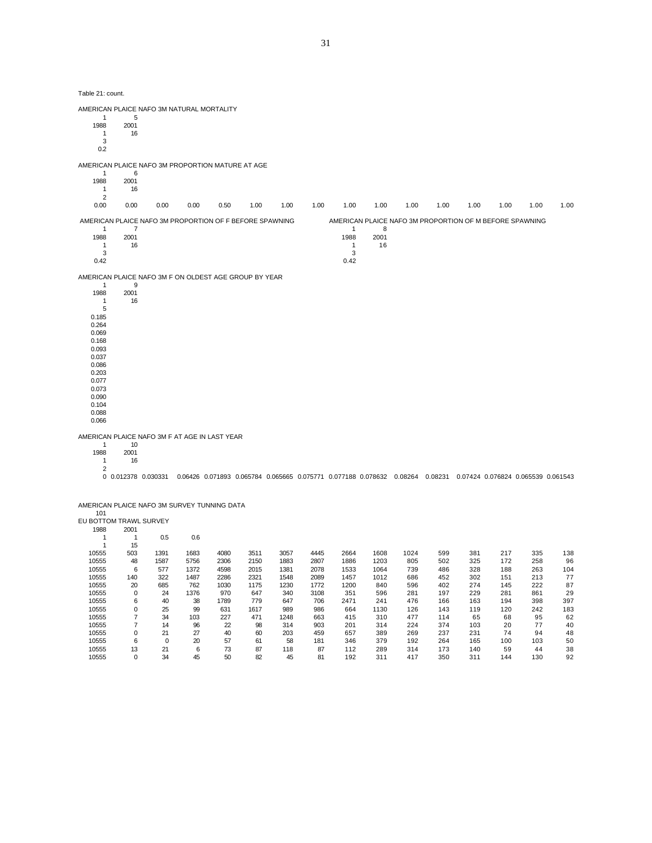| Table 21: count.                                                                                                                                                        |                    |                     |              |              |              |              |              |                                        |                 |            |                                                                                                                  |            |            |            |            |
|-------------------------------------------------------------------------------------------------------------------------------------------------------------------------|--------------------|---------------------|--------------|--------------|--------------|--------------|--------------|----------------------------------------|-----------------|------------|------------------------------------------------------------------------------------------------------------------|------------|------------|------------|------------|
| AMERICAN PLAICE NAFO 3M NATURAL MORTALITY                                                                                                                               |                    |                     |              |              |              |              |              |                                        |                 |            |                                                                                                                  |            |            |            |            |
| 1<br>1988<br>$\mathbf{1}$<br>3<br>0.2                                                                                                                                   | 5<br>2001<br>16    |                     |              |              |              |              |              |                                        |                 |            |                                                                                                                  |            |            |            |            |
| AMERICAN PLAICE NAFO 3M PROPORTION MATURE AT AGE                                                                                                                        |                    |                     |              |              |              |              |              |                                        |                 |            |                                                                                                                  |            |            |            |            |
| 1<br>1988<br>$\mathbf{1}$<br>2                                                                                                                                          | 6<br>2001<br>16    |                     |              |              |              |              |              |                                        |                 |            |                                                                                                                  |            |            |            |            |
| 0.00                                                                                                                                                                    | 0.00               | 0.00                | 0.00         | 0.50         | 1.00         | 1.00         | 1.00         | 1.00                                   | 1.00            | 1.00       | 1.00                                                                                                             | 1.00       | 1.00       | 1.00       | 1.00       |
| AMERICAN PLAICE NAFO 3M PROPORTION OF F BEFORE SPAWNING                                                                                                                 |                    |                     |              |              |              |              |              |                                        |                 |            | AMERICAN PLAICE NAFO 3M PROPORTION OF M BEFORE SPAWNING                                                          |            |            |            |            |
| $\mathbf{1}$<br>1988<br>$\mathbf{1}$<br>3<br>0.42                                                                                                                       | 7<br>2001<br>16    |                     |              |              |              |              |              | 1<br>1988<br>$\mathbf{1}$<br>3<br>0.42 | 8<br>2001<br>16 |            |                                                                                                                  |            |            |            |            |
| AMERICAN PLAICE NAFO 3M F ON OLDEST AGE GROUP BY YEAR                                                                                                                   |                    |                     |              |              |              |              |              |                                        |                 |            |                                                                                                                  |            |            |            |            |
| $\mathbf{1}$<br>1988<br>$\mathbf{1}$<br>5<br>0.185<br>0.264<br>0.069<br>0.168<br>0.093<br>0.037<br>0.086<br>0.203<br>0.077<br>0.073<br>0.090<br>0.104<br>0.088<br>0.066 | 9<br>2001<br>16    |                     |              |              |              |              |              |                                        |                 |            |                                                                                                                  |            |            |            |            |
| AMERICAN PLAICE NAFO 3M F AT AGE IN LAST YEAR                                                                                                                           |                    |                     |              |              |              |              |              |                                        |                 |            |                                                                                                                  |            |            |            |            |
| $\mathbf{1}$<br>1988<br>$\mathbf{1}$                                                                                                                                    | 10<br>2001<br>16   |                     |              |              |              |              |              |                                        |                 |            |                                                                                                                  |            |            |            |            |
| 2                                                                                                                                                                       |                    | 0 0.012378 0.030331 |              |              |              |              |              |                                        |                 |            | 0.06426 0.071893 0.065784 0.065665 0.075771 0.077188 0.078632 0.08264 0.08231 0.07424 0.076824 0.065539 0.061543 |            |            |            |            |
| AMERICAN PLAICE NAFO 3M SURVEY TUNNING DATA<br>101                                                                                                                      |                    |                     |              |              |              |              |              |                                        |                 |            |                                                                                                                  |            |            |            |            |
| EU BOTTOM TRAWL SURVEY<br>1988                                                                                                                                          | 2001               |                     |              |              |              |              |              |                                        |                 |            |                                                                                                                  |            |            |            |            |
| $\overline{1}$<br>1                                                                                                                                                     | $\mathbf{1}$<br>15 | 0.5                 | 0.6          |              |              |              |              |                                        |                 |            |                                                                                                                  |            |            |            |            |
| 10555                                                                                                                                                                   | 503                | 1391                | 1683         | 4080         | 3511         | 3057         | 4445         | 2664                                   | 1608            | 1024       | 599                                                                                                              | 381        | 217        | 335        | 138        |
| 10555<br>10555                                                                                                                                                          | 48<br>6            | 1587<br>577         | 5756<br>1372 | 2306<br>4598 | 2150<br>2015 | 1883<br>1381 | 2807<br>2078 | 1886<br>1533                           | 1203<br>1064    | 805<br>739 | 502<br>486                                                                                                       | 325<br>328 | 172<br>188 | 258<br>263 | 96<br>104  |
| 10555                                                                                                                                                                   | 140                | 322                 | 1487         | 2286         | 2321         | 1548         | 2089         | 1457                                   | 1012            | 686        | 452                                                                                                              | 302        | 151        | 213        | 77         |
| 10555                                                                                                                                                                   | 20                 | 685                 | 762          | 1030         | 1175         | 1230         | 1772         | 1200                                   | 840             | 596        | 402                                                                                                              | 274        | 145        | 222        | 87         |
| 10555                                                                                                                                                                   | $\mathbf 0$        | 24                  | 1376         | 970          | 647          | 340          | 3108         | 351                                    | 596             | 281        | 197                                                                                                              | 229        | 281        | 861        | 29         |
| 10555<br>10555                                                                                                                                                          | 6<br>0             | 40<br>25            | 38<br>99     | 1789<br>631  | 779<br>1617  | 647<br>989   | 706<br>986   | 2471<br>664                            | 241<br>1130     | 476<br>126 | 166<br>143                                                                                                       | 163<br>119 | 194<br>120 | 398<br>242 | 397<br>183 |
| 10555                                                                                                                                                                   | $\overline{7}$     | 34                  | 103          | 227          | 471          | 1248         | 663          | 415                                    | 310             | 477        | 114                                                                                                              | 65         | 68         | 95         | 62         |
| 10555                                                                                                                                                                   | $\overline{7}$     | 14                  | 96           | 22           | 98           | 314          | 903          | 201                                    | 314             | 224        | 374                                                                                                              | 103        | 20         | 77         | 40         |

 0 21 27 40 60 203 459 657 389 269 237 231 74 94 48 6 0 20 57 61 58 181 346 379 192 264 165 100 103 50 13 21 6 73 87 118 87 112 289 314 173 140 59 44 38 0 34 45 50 82 45 81 192 311 417 350 311 144 130 92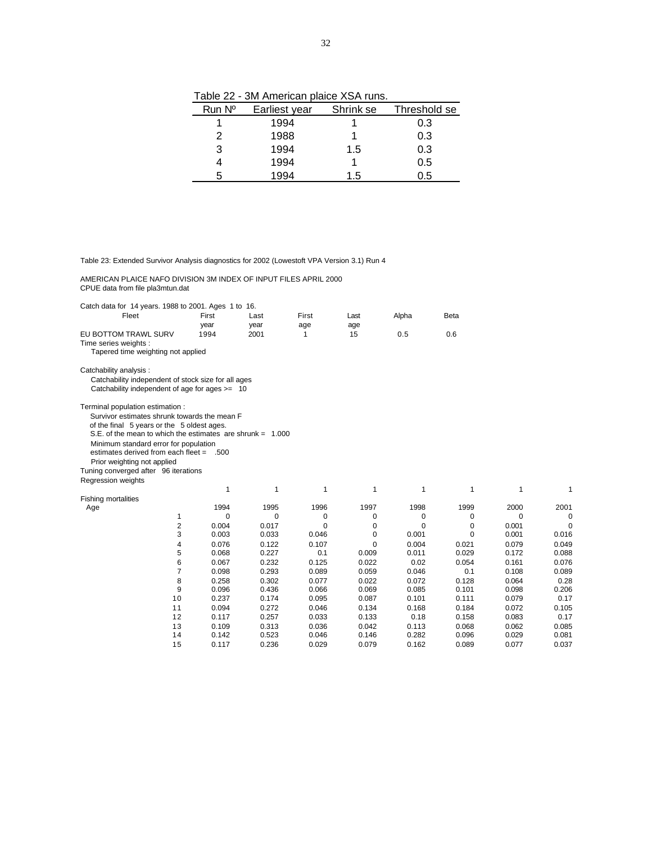Table 22 - 3M American plaice XSA runs.

| Run Nº | Earliest year | Shrink se | Threshold se |
|--------|---------------|-----------|--------------|
|        | 1994          |           | 0.3          |
| 2      | 1988          |           | 0.3          |
| 3      | 1994          | 1.5       | 0.3          |
|        | 1994          |           | 0.5          |
|        | 1994          | 1.5       | 0.5          |

Table 23: Extended Survivor Analysis diagnostics for 2002 (Lowestoft VPA Version 3.1) Run 4

 AMERICAN PLAICE NAFO DIVISION 3M INDEX OF INPUT FILES APRIL 2000 CPUE data from file pla3mtun.dat

|  | Catch data for 14 years. 1988 to 2001. Ages 1 to 16. |  |
|--|------------------------------------------------------|--|

| <u>aioi 1000 io 2001179</u><br>Fleet                                                                                                                                                                                                                                                                                                                                             | First<br>year | Last<br>year | First<br>age | Last<br>age | Alpha    | Beta  |          |       |
|----------------------------------------------------------------------------------------------------------------------------------------------------------------------------------------------------------------------------------------------------------------------------------------------------------------------------------------------------------------------------------|---------------|--------------|--------------|-------------|----------|-------|----------|-------|
| EU BOTTOM TRAWL SURV<br>Time series weights :<br>Tapered time weighting not applied                                                                                                                                                                                                                                                                                              | 1994          | 2001         | 1            | 15          | 0.5      | 0.6   |          |       |
| Catchability analysis :<br>Catchability independent of stock size for all ages<br>Catchability independent of age for ages >= 10                                                                                                                                                                                                                                                 |               |              |              |             |          |       |          |       |
| Terminal population estimation :<br>Survivor estimates shrunk towards the mean F<br>of the final 5 years or the 5 oldest ages.<br>S.E. of the mean to which the estimates are shrunk = $1.000$<br>Minimum standard error for population<br>estimates derived from each fleet = .500<br>Prior weighting not applied<br>Tuning converged after 96 iterations<br>Regression weights |               |              |              |             |          |       |          |       |
|                                                                                                                                                                                                                                                                                                                                                                                  | 1             | 1            | 1            | 1           | 1        | 1     | 1        | 1     |
| <b>Fishing mortalities</b><br>Age                                                                                                                                                                                                                                                                                                                                                | 1994          | 1995         | 1996         | 1997        | 1998     | 1999  | 2000     | 2001  |
| 1                                                                                                                                                                                                                                                                                                                                                                                | $\Omega$      | 0            | 0            | 0           | 0        | 0     | $\Omega$ | O     |
| 2                                                                                                                                                                                                                                                                                                                                                                                | 0.004         | 0.017        | $\Omega$     | 0           | $\Omega$ | 0     | 0.001    | 0     |
| 3                                                                                                                                                                                                                                                                                                                                                                                | 0.003         | 0.033        | 0.046        | 0           | 0.001    | 0     | 0.001    | 0.016 |
| 4                                                                                                                                                                                                                                                                                                                                                                                | 0.076         | 0.122        | 0.107        | $\Omega$    | 0.004    | 0.021 | 0.079    | 0.049 |
| 5                                                                                                                                                                                                                                                                                                                                                                                | 0.068         | 0.227        | 0.1          | 0.009       | 0.011    | 0.029 | 0.172    | 0.088 |
| 6                                                                                                                                                                                                                                                                                                                                                                                | 0.067         | 0.232        | 0.125        | 0.022       | 0.02     | 0.054 | 0.161    | 0.076 |
| $\overline{7}$                                                                                                                                                                                                                                                                                                                                                                   | 0.098         | 0.293        | 0.089        | 0.059       | 0.046    | 0.1   | 0.108    | 0.089 |
| 8                                                                                                                                                                                                                                                                                                                                                                                | 0.258         | 0.302        | 0.077        | 0.022       | 0.072    | 0.128 | 0.064    | 0.28  |
| 9                                                                                                                                                                                                                                                                                                                                                                                | 0.096         | 0.436        | 0.066        | 0.069       | 0.085    | 0.101 | 0.098    | 0.206 |
| 10                                                                                                                                                                                                                                                                                                                                                                               | 0.237         | 0.174        | 0.095        | 0.087       | 0.101    | 0.111 | 0.079    | 0.17  |
| 11                                                                                                                                                                                                                                                                                                                                                                               | 0.094         | 0.272        | 0.046        | 0.134       | 0.168    | 0.184 | 0.072    | 0.105 |
| 12                                                                                                                                                                                                                                                                                                                                                                               | 0.117         | 0.257        | 0.033        | 0.133       | 0.18     | 0.158 | 0.083    | 0.17  |
| 13                                                                                                                                                                                                                                                                                                                                                                               | 0.109         | 0.313        | 0.036        | 0.042       | 0.113    | 0.068 | 0.062    | 0.085 |
| 14                                                                                                                                                                                                                                                                                                                                                                               | 0.142         | 0.523        | 0.046        | 0.146       | 0.282    | 0.096 | 0.029    | 0.081 |
| 15                                                                                                                                                                                                                                                                                                                                                                               | 0.117         | 0.236        | 0.029        | 0.079       | 0.162    | 0.089 | 0.077    | 0.037 |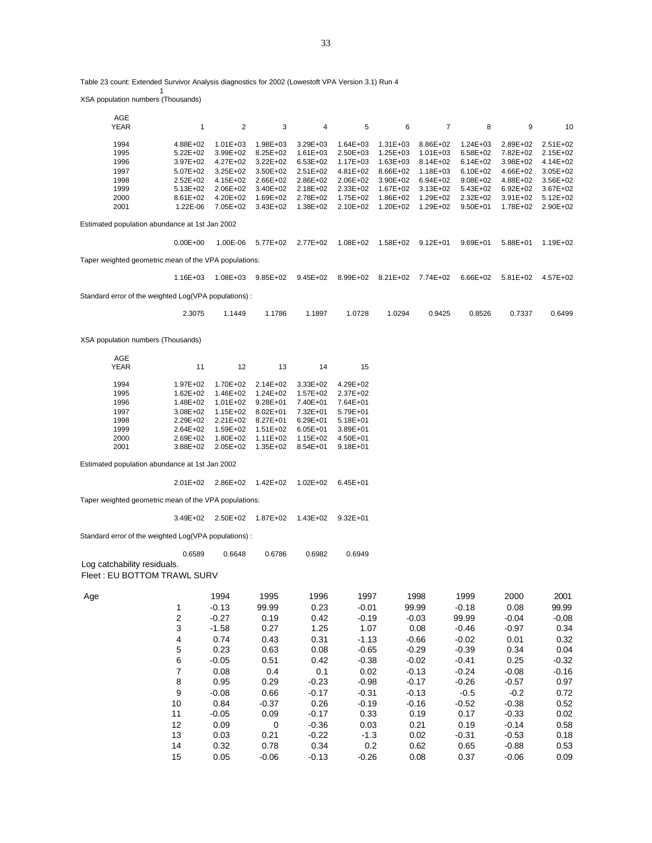Table 23 count: Extended Survivor Analysis diagnostics for 2002 (Lowestoft VPA Version 3.1) Run 4

XSA population numbers (Thousands)

1

| AGE                                                   |                         |                         |                   |              |              |              |                |              |              |              |
|-------------------------------------------------------|-------------------------|-------------------------|-------------------|--------------|--------------|--------------|----------------|--------------|--------------|--------------|
| YEAR                                                  | $\mathbf{1}$            | $\overline{\mathbf{c}}$ | 3                 | 4            | 5            | 6            | $\overline{7}$ | 8            | 9            | 10           |
|                                                       |                         |                         |                   |              |              |              |                |              |              |              |
| 1994                                                  | 4.88E+02                | $1.01E + 03$            | 1.98E+03          | 3.29E+03     | $1.64E + 03$ | $1.31E + 03$ | 8.86E+02       | $1.24E + 03$ | 2.89E+02     | $2.51E+02$   |
| 1995                                                  | $5.22E + 02$            | 3.99E+02                | 8.25E+02          | $1.61E + 03$ | 2.50E+03     | 1.25E+03     | $1.01E + 03$   | 6.58E+02     | 7.82E+02     | 2.15E+02     |
| 1996                                                  | 3.97E+02                | 4.27E+02                | 3.22E+02          | $6.53E + 02$ | 1.17E+03     | 1.63E+03     | 8.14E+02       | $6.14E + 02$ | 3.98E+02     | 4.14E+02     |
| 1997                                                  | 5.07E+02                | 3.25E+02                | 3.50E+02          | 2.51E+02     | 4.81E+02     | 8.66E+02     | 1.18E+03       | 6.10E+02     | 4.66E+02     | $3.05E + 02$ |
| 1998                                                  | 2.52E+02                | 4.15E+02                | 2.66E+02          | 2.86E+02     | 2.06E+02     | 3.90E+02     | 6.94E+02       | 9.08E+02     | 4.88E+02     | 3.56E+02     |
| 1999                                                  | $5.13E + 02$            | 2.06E+02                | 3.40E+02          | 2.18E+02     | 2.33E+02     | 1.67E+02     | $3.13E + 02$   | 5.43E+02     | 6.92E+02     | 3.67E+02     |
| 2000                                                  | 8.61E+02                | 4.20E+02                | 1.69E+02          | 2.78E+02     | 1.75E+02     | 1.86E+02     | 1.29E+02       | 2.32E+02     | 3.91E+02     | $5.12E + 02$ |
| 2001                                                  | 1.22E-06                | 7.05E+02                | 3.43E+02          | 1.38E+02     | 2.10E+02     | 1.20E+02     | 1.29E+02       | $9.50E + 01$ | 1.78E+02     | 2.90E+02     |
| Estimated population abundance at 1st Jan 2002        |                         |                         |                   |              |              |              |                |              |              |              |
|                                                       | $0.00E + 00$            | 1.00E-06                | 5.77E+02          | 2.77E+02     | 1.08E+02     | 1.58E+02     | $9.12E + 01$   | $9.69E + 01$ | $5.88E + 01$ | 1.19E+02     |
|                                                       |                         |                         |                   |              |              |              |                |              |              |              |
| Taper weighted geometric mean of the VPA populations: |                         |                         |                   |              |              |              |                |              |              |              |
|                                                       | 1.16E+03                |                         | 1.08E+03 9.85E+02 | $9.45E + 02$ | 8.99E+02     | 8.21E+02     | 7.74E+02       | 6.66E+02     | $5.81E+02$   | 4.57E+02     |
| Standard error of the weighted Log(VPA populations) : |                         |                         |                   |              |              |              |                |              |              |              |
|                                                       | 2.3075                  | 1.1449                  | 1.1786            | 1.1897       | 1.0728       | 1.0294       | 0.9425         | 0.8526       | 0.7337       | 0.6499       |
|                                                       |                         |                         |                   |              |              |              |                |              |              |              |
| XSA population numbers (Thousands)                    |                         |                         |                   |              |              |              |                |              |              |              |
| AGE                                                   |                         |                         |                   |              |              |              |                |              |              |              |
| <b>YEAR</b>                                           | 11                      | 12                      | 13                | 14           | 15           |              |                |              |              |              |
|                                                       |                         |                         |                   |              |              |              |                |              |              |              |
| 1994                                                  | 1.97E+02                | 1.70E+02                | 2.14E+02          | 3.33E+02     | 4.29E+02     |              |                |              |              |              |
| 1995                                                  | $1.62E + 02$            | 1.46E+02                | 1.24E+02          | 1.57E+02     | 2.37E+02     |              |                |              |              |              |
| 1996                                                  | 1.48E+02                | $1.01E + 02$            | $9.28E + 01$      | 7.40E+01     | 7.64E+01     |              |                |              |              |              |
| 1997                                                  | 3.08E+02                | $1.15E + 02$            | $8.02E + 01$      | 7.32E+01     | 5.79E+01     |              |                |              |              |              |
| 1998                                                  | 2.29E+02                | 2.21E+02                | 8.27E+01          | 6.29E+01     | $5.18E + 01$ |              |                |              |              |              |
| 1999                                                  | 2.64E+02                | 1.59E+02                | $1.51E + 02$      | $6.05E + 01$ | 3.89E+01     |              |                |              |              |              |
| 2000                                                  | 2.69E+02                | 1.80E+02                | $1.11E + 02$      | 1.15E+02     | 4.50E+01     |              |                |              |              |              |
| 2001                                                  | 3.88E+02                | 2.05E+02                | 1.35E+02          | 8.54E+01     | $9.18E + 01$ |              |                |              |              |              |
|                                                       |                         |                         |                   |              |              |              |                |              |              |              |
| Estimated population abundance at 1st Jan 2002        |                         |                         |                   |              |              |              |                |              |              |              |
|                                                       | $2.01E + 02$            | 2.86E+02                | 1.42E+02          | $1.02E + 02$ | $6.45E + 01$ |              |                |              |              |              |
| Taper weighted geometric mean of the VPA populations: |                         |                         |                   |              |              |              |                |              |              |              |
|                                                       | 3.49E+02                | 2.50E+02                | 1.87E+02          | 1.43E+02     | $9.32E + 01$ |              |                |              |              |              |
| Standard error of the weighted Log(VPA populations):  |                         |                         |                   |              |              |              |                |              |              |              |
|                                                       |                         |                         |                   |              |              |              |                |              |              |              |
|                                                       | 0.6589                  | 0.6648                  | 0.6786            | 0.6982       | 0.6949       |              |                |              |              |              |
| Log catchability residuals.                           |                         |                         |                   |              |              |              |                |              |              |              |
| Fleet: EU BOTTOM TRAWL SURV                           |                         |                         |                   |              |              |              |                |              |              |              |
| Age                                                   |                         | 1994                    | 1995              | 1996         | 1997         |              | 1998           | 1999         | 2000         | 2001         |
|                                                       |                         | $-0.13$                 | 99.99             | 0.23         | $-0.01$      |              | 99.99          | $-0.18$      | 0.08         | 99.99        |
|                                                       | 1                       |                         |                   |              |              |              |                |              |              |              |
|                                                       | 2                       | $-0.27$                 | 0.19              | 0.42         | $-0.19$      |              | $-0.03$        | 99.99        | $-0.04$      | $-0.08$      |
|                                                       | 3                       | $-1.58$                 | 0.27              | 1.25         | 1.07         |              | 0.08           | $-0.46$      | $-0.97$      | 0.34         |
|                                                       | $\overline{\mathbf{4}}$ | 0.74                    | 0.43              | 0.31         | $-1.13$      |              | $-0.66$        | $-0.02$      | 0.01         | 0.32         |
|                                                       | 5                       | 0.23                    | 0.63              | 0.08         | $-0.65$      |              | $-0.29$        | $-0.39$      | 0.34         | 0.04         |
|                                                       | 6                       | $-0.05$                 | 0.51              | 0.42         | $-0.38$      |              | $-0.02$        | $-0.41$      | 0.25         | $-0.32$      |
|                                                       |                         |                         |                   |              |              |              |                |              |              |              |
|                                                       | $\boldsymbol{7}$        | 0.08                    | 0.4               | 0.1          | 0.02         |              | $-0.13$        | $-0.24$      | $-0.08$      | $-0.16$      |
|                                                       | 8                       | 0.95                    | 0.29              | $-0.23$      | $-0.98$      |              | $-0.17$        | $-0.26$      | $-0.57$      | 0.97         |
|                                                       | 9                       | $-0.08$                 | 0.66              | $-0.17$      | $-0.31$      |              | $-0.13$        | $-0.5$       | $-0.2$       | 0.72         |
|                                                       | 10                      | 0.84                    | $-0.37$           | 0.26         | $-0.19$      |              | $-0.16$        | $-0.52$      | $-0.38$      | 0.52         |
|                                                       | 11                      | $-0.05$                 | 0.09              | $-0.17$      | 0.33         |              | 0.19           | 0.17         | $-0.33$      | 0.02         |
|                                                       |                         |                         |                   |              |              |              |                |              |              |              |
|                                                       | 12                      | 0.09                    | 0                 | $-0.36$      | 0.03         |              | 0.21           | 0.19         | $-0.14$      | 0.58         |
|                                                       | 13                      | 0.03                    | 0.21              | $-0.22$      | $-1.3$       |              | 0.02           | $-0.31$      | $-0.53$      | 0.18         |

14 0.32 0.78 0.34 0.2 0.62 0.65 -0.88 0.53 15 0.05 -0.06 -0.13 -0.26 0.08 0.37 -0.06 0.09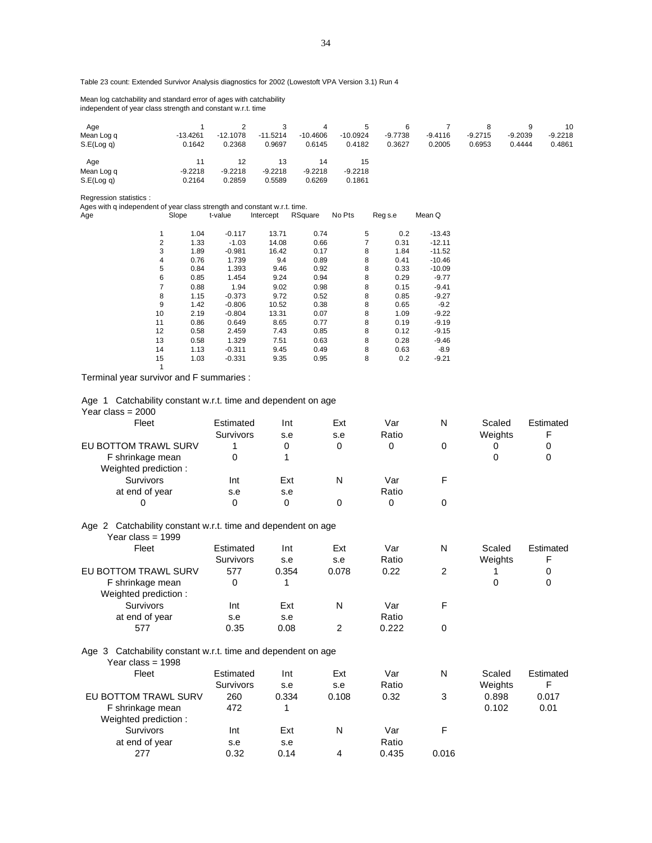Table 23 count: Extended Survivor Analysis diagnostics for 2002 (Lowestoft VPA Version 3.1) Run 4

 Mean log catchability and standard error of ages with catchability independent of year class strength and constant w.r.t. time

| Age        |            |            |            | 4          | 5          | 6         |           |           | 9         | 10        |
|------------|------------|------------|------------|------------|------------|-----------|-----------|-----------|-----------|-----------|
| Mean Log q | $-13.4261$ | $-12.1078$ | $-11.5214$ | $-10.4606$ | $-10.0924$ | $-9.7738$ | $-9.4116$ | $-9.2715$ | $-9.2039$ | $-9.2218$ |
| S.E(Log q) | 0.1642     | 0.2368     | 0.9697     | 0.6145     | 0.4182     | 0.3627    | 0.2005    | 0.6953    | 0.4444    | 0.4861    |
| Age        | 11         | 12         | 13         | 14         | 15         |           |           |           |           |           |
| Mean Log q | $-9.2218$  | $-9.2218$  | $-9.2218$  | $-9.2218$  | $-9.2218$  |           |           |           |           |           |
| S.E(Log q) | 0.2164     | 0.2859     | 0.5589     | 0.6269     | 0.1861     |           |           |           |           |           |

Regression statistics :

Ages with q independent of year class strength and constant w.r.t. time.

| Age            | Slope | t-value  | Intercept | RSquare | No Pts | Reg s.e   | Mean Q   |
|----------------|-------|----------|-----------|---------|--------|-----------|----------|
| 1              | 1.04  | $-0.117$ | 13.71     | 0.74    |        | 5<br>0.2  | $-13.43$ |
| $\overline{2}$ | 1.33  | $-1.03$  | 14.08     | 0.66    |        | 7<br>0.31 | $-12.11$ |
| 3              | 1.89  | $-0.981$ | 16.42     | 0.17    |        | 8<br>1.84 | $-11.52$ |
| 4              | 0.76  | 1.739    | 9.4       | 0.89    |        | 8<br>0.41 | $-10.46$ |
| 5              | 0.84  | 1.393    | 9.46      | 0.92    |        | 8<br>0.33 | $-10.09$ |
| 6              | 0.85  | 1.454    | 9.24      | 0.94    |        | 8<br>0.29 | $-9.77$  |
| 7              | 0.88  | 1.94     | 9.02      | 0.98    |        | 8<br>0.15 | $-9.41$  |
| 8              | 1.15  | $-0.373$ | 9.72      | 0.52    |        | 8<br>0.85 | $-9.27$  |
| 9              | 1.42  | $-0.806$ | 10.52     | 0.38    |        | 8<br>0.65 | $-9.2$   |
| 10             | 2.19  | $-0.804$ | 13.31     | 0.07    |        | 8<br>1.09 | $-9.22$  |
| 11             | 0.86  | 0.649    | 8.65      | 0.77    |        | 8<br>0.19 | $-9.19$  |
| 12             | 0.58  | 2.459    | 7.43      | 0.85    |        | 8<br>0.12 | $-9.15$  |
| 13             | 0.58  | 1.329    | 7.51      | 0.63    |        | 8<br>0.28 | $-9.46$  |
| 14             | 1.13  | $-0.311$ | 9.45      | 0.49    |        | 8<br>0.63 | $-8.9$   |
| 15             | 1.03  | $-0.331$ | 9.35      | 0.95    |        | 8<br>0.2  | $-9.21$  |
| 1              |       |          |           |         |        |           |          |

Terminal year survivor and F summaries :

|                                     |  | Age 1 Catchability constant w.r.t. time and dependent on age |
|-------------------------------------|--|--------------------------------------------------------------|
| $V_{\text{max}}$ $\sim$ $\sim$ 0000 |  |                                                              |

| Year class = 2000                                                                      |           |       |       |       |   |         |           |
|----------------------------------------------------------------------------------------|-----------|-------|-------|-------|---|---------|-----------|
| Fleet                                                                                  | Estimated | Int   | Ext   | Var   | N | Scaled  | Estimated |
|                                                                                        | Survivors | s.e   | s.e   | Ratio |   | Weights | F         |
| EU BOTTOM TRAWL SURV                                                                   |           | 0     | 0     | 0     | 0 | 0       | 0         |
| F shrinkage mean                                                                       | 0         |       |       |       |   | 0       | 0         |
| Weighted prediction:                                                                   |           |       |       |       |   |         |           |
| <b>Survivors</b>                                                                       | Int       | Ext   | N     | Var   | F |         |           |
| at end of year                                                                         | s.e       | s.e   |       | Ratio |   |         |           |
| 0                                                                                      | 0         | 0     | 0     | 0     | 0 |         |           |
| Catchability constant w.r.t. time and dependent on age<br>Age 2<br>Year class = $1999$ |           |       |       |       |   |         |           |
| Fleet                                                                                  | Estimated | Int   | Ext   | Var   | N | Scaled  | Estimated |
|                                                                                        | Survivors | s.e   | s.e   | Ratio |   | Weights | F         |
| EU BOTTOM TRAWL SURV                                                                   | 577       | 0.354 | 0.078 | 0.22  | 2 |         | 0         |
| F shrinkage mean<br>Weighted prediction:                                               | 0         |       |       |       |   | 0       | 0         |

at end of year se se se Ratio<br>577 0.35 0.08 2 0.222 577 0.35 0.08 2 0.222 0 Age 3 Catchability constant w.r.t. time and dependent on age

| Year class = 1998    |                  |       |       |       |       |         |           |
|----------------------|------------------|-------|-------|-------|-------|---------|-----------|
| Fleet                | Estimated        | Int   | Ext   | Var   | N     | Scaled  | Estimated |
|                      | <b>Survivors</b> | s.e   | s.e   | Ratio |       | Weights | F         |
| EU BOTTOM TRAWL SURV | 260              | 0.334 | 0.108 | 0.32  | 3     | 0.898   | 0.017     |
| F shrinkage mean     | 472              |       |       |       |       | 0.102   | 0.01      |
| Weighted prediction: |                  |       |       |       |       |         |           |
| Survivors            | Int              | Ext   | N     | Var   | F.    |         |           |
| at end of year       | s.e              | s.e   |       | Ratio |       |         |           |
| 277                  | 0.32             | 0.14  | 4     | 0.435 | 0.016 |         |           |

Survivors Int Ext N Var F<br>
end of year s.e s.e Ratio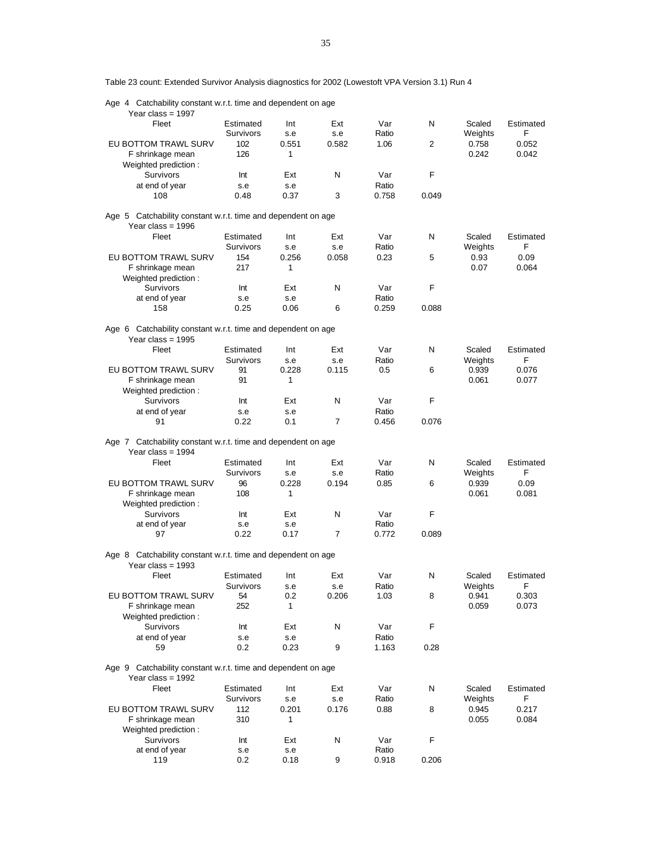Age 4 Catchability constant w.r.t. time and dependent on age Year class =  $1997$  Fleet Estimated Int Ext Var N Scaled Estimated Survivors s.e s.e Ratio Weights F EU BOTTOM TRAWL SURV 102 0.551 0.582 1.06 2 0.758 0.052 F shrinkage mean 126 1 1 0.242 0.042 Weighted prediction : Survivors Int Ext N Var F at end of year s.e s.e Ratio 108 0.48 0.37 3 0.758 0.049 Age 5 Catchability constant w.r.t. time and dependent on age Year class = 1996 Fleet Estimated Int Ext Var N Scaled Estimated Survivors s.e s.e Ratio Weights F EU BOTTOM TRAWL SURV 154 0.256 0.058 0.23 5 0.93 0.09 F shrinkage mean 217 1 0.07 0.064 Weighted prediction : Survivors Int Ext N Var F at end of year s.e s.e s.e Ratio 158 0.25 0.06 6 0.259 0.088 Age 6 Catchability constant w.r.t. time and dependent on age Year class = 1995 Fleet Estimated Int Ext Var N Scaled Estimated Survivors s.e s.e Ratio Weights F EU BOTTOM TRAWL SURV 91 0.228 0.115 0.5 6 0.939 0.076 F shrinkage mean 91 1 0.061 0.077 Weighted prediction : Survivors Int Ext N Var F at end of year s.e s.e s.e Ratio 91 0.22 0.1 7 0.456 0.076 Age 7 Catchability constant w.r.t. time and dependent on age Year class = 1994 Fleet Estimated Int Ext Var N Scaled Estimated Survivors s.e s.e Ratio Weights F EU BOTTOM TRAWL SURV 96 0.228 0.194 0.85 6 0.939 0.09 F shrinkage mean 108 1 1 0.061 0.081 0.081 Weighted prediction : Survivors Int Ext N Var F<br>
end of vear s.e s.e Ratio at end of year s.e s.e 97 0.22 0.17 7 0.772 0.089 Age 8 Catchability constant w.r.t. time and dependent on age Year class = 1993 Fleet Estimated Int Ext Var N Scaled Estimated Survivors s.e s.e Ratio Weights F EU BOTTOM TRAWL SURV 54 0.2 0.206 1.03 8 0.941 0.303 F shrinkage mean 252 1 0.059 0.073 Weighted prediction : Survivors Int Ext N Var F at end of year s.e s.e s.e Ratio 59 0.2 0.23 9 1.163 0.28 Age 9 Catchability constant w.r.t. time and dependent on age Year class =  $1992$  Fleet Estimated Int Ext Var N Scaled Estimated Survivors s.e s.e Ratio Weights F EU BOTTOM TRAWL SURV 112 0.201 0.176 0.88 8 0.945 0.217 F shrinkage mean 310 1 1 0.055 0.084 Weighted prediction : Survivors Int Ext N Var F at end of year s.e s.e s.e Ratio 119 0.2 0.18 9 0.918 0.206

Table 23 count: Extended Survivor Analysis diagnostics for 2002 (Lowestoft VPA Version 3.1) Run 4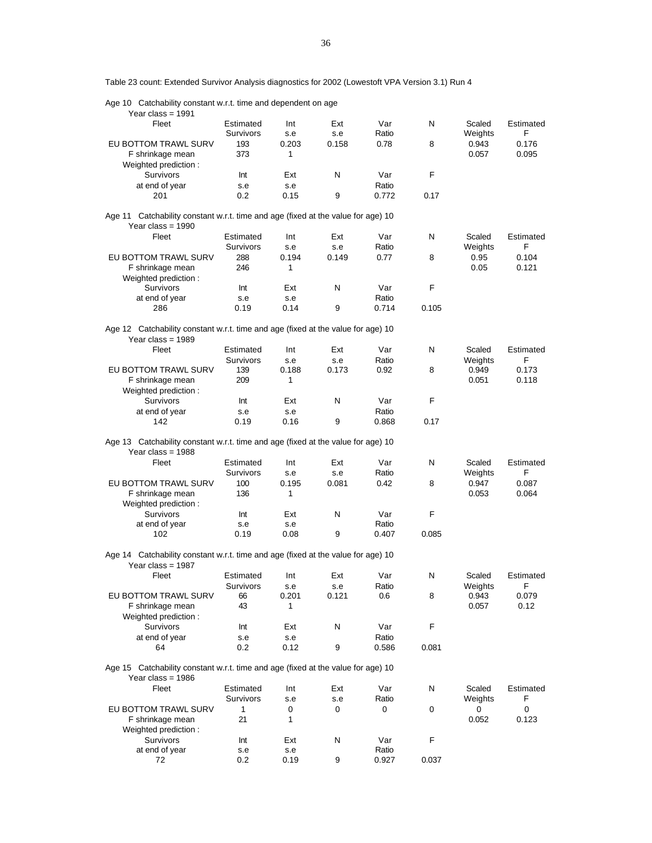Table 23 count: Extended Survivor Analysis diagnostics for 2002 (Lowestoft VPA Version 3.1) Run 4

| Age 10 Catchability constant w.r.t. time and dependent on age                                           |            |              |       |       |       |         |           |
|---------------------------------------------------------------------------------------------------------|------------|--------------|-------|-------|-------|---------|-----------|
| Year class = $1991$                                                                                     |            |              |       |       |       |         |           |
| Fleet                                                                                                   | Estimated  | Int          | Ext   | Var   | N     | Scaled  | Estimated |
|                                                                                                         | Survivors  | s.e          | s.e   | Ratio |       | Weights | F         |
| EU BOTTOM TRAWL SURV                                                                                    | 193        | 0.203        | 0.158 | 0.78  | 8     | 0.943   | 0.176     |
| F shrinkage mean                                                                                        | 373        | 1            |       |       |       | 0.057   | 0.095     |
| Weighted prediction:                                                                                    |            |              |       |       |       |         |           |
| Survivors                                                                                               | Int        | Ext          | N     | Var   | F     |         |           |
| at end of year                                                                                          | s.e        | s.e          |       | Ratio |       |         |           |
| 201                                                                                                     |            |              | 9     | 0.772 |       |         |           |
|                                                                                                         | 0.2        | 0.15         |       |       | 0.17  |         |           |
| Age 11 Catchability constant w.r.t. time and age (fixed at the value for age) 10                        |            |              |       |       |       |         |           |
| Year class = $1990$                                                                                     |            |              |       |       |       |         |           |
| Fleet                                                                                                   | Estimated  | Int          | Ext   | Var   | N     | Scaled  | Estimated |
|                                                                                                         | Survivors  | s.e          | s.e   | Ratio |       | Weights | F         |
| EU BOTTOM TRAWL SURV                                                                                    | 288        | 0.194        | 0.149 | 0.77  | 8     | 0.95    | 0.104     |
|                                                                                                         |            |              |       |       |       |         |           |
| F shrinkage mean                                                                                        | 246        | 1            |       |       |       | 0.05    | 0.121     |
| Weighted prediction:                                                                                    |            |              |       |       |       |         |           |
| Survivors                                                                                               | Int        | Ext          | N     | Var   | F     |         |           |
| at end of year                                                                                          | s.e        | s.e          |       | Ratio |       |         |           |
| 286                                                                                                     | 0.19       | 0.14         | 9     | 0.714 | 0.105 |         |           |
|                                                                                                         |            |              |       |       |       |         |           |
| Age 12 Catchability constant w.r.t. time and age (fixed at the value for age) 10                        |            |              |       |       |       |         |           |
| Year class = $1989$                                                                                     |            |              |       |       |       |         |           |
| Fleet                                                                                                   | Estimated  | Int          | Ext   | Var   | N     | Scaled  | Estimated |
|                                                                                                         | Survivors  | s.e          | s.e   | Ratio |       | Weights | F         |
| EU BOTTOM TRAWL SURV                                                                                    | 139        | 0.188        | 0.173 | 0.92  | 8     | 0.949   | 0.173     |
| F shrinkage mean                                                                                        | 209        | 1            |       |       |       | 0.051   | 0.118     |
| Weighted prediction:                                                                                    |            |              |       |       |       |         |           |
| Survivors                                                                                               | Int        | Ext          | Ν     | Var   | F     |         |           |
| at end of year                                                                                          | s.e        | s.e          |       | Ratio |       |         |           |
| 142                                                                                                     | 0.19       | 0.16         | 9     | 0.868 | 0.17  |         |           |
| Age 13 Catchability constant w.r.t. time and age (fixed at the value for age) 10<br>Year class = $1988$ |            |              |       |       |       |         |           |
| Fleet                                                                                                   | Estimated  | Int          | Ext   | Var   | N     | Scaled  | Estimated |
|                                                                                                         | Survivors  | s.e          | s.e   | Ratio |       | Weights | F         |
| EU BOTTOM TRAWL SURV                                                                                    | 100        | 0.195        | 0.081 | 0.42  | 8     | 0.947   | 0.087     |
| F shrinkage mean                                                                                        | 136        | 1            |       |       |       | 0.053   | 0.064     |
| Weighted prediction:                                                                                    |            |              |       |       |       |         |           |
| Survivors                                                                                               | Int        | Ext          | Ν     | Var   | F     |         |           |
| at end of year                                                                                          | s.e        | s.e          |       | Ratio |       |         |           |
| 102                                                                                                     | 0.19       | 0.08         | 9     | 0.407 | 0.085 |         |           |
|                                                                                                         |            |              |       |       |       |         |           |
| Age 14 Catchability constant w.r.t. time and age (fixed at the value for age) 10<br>Year class = $1987$ |            |              |       |       |       |         |           |
| Fleet                                                                                                   | Estimated  | Int          | Ext   | Var   | N.    | Scaled  | Estimated |
|                                                                                                         | Survivors  | s.e          | s.e   | Ratio |       | Weights | F.        |
| EU BOTTOM TRAWL SURV                                                                                    | 66         | 0.201        | 0.121 | 0.6   | 8     | 0.943   | 0.079     |
| F shrinkage mean                                                                                        | 43         | 1            |       |       |       | 0.057   | 0.12      |
| Weighted prediction:                                                                                    |            |              |       |       |       |         |           |
| Survivors                                                                                               | Int        | Ext          | N     | Var   | F     |         |           |
| at end of year                                                                                          | s.e        | s.e          |       | Ratio |       |         |           |
| 64                                                                                                      | 0.2        | 0.12         | 9     | 0.586 | 0.081 |         |           |
| Age 15 Catchability constant w.r.t. time and age (fixed at the value for age) 10<br>Year class = $1986$ |            |              |       |       |       |         |           |
| Fleet                                                                                                   | Estimated  | Int          | Ext   | Var   | N     | Scaled  | Estimated |
|                                                                                                         |            |              |       |       |       |         |           |
|                                                                                                         | Survivors  | s.e          | s.e   | Ratio |       | Weights | F         |
| EU BOTTOM TRAWL SURV                                                                                    | 1          | 0            | 0     | 0     | 0     | 0       | 0         |
| F shrinkage mean                                                                                        | 21         | $\mathbf{1}$ |       |       |       | 0.052   | 0.123     |
| Weighted prediction:                                                                                    |            |              |       |       |       |         |           |
| Survivors                                                                                               |            |              |       |       |       |         |           |
|                                                                                                         | Int        | Ext          | N     | Var   | F     |         |           |
| at end of year                                                                                          | s.e<br>0.2 | s.e          | 9     | Ratio | 0.037 |         |           |